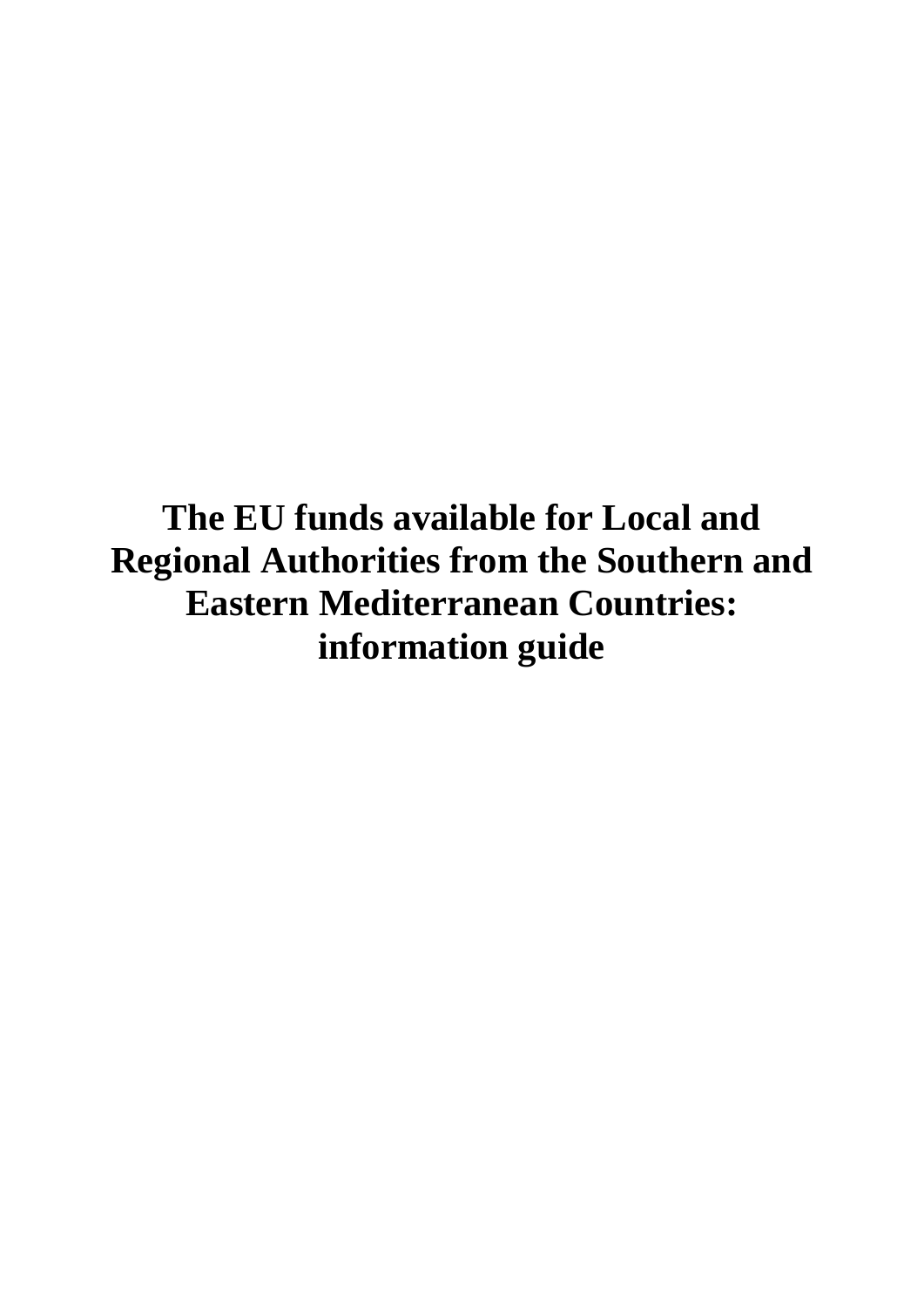**The EU funds available for Local and Regional Authorities from the Southern and Eastern Mediterranean Countries: information guide**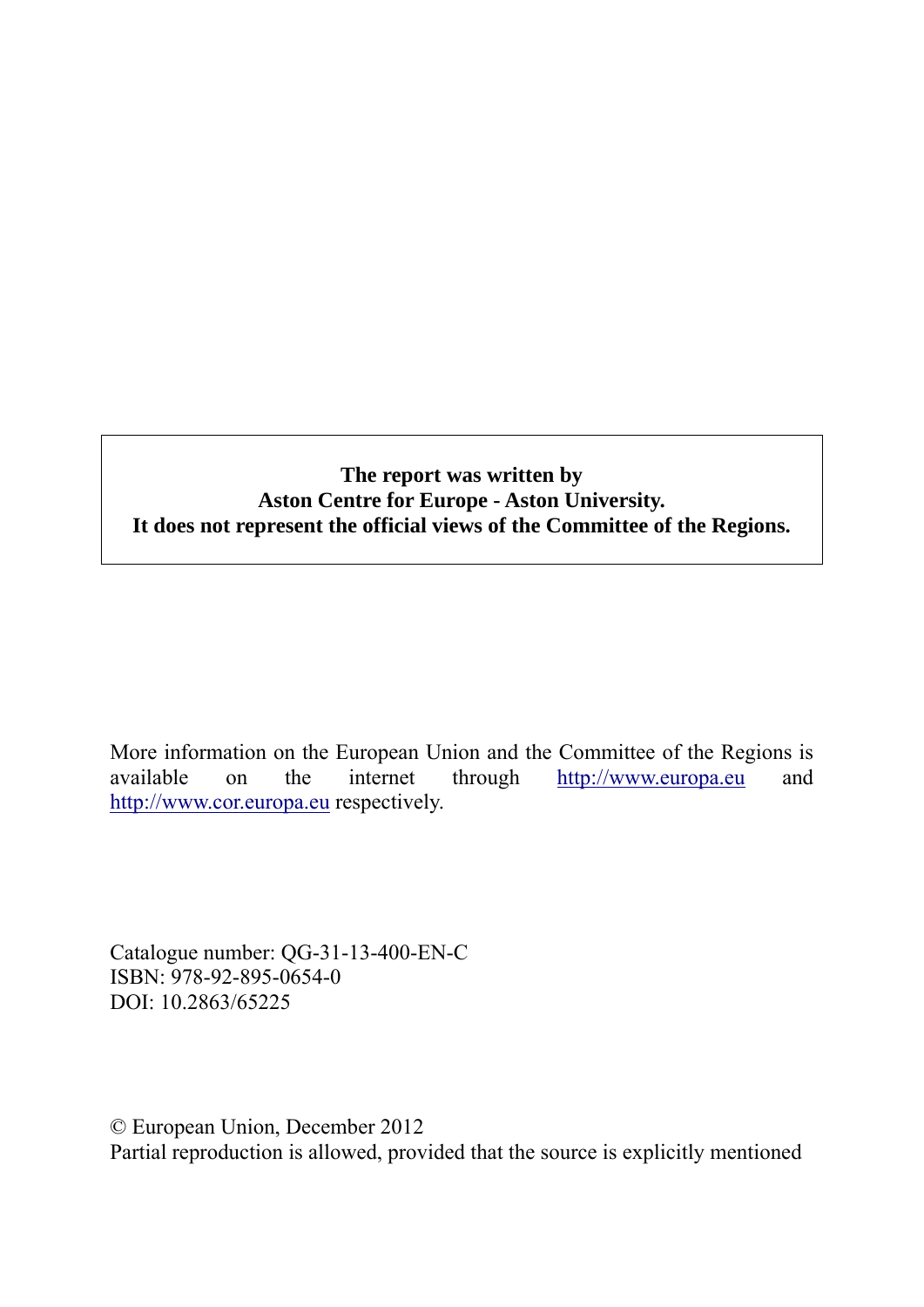#### **The report was written by Aston Centre for Europe - Aston University. It does not represent the official views of the Committee of the Regions.**

More information on the European Union and the Committee of the Regions is available on the internet through [http://www.europa.eu](http://www.europa.eu/) and [http://www.cor.europa.eu](http://www.cor.europa.eu/) respectively.

Catalogue number: QG-31-13-400-EN-C ISBN: 978-92-895-0654-0 DOI: 10.2863/65225

© European Union, December 2012 Partial reproduction is allowed, provided that the source is explicitly mentioned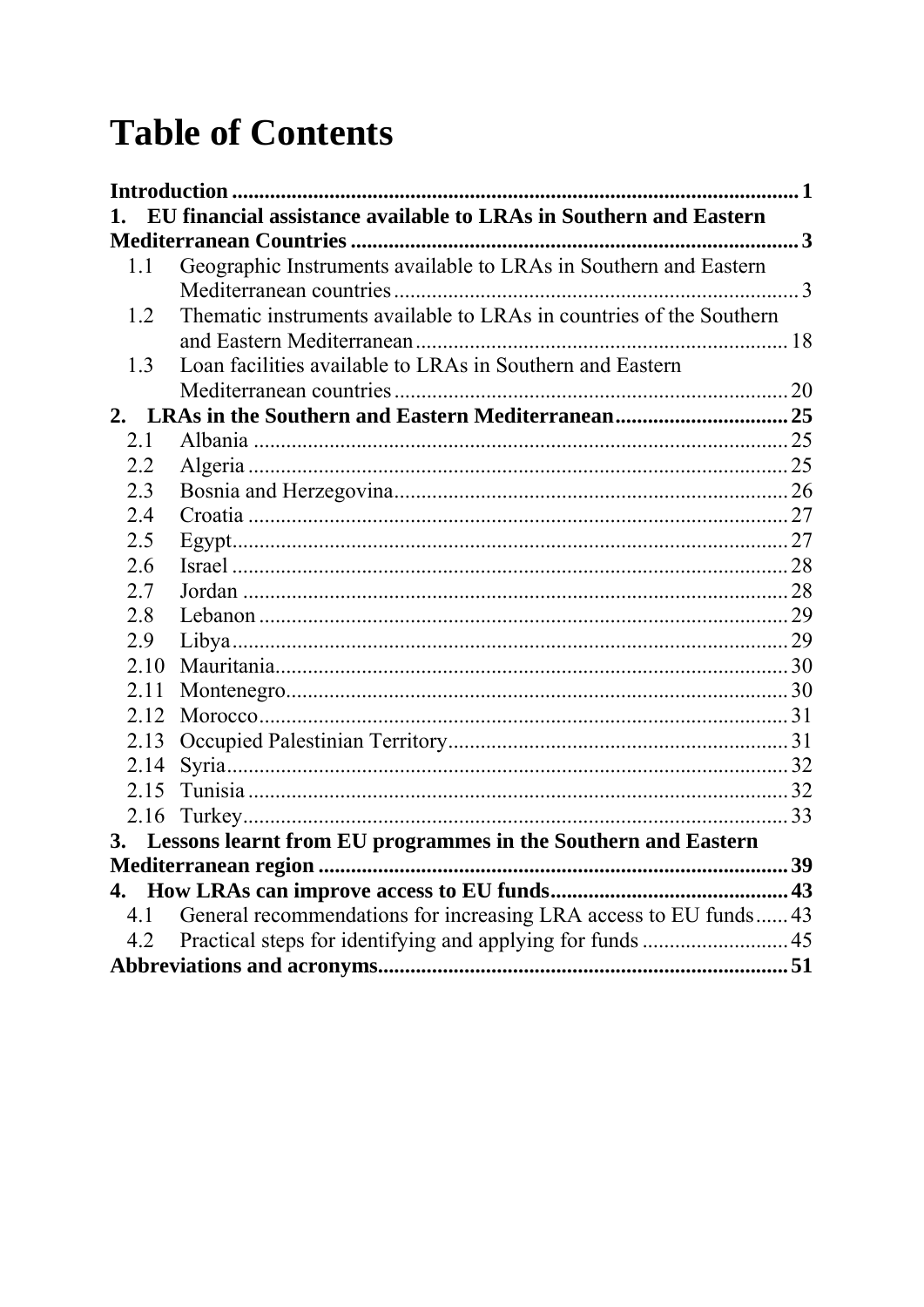# **Table of Contents**

| 1.   | EU financial assistance available to LRAs in Southern and Eastern   |  |
|------|---------------------------------------------------------------------|--|
|      |                                                                     |  |
| 1.1  | Geographic Instruments available to LRAs in Southern and Eastern    |  |
|      |                                                                     |  |
| 1.2  | Thematic instruments available to LRAs in countries of the Southern |  |
|      |                                                                     |  |
| 1.3  | Loan facilities available to LRAs in Southern and Eastern           |  |
|      |                                                                     |  |
|      |                                                                     |  |
| 2.1  |                                                                     |  |
| 2.2  |                                                                     |  |
| 2.3  |                                                                     |  |
| 2.4  |                                                                     |  |
| 2.5  |                                                                     |  |
| 2.6  |                                                                     |  |
| 2.7  |                                                                     |  |
| 2.8  |                                                                     |  |
| 2.9  |                                                                     |  |
| 2.10 |                                                                     |  |
| 2.11 |                                                                     |  |
| 2.12 |                                                                     |  |
| 2.13 |                                                                     |  |
| 2.14 |                                                                     |  |
| 2.15 |                                                                     |  |
|      |                                                                     |  |
|      | 3. Lessons learnt from EU programmes in the Southern and Eastern    |  |
|      |                                                                     |  |
|      |                                                                     |  |
| 4.1  | General recommendations for increasing LRA access to EU funds 43    |  |
| 4.2  |                                                                     |  |
|      |                                                                     |  |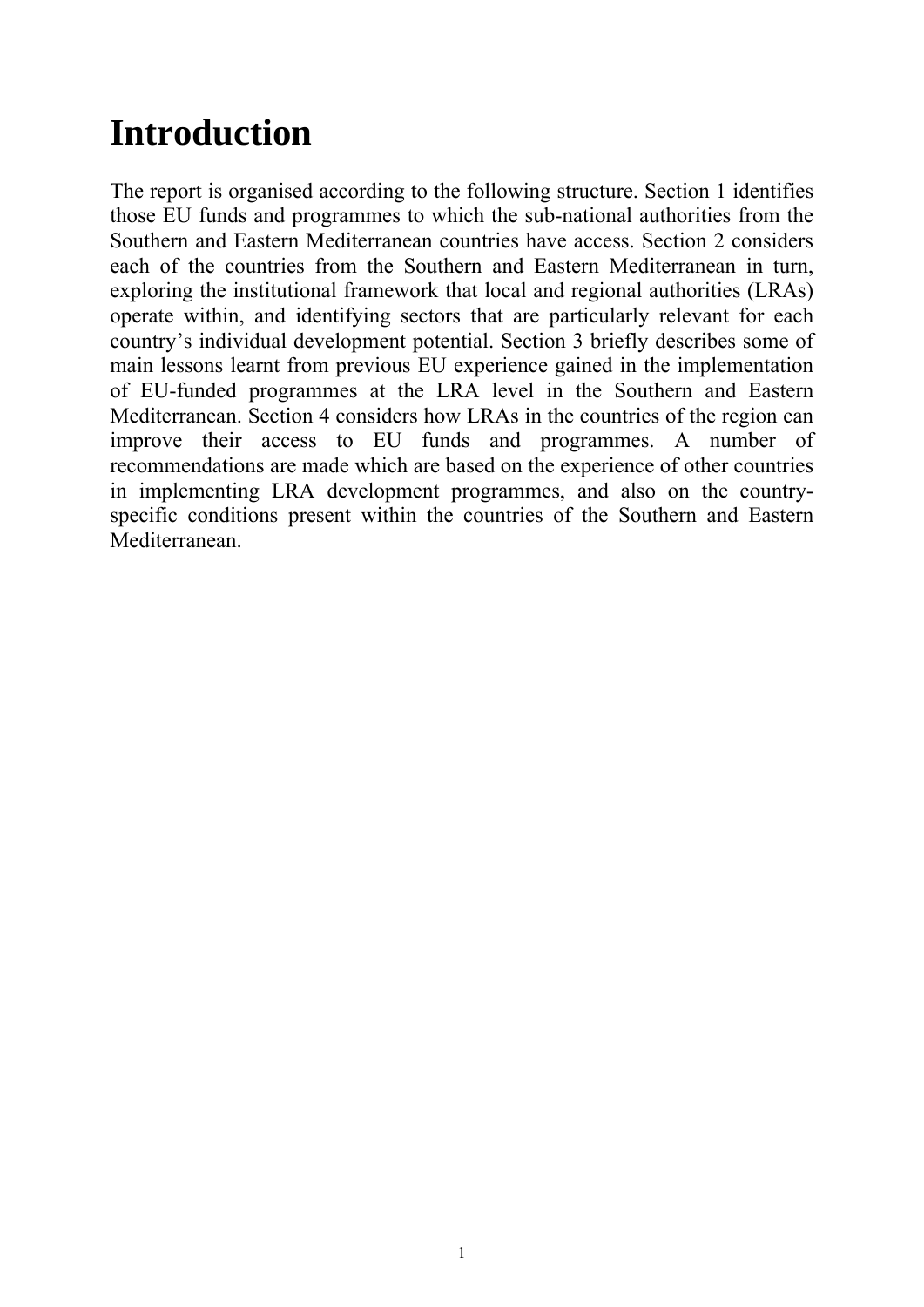# <span id="page-4-0"></span>**Introduction**

The report is organised according to the following structure. Section 1 identifies those EU funds and programmes to which the sub-national authorities from the Southern and Eastern Mediterranean countries have access. Section 2 considers each of the countries from the Southern and Eastern Mediterranean in turn, exploring the institutional framework that local and regional authorities (LRAs) operate within, and identifying sectors that are particularly relevant for each country's individual development potential. Section 3 briefly describes some of main lessons learnt from previous EU experience gained in the implementation of EU-funded programmes at the LRA level in the Southern and Eastern Mediterranean. Section 4 considers how LRAs in the countries of the region can improve their access to EU funds and programmes. A number of recommendations are made which are based on the experience of other countries in implementing LRA development programmes, and also on the countryspecific conditions present within the countries of the Southern and Eastern Mediterranean.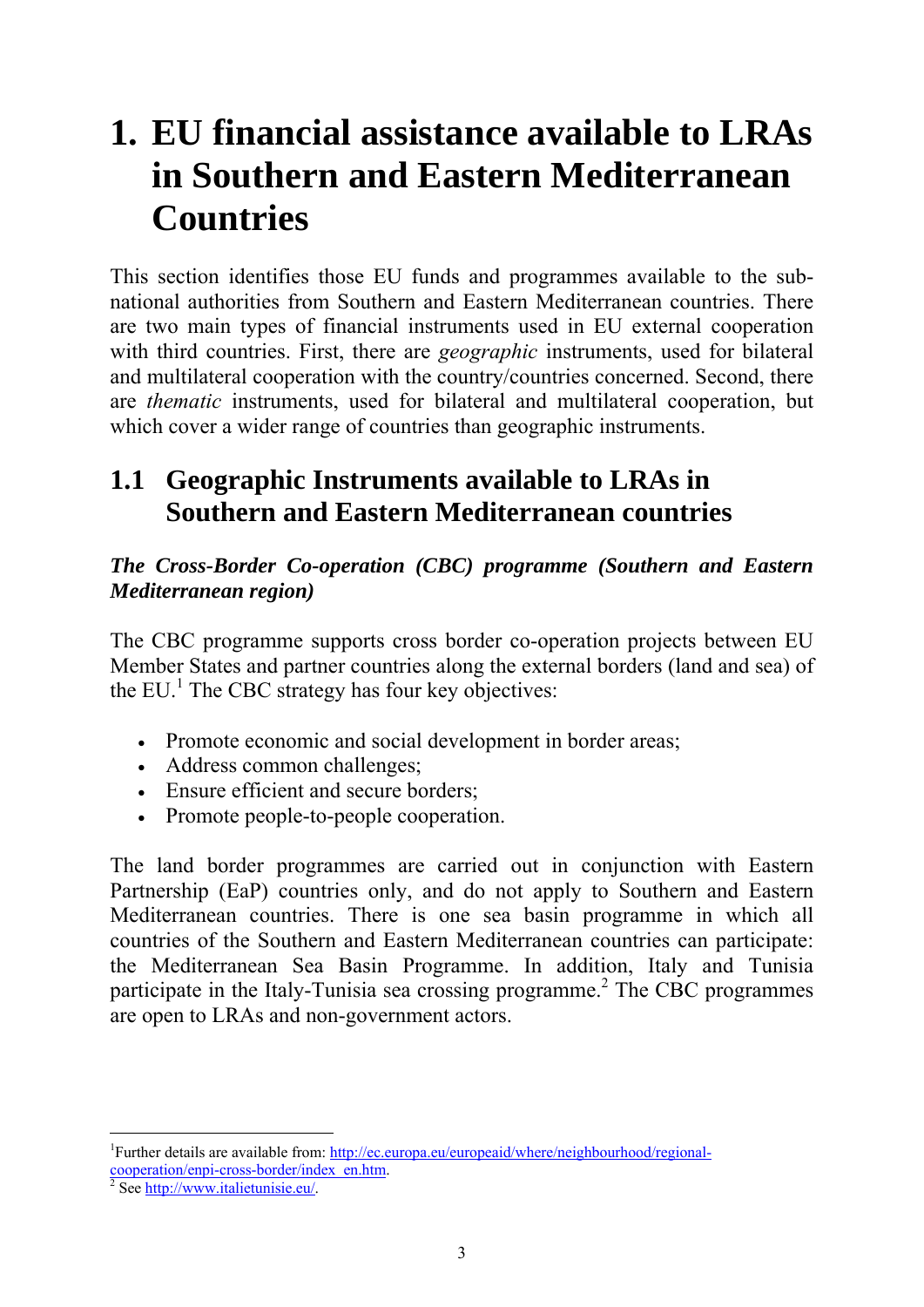# <span id="page-6-0"></span>**1. EU financial assistance available to LRAs in Southern and Eastern Mediterranean Countries**

This section identifies those EU funds and programmes available to the subnational authorities from Southern and Eastern Mediterranean countries. There are two main types of financial instruments used in EU external cooperation with third countries. First, there are *geographic* instruments, used for bilateral and multilateral cooperation with the country/countries concerned. Second, there are *thematic* instruments, used for bilateral and multilateral cooperation, but which cover a wider range of countries than geographic instruments.

# <span id="page-6-1"></span>**1.1 Geographic Instruments available to LRAs in Southern and Eastern Mediterranean countries**

# *The Cross-Border Co-operation (CBC) programme (Southern and Eastern Mediterranean region)*

The CBC programme supports cross border co-operation projects between EU Member States and partner countries along the external borders (land and sea) of the EU. $<sup>1</sup>$  The CBC strategy has four key objectives:</sup>

- Promote economic and social development in border areas;
- Address common challenges;
- Ensure efficient and secure borders:
- Promote people-to-people cooperation.

The land border programmes are carried out in conjunction with Eastern Partnership (EaP) countries only, and do not apply to Southern and Eastern Mediterranean countries. There is one sea basin programme in which all countries of the Southern and Eastern Mediterranean countries can participate: the Mediterranean Sea Basin Programme. In addition, Italy and Tunisia participate in the Italy-Tunisia sea crossing programme.<sup>2</sup> The CBC programmes are open to LRAs and non-government actors.

<sup>-</sup><sup>1</sup>Further details are available from[: http://ec.europa.eu/europeaid/where/neighbourhood/regional-](http://ec.europa.eu/europeaid/where/neighbourhood/regional-cooperation/enpi-cross-border/index_en.htm)

cooperation/enpi-cross-border/index\_en.htm.

[See http://www.italietunisie.eu/.](http://www.italietunisie.eu/)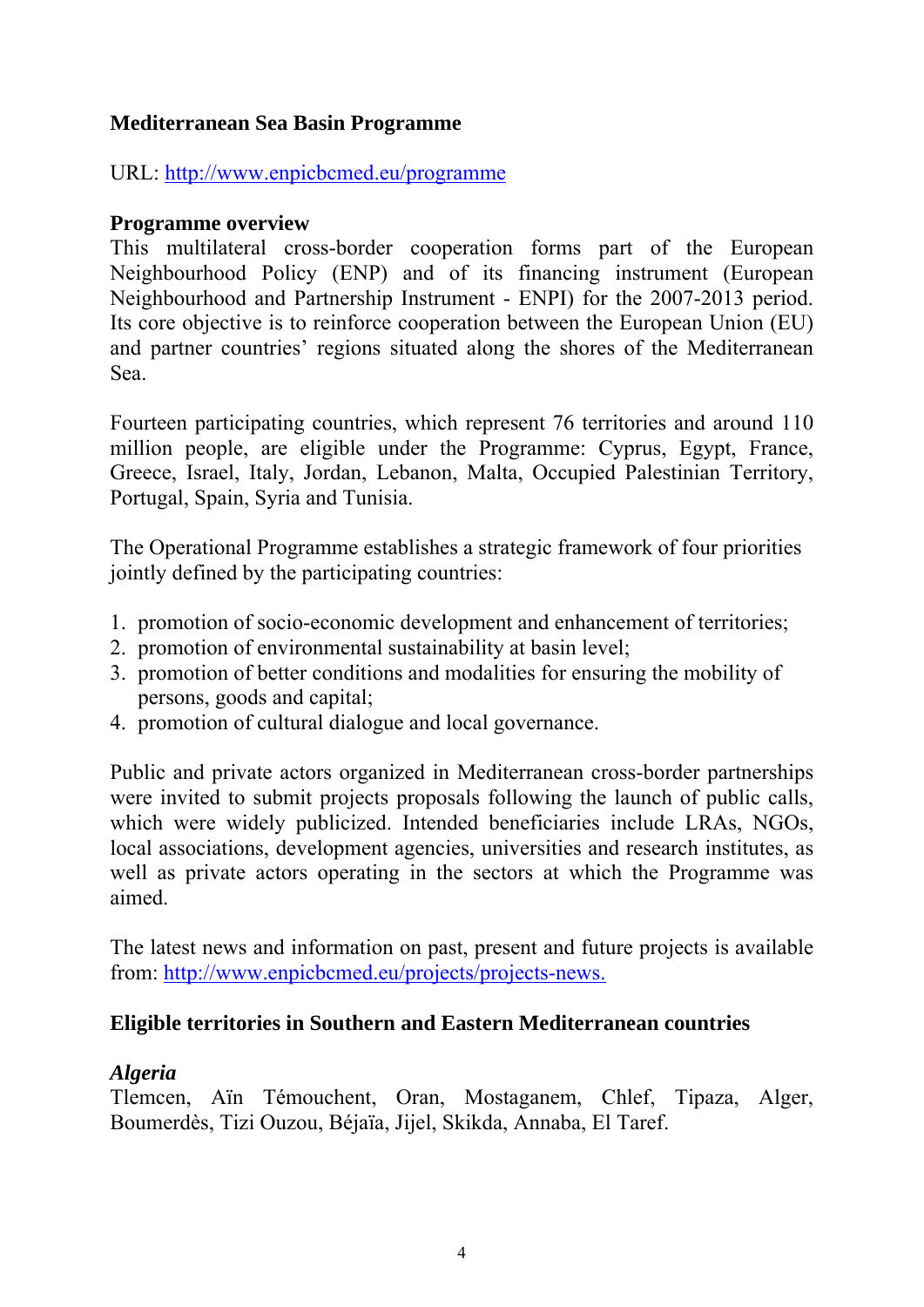# **Mediterranean Sea Basin Programme**

URL:<http://www.enpicbcmed.eu/programme>

#### **Programme overview**

This multilateral cross-border cooperation forms part of the European Neighbourhood Policy (ENP) and of its financing instrument (European Neighbourhood and Partnership Instrument - ENPI) for the 2007-2013 period. Its core objective is to reinforce cooperation between the European Union (EU) and partner countries' regions situated along the shores of the Mediterranean Sea.

Fourteen participating countries, which represent 76 territories and around 110 million people, are eligible under the Programme: Cyprus, Egypt, France, Greece, Israel, Italy, Jordan, Lebanon, Malta, Occupied Palestinian Territory, Portugal, Spain, Syria and Tunisia.

The Operational Programme establishes a strategic framework of four priorities jointly defined by the participating countries:

- 1. promotion of socio-economic development and enhancement of territories;
- 2. promotion of environmental sustainability at basin level;
- 3. promotion of better conditions and modalities for ensuring the mobility of persons, goods and capital;
- 4. promotion of cultural dialogue and local governance.

Public and private actors organized in Mediterranean cross-border partnerships were invited to submit projects proposals following the launch of public calls, which were widely publicized. Intended beneficiaries include LRAs, NGOs, local associations, development agencies, universities and research institutes, as well as private actors operating in the sectors at which the Programme was aimed.

The latest news and information on past, present and future projects is available from: [http://www.enpicbcmed.eu/projects/projects-news.](http://www.enpicbcmed.eu/projects/projects-news)

# **Eligible territories in Southern and Eastern Mediterranean countries**

# *Algeria*

Tlemcen, Aïn Témouchent, Oran, Mostaganem, Chlef, Tipaza, Alger, Boumerdès, Tizi Ouzou, Béjaïa, Jijel, Skikda, Annaba, El Taref.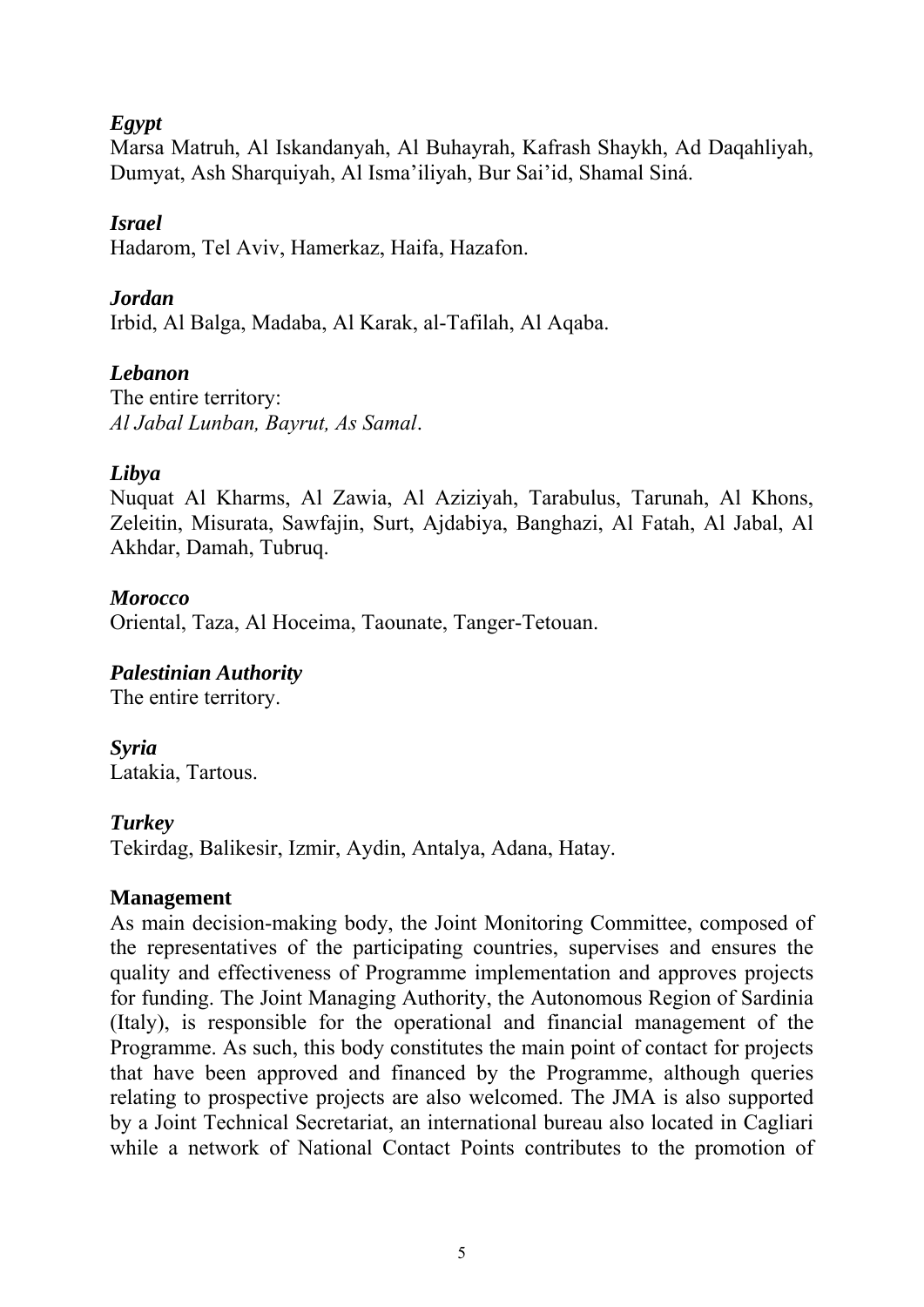#### *Egypt*

Marsa Matruh, Al Iskandanyah, Al Buhayrah, Kafrash Shaykh, Ad Daqahliyah, Dumyat, Ash Sharquiyah, Al Isma'iliyah, Bur Sai'id, Shamal Siná.

#### *Israel*

Hadarom, Tel Aviv, Hamerkaz, Haifa, Hazafon.

### *Jordan*

Irbid, Al Balga, Madaba, Al Karak, al-Tafilah, Al Aqaba.

### *Lebanon*

The entire territory: *Al Jabal Lunban, Bayrut, As Samal*.

### *Libya*

Nuquat Al Kharms, Al Zawia, Al Aziziyah, Tarabulus, Tarunah, Al Khons, Zeleitin, Misurata, Sawfajin, Surt, Ajdabiya, Banghazi, Al Fatah, Al Jabal, Al Akhdar, Damah, Tubruq.

### *Morocco*

Oriental, Taza, Al Hoceima, Taounate, Tanger-Tetouan.

# *Palestinian Authority*

The entire territory.

# *Syria*

Latakia, Tartous.

#### *Turkey*

Tekirdag, Balikesir, Izmir, Aydin, Antalya, Adana, Hatay.

#### **Management**

As main decision-making body, the Joint Monitoring Committee, composed of the representatives of the participating countries, supervises and ensures the quality and effectiveness of Programme implementation and approves projects for funding. The Joint Managing Authority, the Autonomous Region of Sardinia (Italy), is responsible for the operational and financial management of the Programme. As such, this body constitutes the main point of contact for projects that have been approved and financed by the Programme, although queries relating to prospective projects are also welcomed. The JMA is also supported by a Joint Technical Secretariat, an international bureau also located in Cagliari while a network of National Contact Points contributes to the promotion of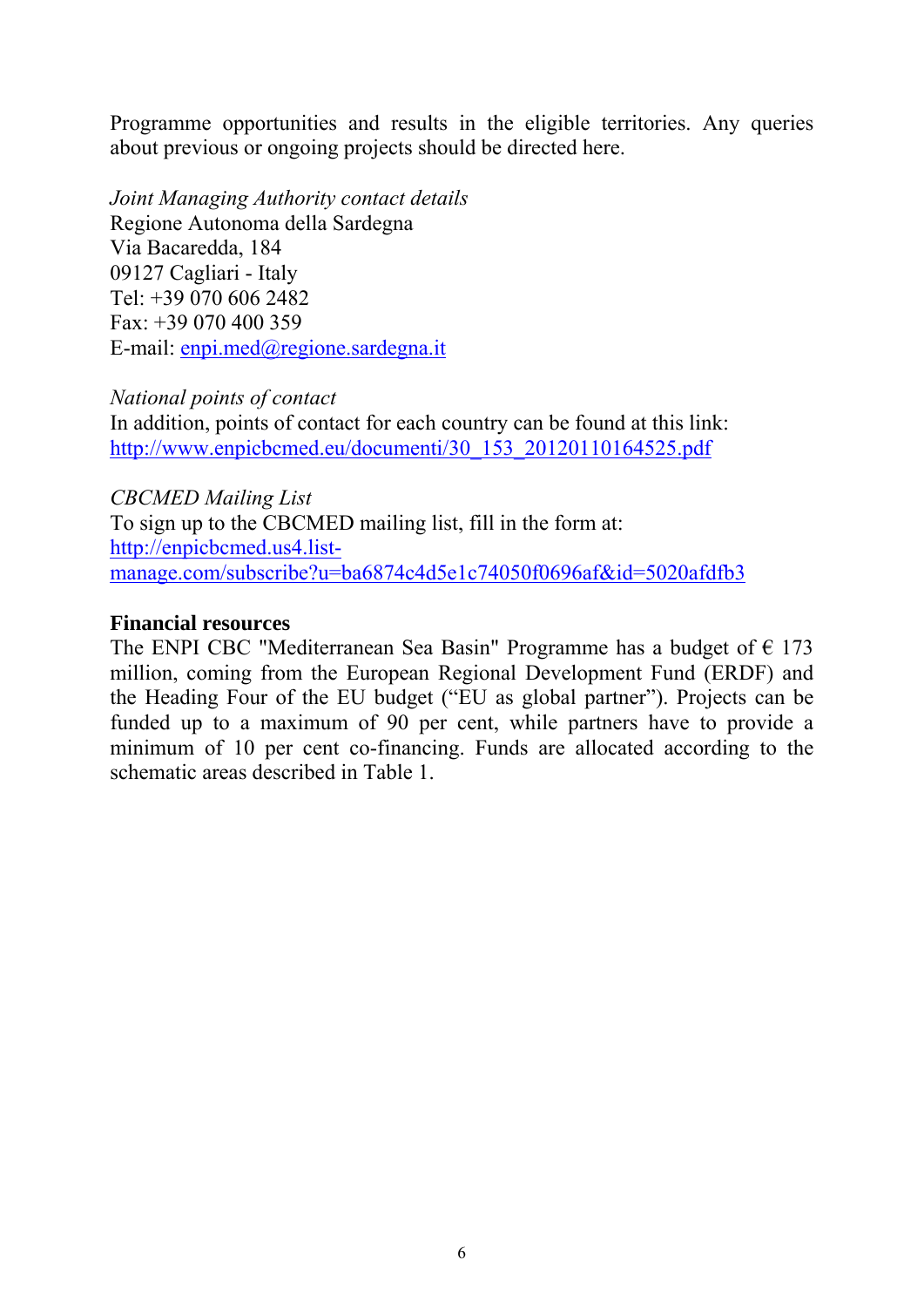Programme opportunities and results in the eligible territories. Any queries about previous or ongoing projects should be directed here.

*Joint Managing Authority contact details*  Regione Autonoma della Sardegna Via Bacaredda, 184 09127 Cagliari - Italy Tel: +39 070 606 2482 Fax:  $+39070400359$ E-mail: [enpi.med@regione.sardegna.it](mailto:enpi.med@regione.sardegna.it) 

#### *National points of contact*

In addition, points of contact for each country can be found at this link: [http://www.enpicbcmed.eu/documenti/30\\_153\\_20120110164525.pdf](http://www.enpicbcmed.eu/documenti/30_153_20120110164525.pdf)

*CBCMED Mailing List*  To sign up to the CBCMED mailing list, fill in the form at: [http://enpicbcmed.us4.list](http://enpicbcmed.us4.list-manage.com/subscribe?u=ba6874c4d5e1c74050f0696af&id=5020afdfb3)[manage.com/subscribe?u=ba6874c4d5e1c74050f0696af&id=5020afdfb3](http://enpicbcmed.us4.list-manage.com/subscribe?u=ba6874c4d5e1c74050f0696af&id=5020afdfb3)

#### **Financial resources**

The ENPI CBC "Mediterranean Sea Basin" Programme has a budget of  $\epsilon$  173 million, coming from the European Regional Development Fund (ERDF) and the Heading Four of the EU budget ("EU as global partner"). Projects can be funded up to a maximum of 90 per cent, while partners have to provide a minimum of 10 per cent co-financing. Funds are allocated according to the schematic areas described in Table 1.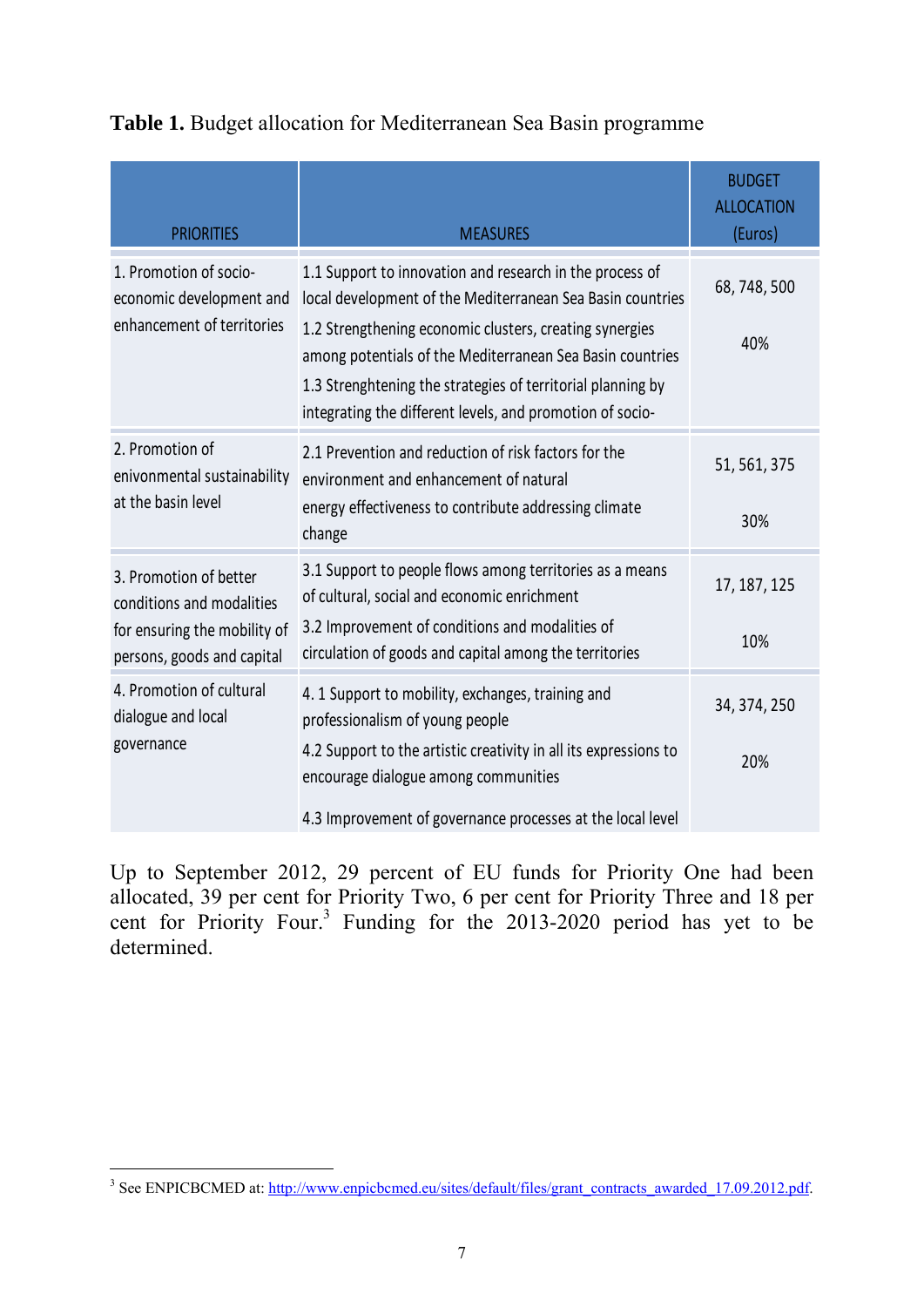# **Table 1.** Budget allocation for Mediterranean Sea Basin programme

| <b>PRIORITIES</b>                                                                                                 | <b>MEASURES</b>                                                                                                                                                                                                                                                                                                                                                            | <b>BUDGET</b><br><b>ALLOCATION</b><br>(Euros) |
|-------------------------------------------------------------------------------------------------------------------|----------------------------------------------------------------------------------------------------------------------------------------------------------------------------------------------------------------------------------------------------------------------------------------------------------------------------------------------------------------------------|-----------------------------------------------|
| 1. Promotion of socio-<br>economic development and<br>enhancement of territories                                  | 1.1 Support to innovation and research in the process of<br>local development of the Mediterranean Sea Basin countries<br>1.2 Strengthening economic clusters, creating synergies<br>among potentials of the Mediterranean Sea Basin countries<br>1.3 Strenghtening the strategies of territorial planning by<br>integrating the different levels, and promotion of socio- | 68, 748, 500<br>40%                           |
| 2. Promotion of<br>enivonmental sustainability<br>at the basin level                                              | 2.1 Prevention and reduction of risk factors for the<br>environment and enhancement of natural<br>energy effectiveness to contribute addressing climate<br>change                                                                                                                                                                                                          | 51, 561, 375<br>30%                           |
| 3. Promotion of better<br>conditions and modalities<br>for ensuring the mobility of<br>persons, goods and capital | 3.1 Support to people flows among territories as a means<br>of cultural, social and economic enrichment<br>3.2 Improvement of conditions and modalities of<br>circulation of goods and capital among the territories                                                                                                                                                       | 17, 187, 125<br>10%                           |
| 4. Promotion of cultural<br>dialogue and local<br>governance                                                      | 4.1 Support to mobility, exchanges, training and<br>professionalism of young people<br>4.2 Support to the artistic creativity in all its expressions to<br>encourage dialogue among communities<br>4.3 Improvement of governance processes at the local level                                                                                                              | 34, 374, 250<br>20%                           |

Up to September 2012, 29 percent of EU funds for Priority One had been allocated, 39 per cent for Priority Two, 6 per cent for Priority Three and 18 per cent for Priority Four.<sup>3</sup> Funding for the 2013-2020 period has yet to be determined.

<sup>-&</sup>lt;br><sup>3</sup> See ENPICBCMED at: http://www.enpicbcmed.eu/sites/default/files/grant\_contracts\_awarded\_17.09.2012.pdf.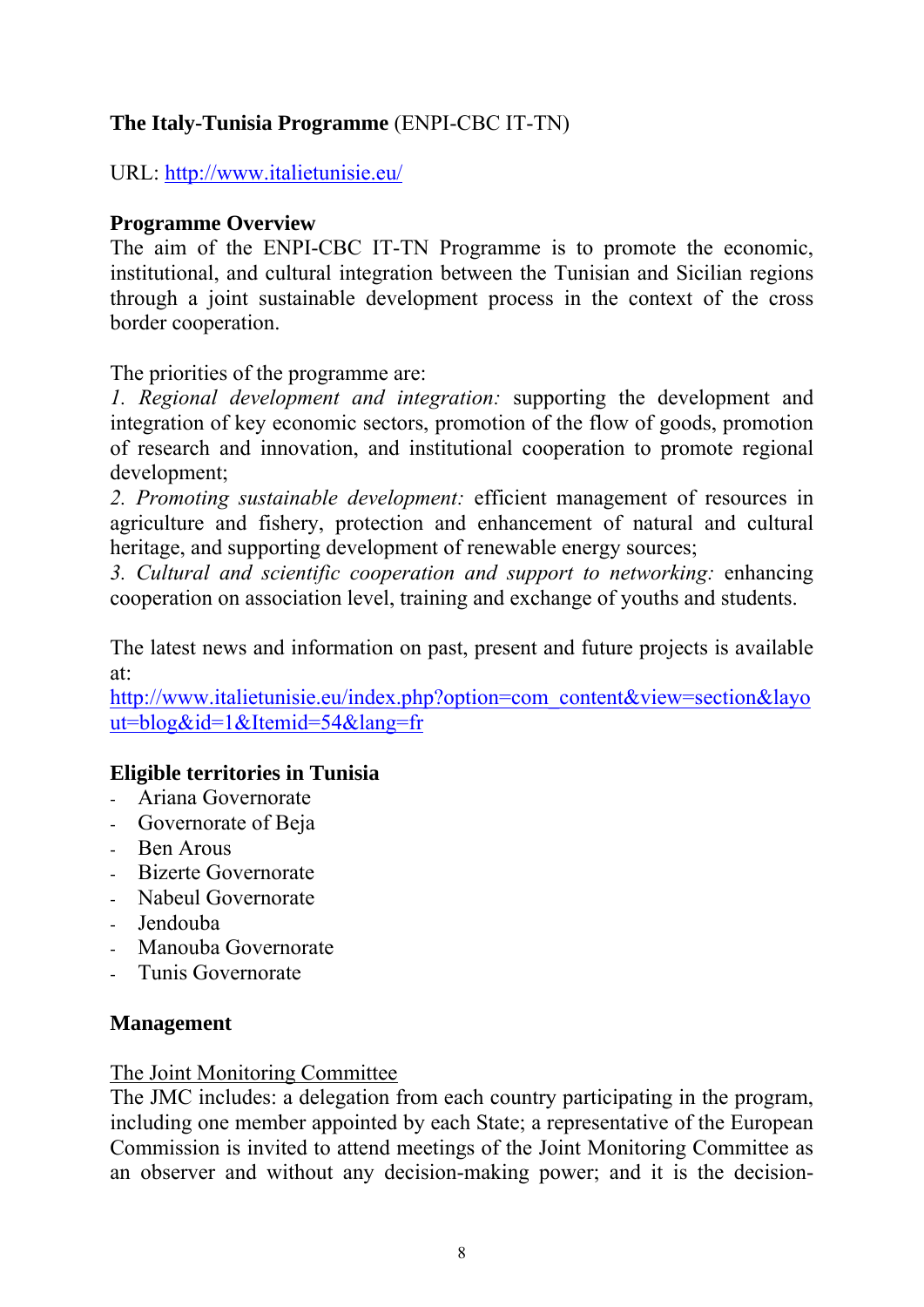# **The Italy-Tunisia Programme** (ENPI-CBC IT-TN)

URL:<http://www.italietunisie.eu/>

#### **Programme Overview**

The aim of the ENPI-CBC IT-TN Programme is to promote the economic, institutional, and cultural integration between the Tunisian and Sicilian regions through a joint sustainable development process in the context of the cross border cooperation.

The priorities of the programme are:

*1. Regional development and integration:* supporting the development and integration of key economic sectors, promotion of the flow of goods, promotion of research and innovation, and institutional cooperation to promote regional development;

*2. Promoting sustainable development:* efficient management of resources in agriculture and fishery, protection and enhancement of natural and cultural heritage, and supporting development of renewable energy sources;

*3. Cultural and scientific cooperation and support to networking:* enhancing cooperation on association level, training and exchange of youths and students.

The latest news and information on past, present and future projects is available at:

[http://www.italietunisie.eu/index.php?option=com\\_content&view=section&layo](http://www.italietunisie.eu/index.php?option=com_content&view=section&layout=blog&id=1&Itemid=54&lang=fr) [ut=blog&id=1&Itemid=54&lang=fr](http://www.italietunisie.eu/index.php?option=com_content&view=section&layout=blog&id=1&Itemid=54&lang=fr)

# **Eligible territories in Tunisia**

- Ariana Governorate
- Governorate of Beja
- Ben Arous
- Bizerte Governorate
- Nabeul Governorate
- Jendouba
- Manouba Governorate
- Tunis Governorate

#### **Management**

#### The Joint Monitoring Committee

The JMC includes: a delegation from each country participating in the program, including one member appointed by each State; a representative of the European Commission is invited to attend meetings of the Joint Monitoring Committee as an observer and without any decision-making power; and it is the decision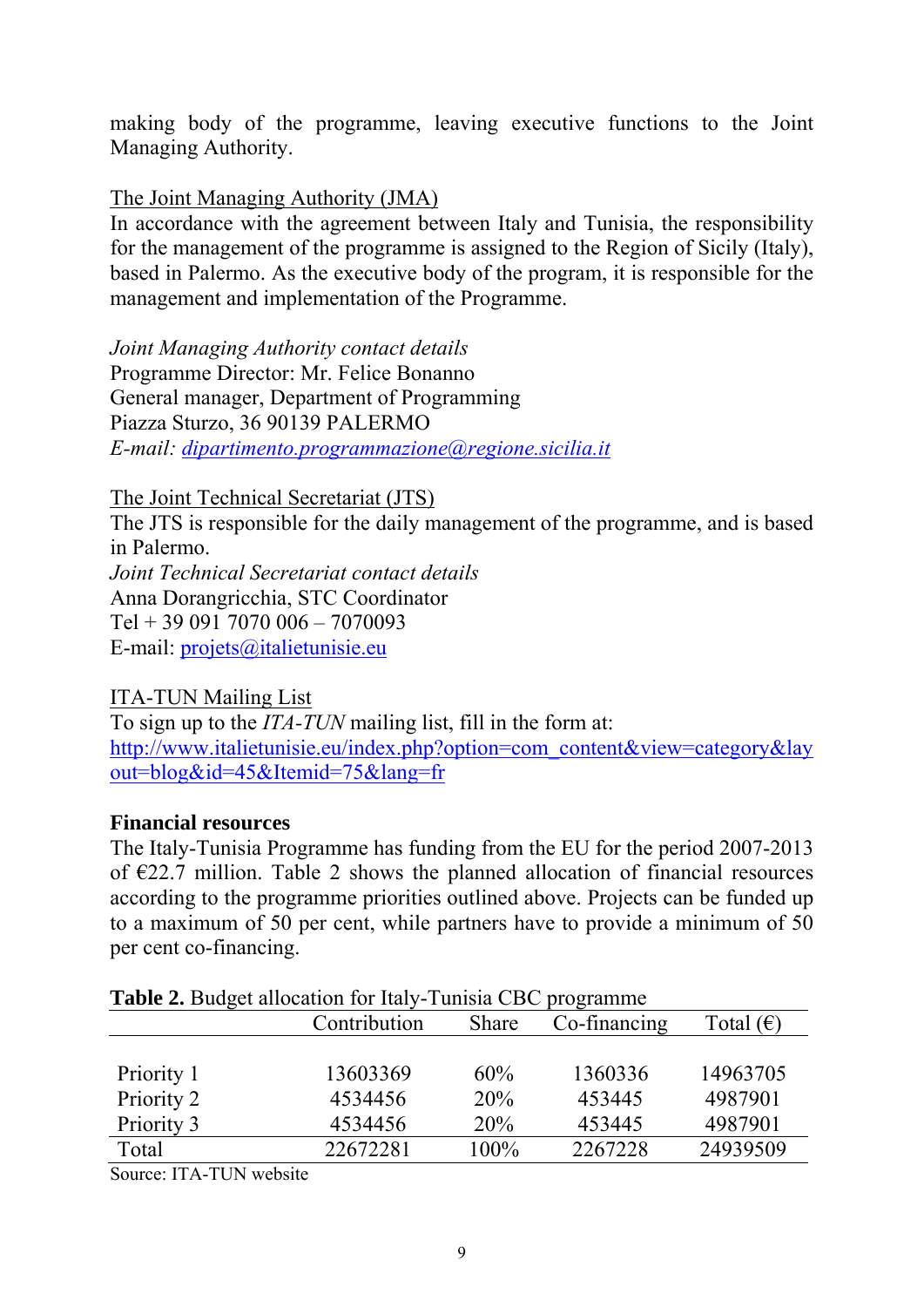making body of the programme, leaving executive functions to the Joint Managing Authority.

#### The Joint Managing Authority (JMA)

In accordance with the agreement between Italy and Tunisia, the responsibility for the management of the programme is assigned to the Region of Sicily (Italy), based in Palermo. As the executive body of the program, it is responsible for the management and implementation of the Programme.

*Joint Managing Authority contact details*  Programme Director: Mr. Felice Bonanno General manager, Department of Programming Piazza Sturzo, 36 90139 PALERMO *E-mail: [dipartimento.programmazione@regione.sicilia.it](mailto:dipartimento.programmazione@regione.sicilia.it)*

The Joint Technical Secretariat (JTS)

The JTS is responsible for the daily management of the programme, and is based in Palermo. *Joint Technical Secretariat contact details* 

Anna Dorangricchia, STC Coordinator

Tel + 39 091 7070 006 – 7070093

E-mail: [projets@italietunisie.eu](mailto:projets@italietunisie.eu)

#### ITA-TUN Mailing List

To sign up to the *ITA-TUN* mailing list, fill in the form at: [http://www.italietunisie.eu/index.php?option=com\\_content&view=category&lay](http://www.italietunisie.eu/index.php?option=com_content&view=category&layout=blog&id=45&Itemid=75&lang=fr) [out=blog&id=45&Itemid=75&lang=fr](http://www.italietunisie.eu/index.php?option=com_content&view=category&layout=blog&id=45&Itemid=75&lang=fr)

#### **Financial resources**

The Italy-Tunisia Programme has funding from the EU for the period 2007-2013 of €22.7 million. Table 2 shows the planned allocation of financial resources according to the programme priorities outlined above. Projects can be funded up to a maximum of 50 per cent, while partners have to provide a minimum of 50 per cent co-financing.

| <b>Table 2.</b> Budget allocation for hary-tunista CBC programme |              |              |              |                    |
|------------------------------------------------------------------|--------------|--------------|--------------|--------------------|
|                                                                  | Contribution | <b>Share</b> | Co-financing | Total $(\epsilon)$ |
|                                                                  |              |              |              |                    |
| Priority 1                                                       | 13603369     | 60%          | 1360336      | 14963705           |
| Priority 2                                                       | 4534456      | 20%          | 453445       | 4987901            |
| Priority 3                                                       | 4534456      | 20%          | 453445       | 4987901            |
| Total                                                            | 22672281     | 100%         | 2267228      | 24939509           |
|                                                                  |              |              |              |                    |

|  |  |  | Table 2. Budget allocation for Italy-Tunisia CBC programme |
|--|--|--|------------------------------------------------------------|
|  |  |  |                                                            |

Source: ITA-TUN website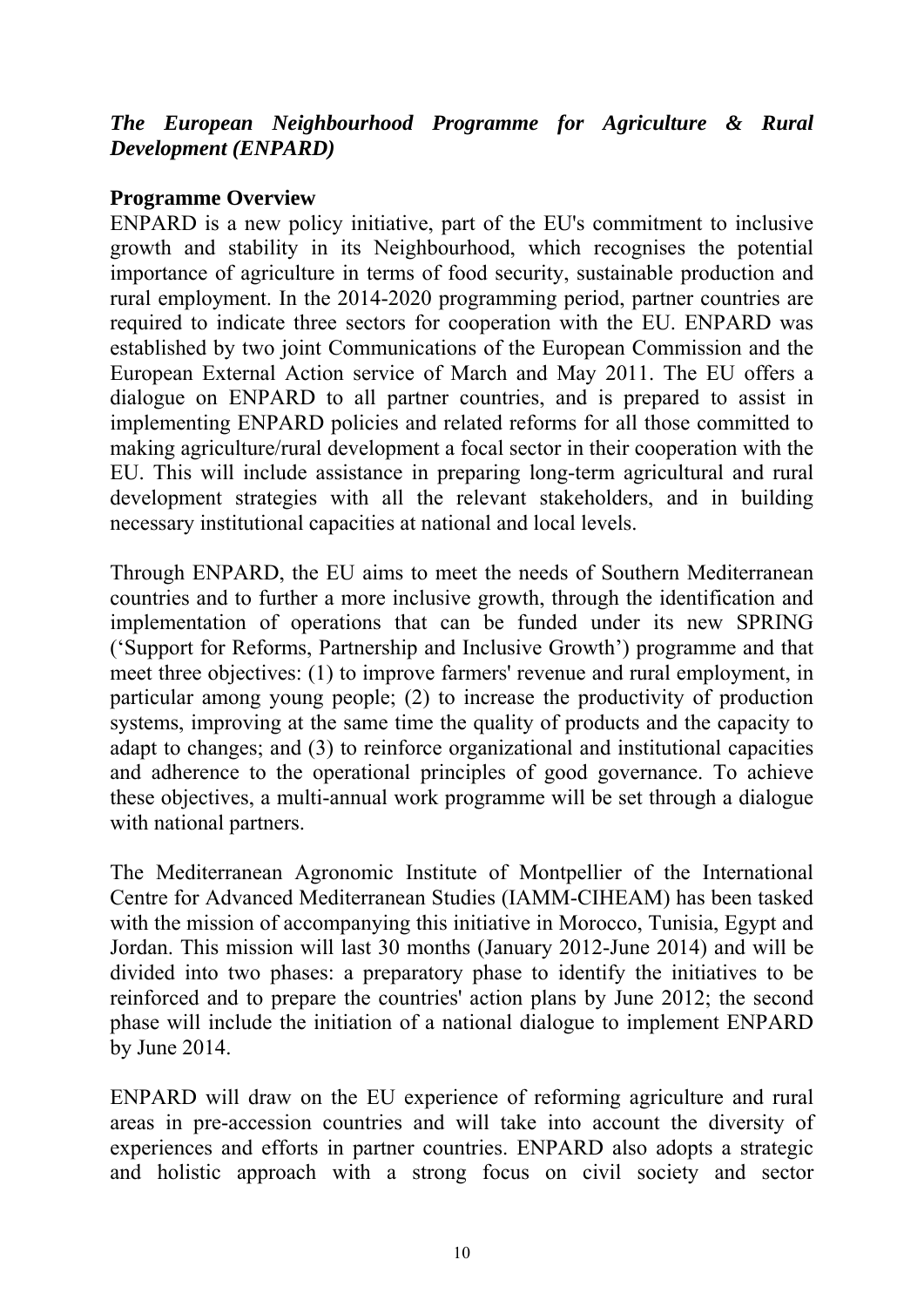#### *The European Neighbourhood Programme for Agriculture & Rural Development (ENPARD)*

#### **Programme Overview**

ENPARD is a new policy initiative, part of the EU's commitment to inclusive growth and stability in its Neighbourhood, which recognises the potential importance of agriculture in terms of food security, sustainable production and rural employment. In the 2014-2020 programming period, partner countries are required to indicate three sectors for cooperation with the EU. ENPARD was established by two joint Communications of the European Commission and the European External Action service of March and May 2011. The EU offers a dialogue on ENPARD to all partner countries, and is prepared to assist in implementing ENPARD policies and related reforms for all those committed to making agriculture/rural development a focal sector in their cooperation with the EU. This will include assistance in preparing long-term agricultural and rural development strategies with all the relevant stakeholders, and in building necessary institutional capacities at national and local levels.

Through ENPARD, the EU aims to meet the needs of Southern Mediterranean countries and to further a more inclusive growth, through the identification and implementation of operations that can be funded under its new SPRING ('Support for Reforms, Partnership and Inclusive Growth') programme and that meet three objectives: (1) to improve farmers' revenue and rural employment, in particular among young people; (2) to increase the productivity of production systems, improving at the same time the quality of products and the capacity to adapt to changes; and (3) to reinforce organizational and institutional capacities and adherence to the operational principles of good governance. To achieve these objectives, a multi-annual work programme will be set through a dialogue with national partners.

The Mediterranean Agronomic Institute of Montpellier of the International Centre for Advanced Mediterranean Studies (IAMM-CIHEAM) has been tasked with the mission of accompanying this initiative in Morocco, Tunisia, Egypt and Jordan. This mission will last 30 months (January 2012-June 2014) and will be divided into two phases: a preparatory phase to identify the initiatives to be reinforced and to prepare the countries' action plans by June 2012; the second phase will include the initiation of a national dialogue to implement ENPARD by June 2014.

ENPARD will draw on the EU experience of reforming agriculture and rural areas in pre-accession countries and will take into account the diversity of experiences and efforts in partner countries. ENPARD also adopts a strategic and holistic approach with a strong focus on civil society and sector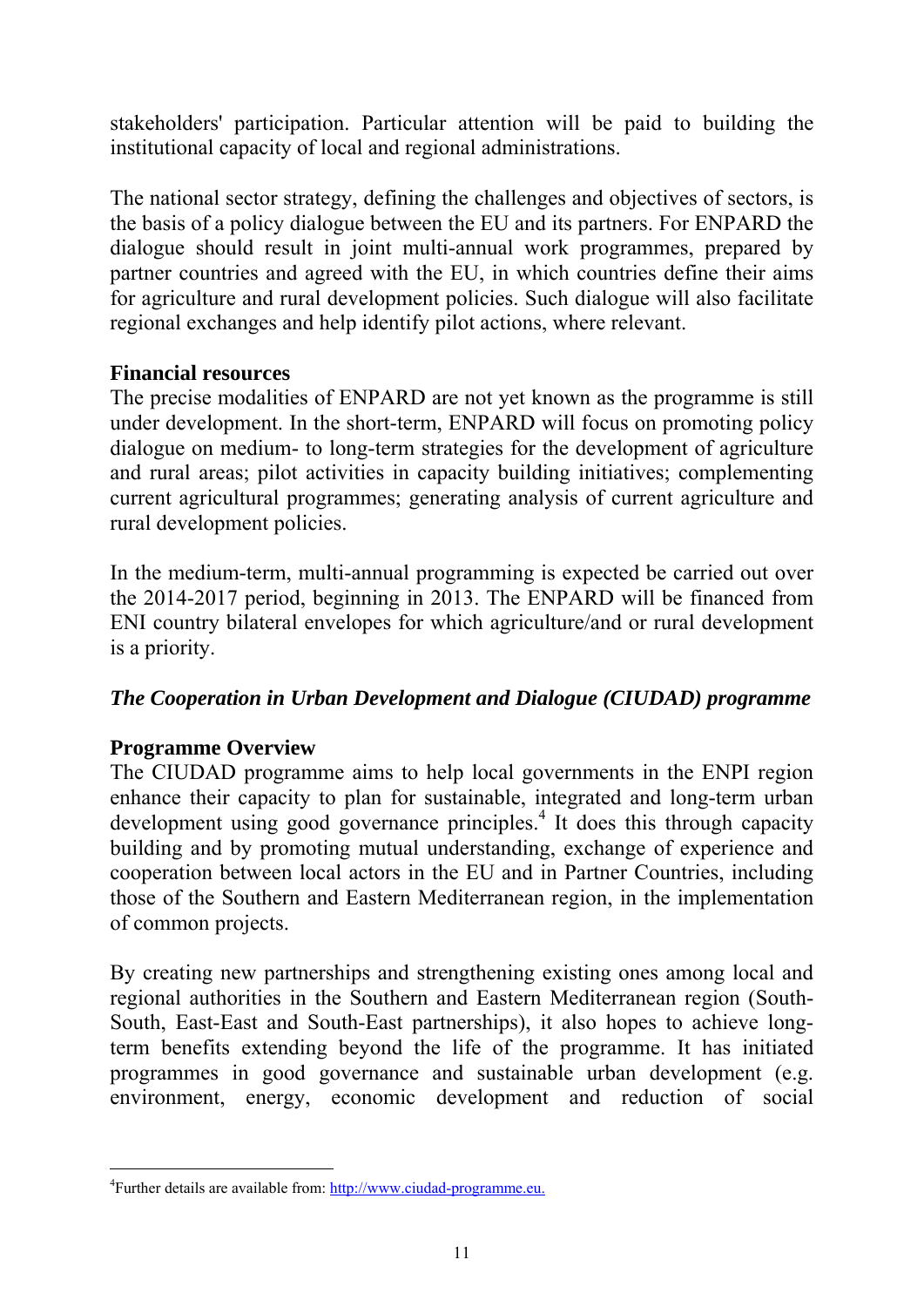stakeholders' participation. Particular attention will be paid to building the institutional capacity of local and regional administrations.

The national sector strategy, defining the challenges and objectives of sectors, is the basis of a policy dialogue between the EU and its partners. For ENPARD the dialogue should result in joint multi-annual work programmes, prepared by partner countries and agreed with the EU, in which countries define their aims for agriculture and rural development policies. Such dialogue will also facilitate regional exchanges and help identify pilot actions, where relevant.

#### **Financial resources**

The precise modalities of ENPARD are not yet known as the programme is still under development. In the short-term, ENPARD will focus on promoting policy dialogue on medium- to long-term strategies for the development of agriculture and rural areas; pilot activities in capacity building initiatives; complementing current agricultural programmes; generating analysis of current agriculture and rural development policies.

In the medium-term, multi-annual programming is expected be carried out over the 2014-2017 period, beginning in 2013. The ENPARD will be financed from ENI country bilateral envelopes for which agriculture/and or rural development is a priority.

#### *The Cooperation in Urban Development and Dialogue (CIUDAD) programme*

#### **Programme Overview**

-

The CIUDAD programme aims to help local governments in the ENPI region enhance their capacity to plan for sustainable, integrated and long-term urban development using good governance principles.<sup>4</sup> It does this through capacity building and by promoting mutual understanding, exchange of experience and cooperation between local actors in the EU and in Partner Countries, including those of the Southern and Eastern Mediterranean region, in the implementation of common projects.

By creating new partnerships and strengthening existing ones among local and regional authorities in the Southern and Eastern Mediterranean region (South-South, East-East and South-East partnerships), it also hopes to achieve longterm benefits extending beyond the life of the programme. It has initiated programmes in good governance and sustainable urban development (e.g. environment, energy, economic development and reduction of social

<sup>&</sup>lt;sup>4</sup> [Further details are available from: http://www.ciudad-programme.eu.](http://www.ciudad-programme.eu/)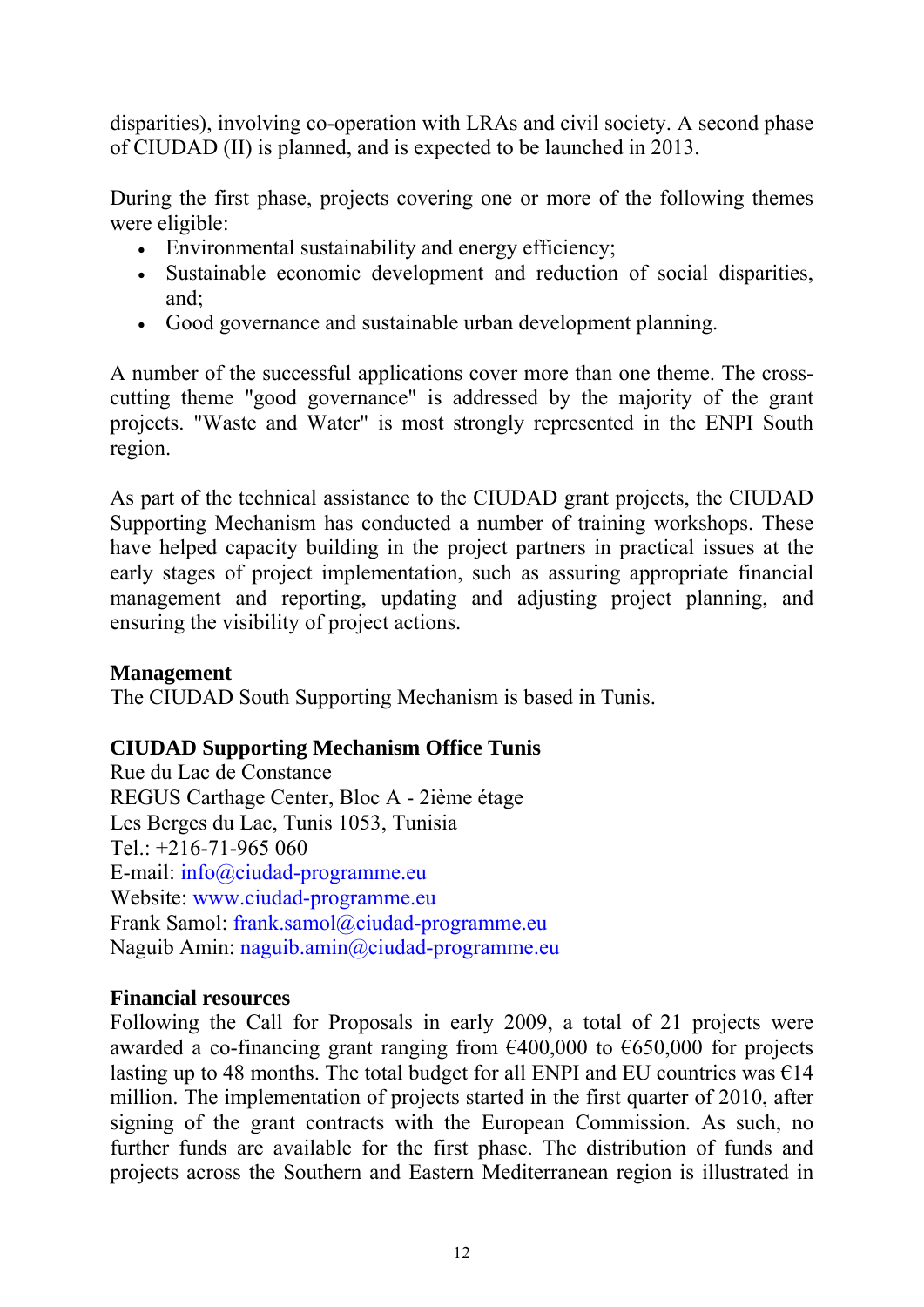disparities), involving co-operation with LRAs and civil society. A second phase of CIUDAD (II) is planned, and is expected to be launched in 2013.

During the first phase, projects covering one or more of the following themes were eligible:

- Environmental sustainability and energy efficiency;
- Sustainable economic development and reduction of social disparities, and;
- Good governance and sustainable urban development planning.

A number of the successful applications cover more than one theme. The crosscutting theme "good governance" is addressed by the majority of the grant projects. "Waste and Water" is most strongly represented in the ENPI South region.

As part of the technical assistance to the CIUDAD grant projects, the CIUDAD Supporting Mechanism has conducted a number of training workshops. These have helped capacity building in the project partners in practical issues at the early stages of project implementation, such as assuring appropriate financial management and reporting, updating and adjusting project planning, and ensuring the visibility of project actions.

# **Management**

The CIUDAD South Supporting Mechanism is based in Tunis.

# **CIUDAD Supporting Mechanism Office Tunis**

Rue du Lac de Constance REGUS Carthage Center, Bloc A - 2ième étage Les Berges du Lac, Tunis 1053, Tunisia Tel.: +216-71-965 060 E-mail: info@ciudad-programme.eu Website: www.ciudad-programme.eu Frank Samol: frank.samol@ciudad-programme.eu Naguib Amin: naguib.amin@ciudad-programme.eu

#### **Financial resources**

Following the Call for Proposals in early 2009, a total of 21 projects were awarded a co-financing grant ranging from  $\epsilon$ 400,000 to  $\epsilon$ 650,000 for projects lasting up to 48 months. The total budget for all ENPI and EU countries was  $\epsilon$ 14 million. The implementation of projects started in the first quarter of 2010, after signing of the grant contracts with the European Commission. As such, no further funds are available for the first phase. The distribution of funds and projects across the Southern and Eastern Mediterranean region is illustrated in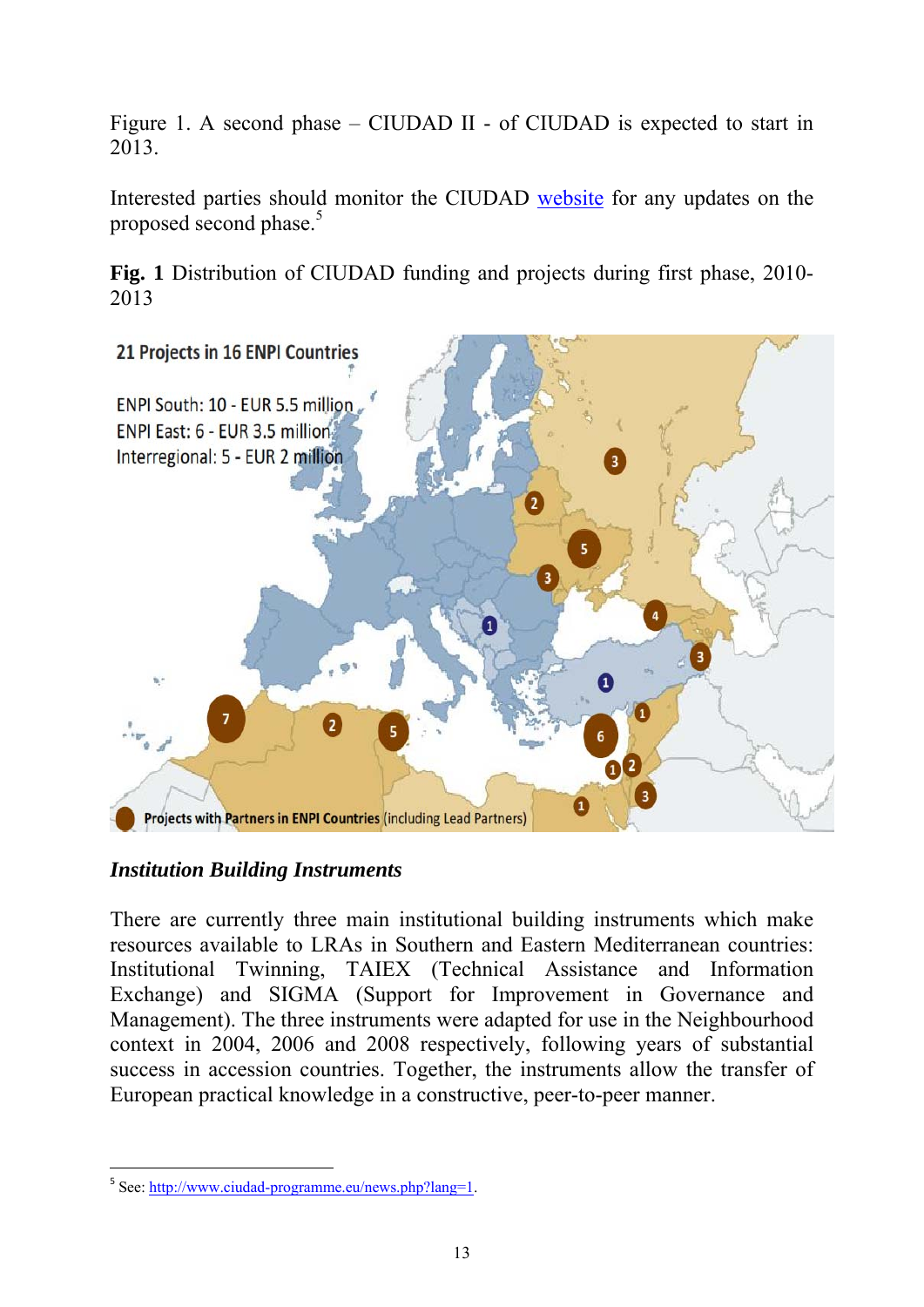Figure 1. A second phase – CIUDAD II - of CIUDAD is expected to start in 2013.

Interested parties should monitor the CIUDAD [website](http://www.ciudad-programme.eu/news.php?pageNum_news=6&totalRows_news=35&lang=1) for any updates on the proposed second phase.<sup>5</sup>

**Fig. 1** Distribution of CIUDAD funding and projects during first phase, 2010- 2013



# *Institution Building Instruments*

There are currently three main institutional building instruments which make resources available to LRAs in Southern and Eastern Mediterranean countries: Institutional Twinning, TAIEX (Technical Assistance and Information Exchange) and SIGMA (Support for Improvement in Governance and Management). The three instruments were adapted for use in the Neighbourhood context in 2004, 2006 and 2008 respectively, following years of substantial success in accession countries. Together, the instruments allow the transfer of European practical knowledge in a constructive, peer-to-peer manner.

-

<sup>5</sup> [See: http://www.ciudad-programme.eu/news.php?lang=1.](http://www.ciudad-programme.eu/news.php?lang=1)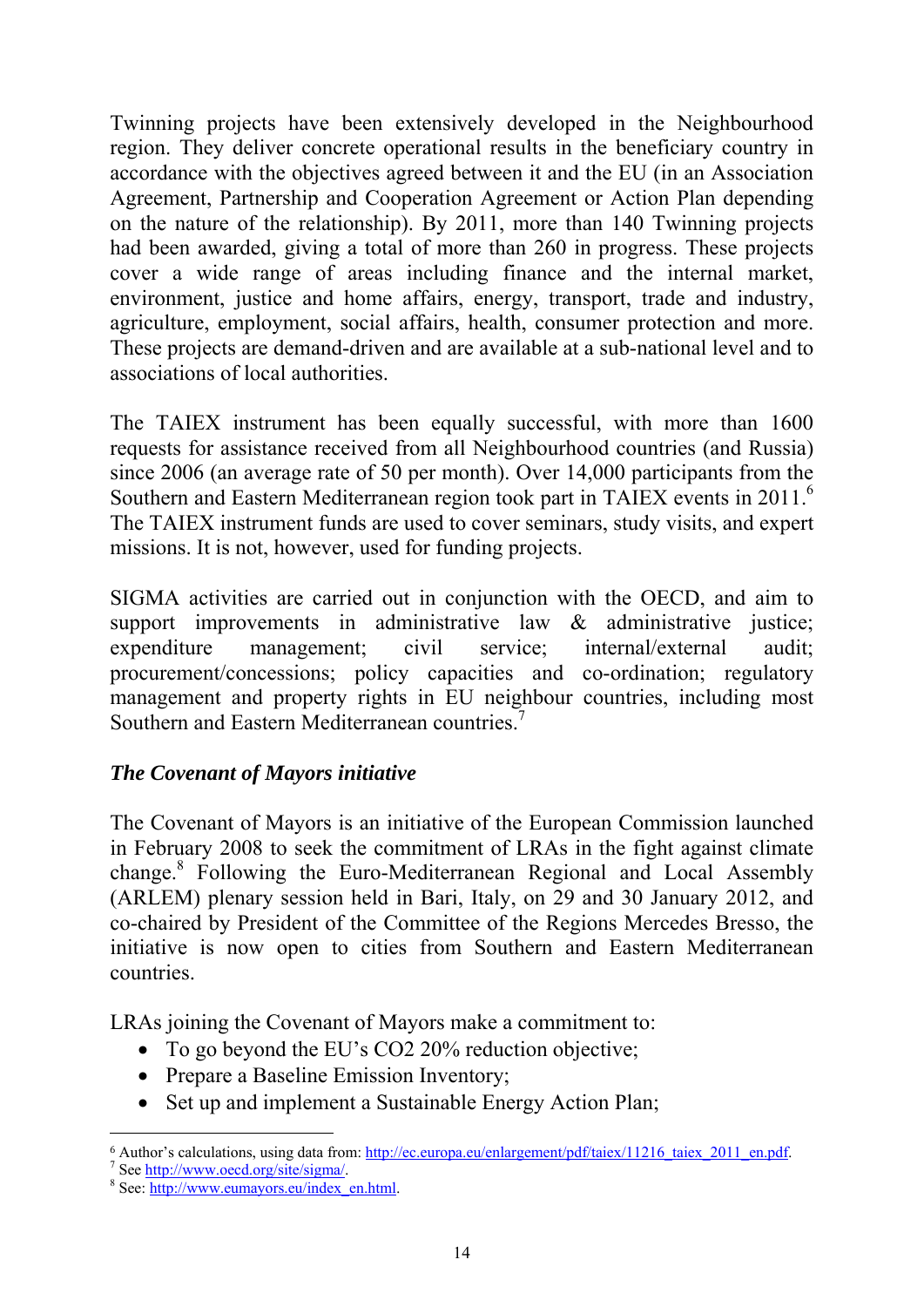Twinning projects have been extensively developed in the Neighbourhood region. They deliver concrete operational results in the beneficiary country in accordance with the objectives agreed between it and the EU (in an Association Agreement, Partnership and Cooperation Agreement or Action Plan depending on the nature of the relationship). By 2011, more than 140 Twinning projects had been awarded, giving a total of more than 260 in progress. These projects cover a wide range of areas including finance and the internal market, environment, justice and home affairs, energy, transport, trade and industry, agriculture, employment, social affairs, health, consumer protection and more. These projects are demand-driven and are available at a sub-national level and to associations of local authorities.

The TAIEX instrument has been equally successful, with more than 1600 requests for assistance received from all Neighbourhood countries (and Russia) since 2006 (an average rate of 50 per month). Over 14,000 participants from the Southern and Eastern Mediterranean region took part in TAIEX events in 2011.6 The TAIEX instrument funds are used to cover seminars, study visits, and expert missions. It is not, however, used for funding projects.

SIGMA activities are carried out in conjunction with the OECD, and aim to support improvements in administrative law  $\&$  administrative justice; expenditure management; civil service; internal/external audit; procurement/concessions; policy capacities and co-ordination; regulatory management and property rights in EU neighbour countries, including most Southern and Eastern Mediterranean countries.<sup>7</sup>

# *The Covenant of Mayors initiative*

The Covenant of Mayors is an initiative of the European Commission launched in February 2008 to seek the commitment of LRAs in the fight against climate change.<sup>8</sup> Following the Euro-Mediterranean Regional and Local Assembly (ARLEM) plenary session held in Bari, Italy, on 29 and 30 January 2012, and co-chaired by President of the Committee of the Regions Mercedes Bresso, the initiative is now open to cities from Southern and Eastern Mediterranean countries.

LRAs joining the Covenant of Mayors make a commitment to:

- To go beyond the EU's CO2 20% reduction objective;
- Prepare a Baseline Emission Inventory;
- Set up and implement a Sustainable Energy Action Plan;

-

<sup>&</sup>lt;sup>6</sup> Author's calculations, using data from: [http://ec.europa.eu/enlargement/pdf/taiex/11216\\_taiex\\_2011\\_en.pdf.](http://ec.europa.eu/enlargement/pdf/taiex/11216_taiex_2011_en.pdf)

 $\frac{7}{1}$  See http://www.oecd.org/site/sigma/.

<sup>&</sup>lt;sup>8</sup> [See: http://www.eumayors.eu/index\\_en.html.](http://www.eumayors.eu/index_en.html)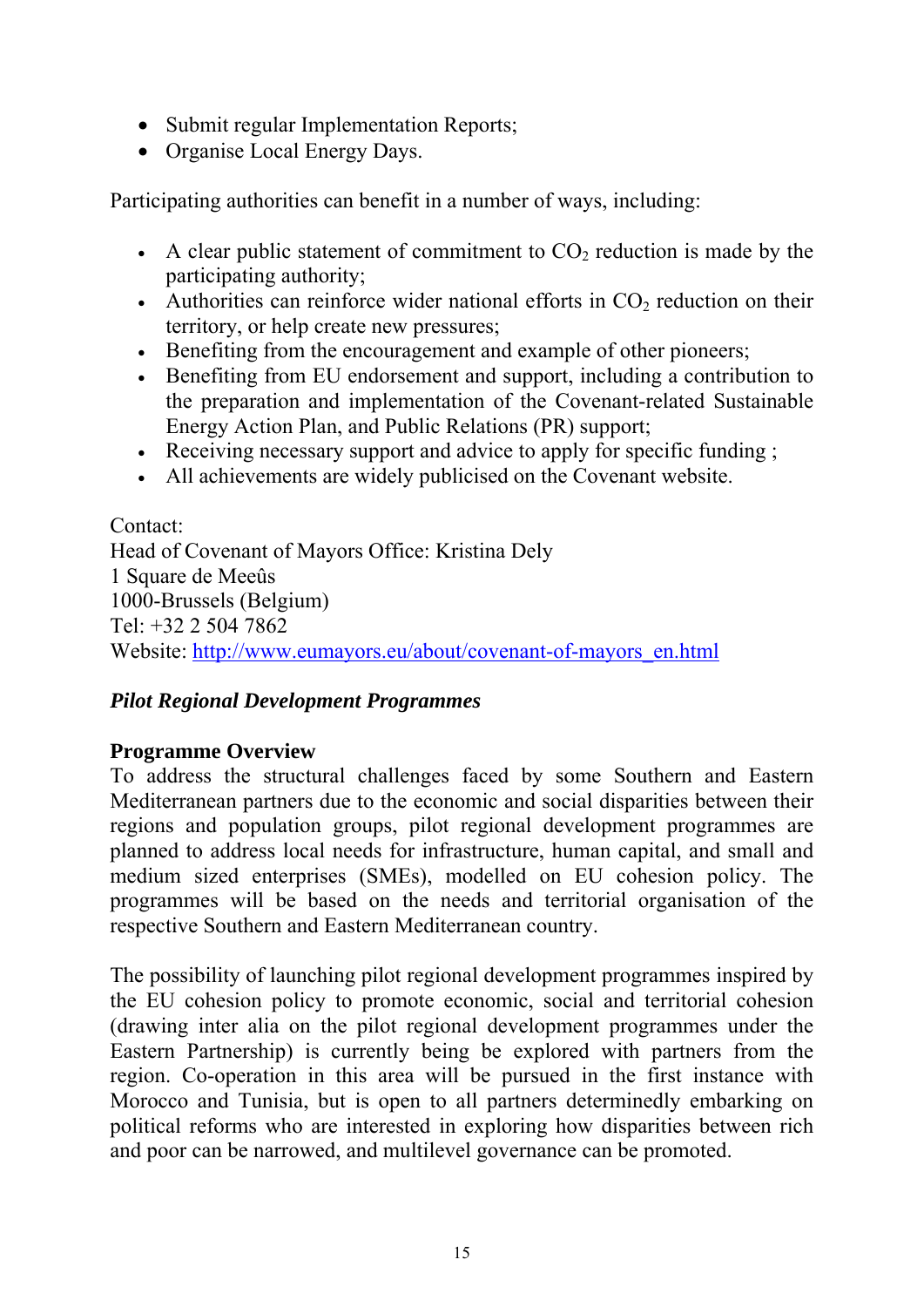- Submit regular Implementation Reports;
- Organise Local Energy Days.

Participating authorities can benefit in a number of ways, including:

- A clear public statement of commitment to  $CO<sub>2</sub>$  reduction is made by the participating authority;
- Authorities can reinforce wider national efforts in  $CO<sub>2</sub>$  reduction on their territory, or help create new pressures;
- Benefiting from the encouragement and example of other pioneers;
- Benefiting from EU endorsement and support, including a contribution to the preparation and implementation of the Covenant-related Sustainable Energy Action Plan, and Public Relations (PR) support;
- Receiving necessary support and advice to apply for specific funding;
- All achievements are widely publicised on the Covenant website.

Contact: Head of Covenant of Mayors Office: Kristina Dely 1 Square de Meeûs 1000-Brussels (Belgium) Tel: +32 2 504 7862 Website: [http://www.eumayors.eu/about/covenant-of-mayors\\_en.html](http://www.eumayors.eu/about/covenant-of-mayors_en.html) 

# *Pilot Regional Development Programmes*

#### **Programme Overview**

To address the structural challenges faced by some Southern and Eastern Mediterranean partners due to the economic and social disparities between their regions and population groups, pilot regional development programmes are planned to address local needs for infrastructure, human capital, and small and medium sized enterprises (SMEs), modelled on EU cohesion policy. The programmes will be based on the needs and territorial organisation of the respective Southern and Eastern Mediterranean country.

The possibility of launching pilot regional development programmes inspired by the EU cohesion policy to promote economic, social and territorial cohesion (drawing inter alia on the pilot regional development programmes under the Eastern Partnership) is currently being be explored with partners from the region. Co-operation in this area will be pursued in the first instance with Morocco and Tunisia, but is open to all partners determinedly embarking on political reforms who are interested in exploring how disparities between rich and poor can be narrowed, and multilevel governance can be promoted.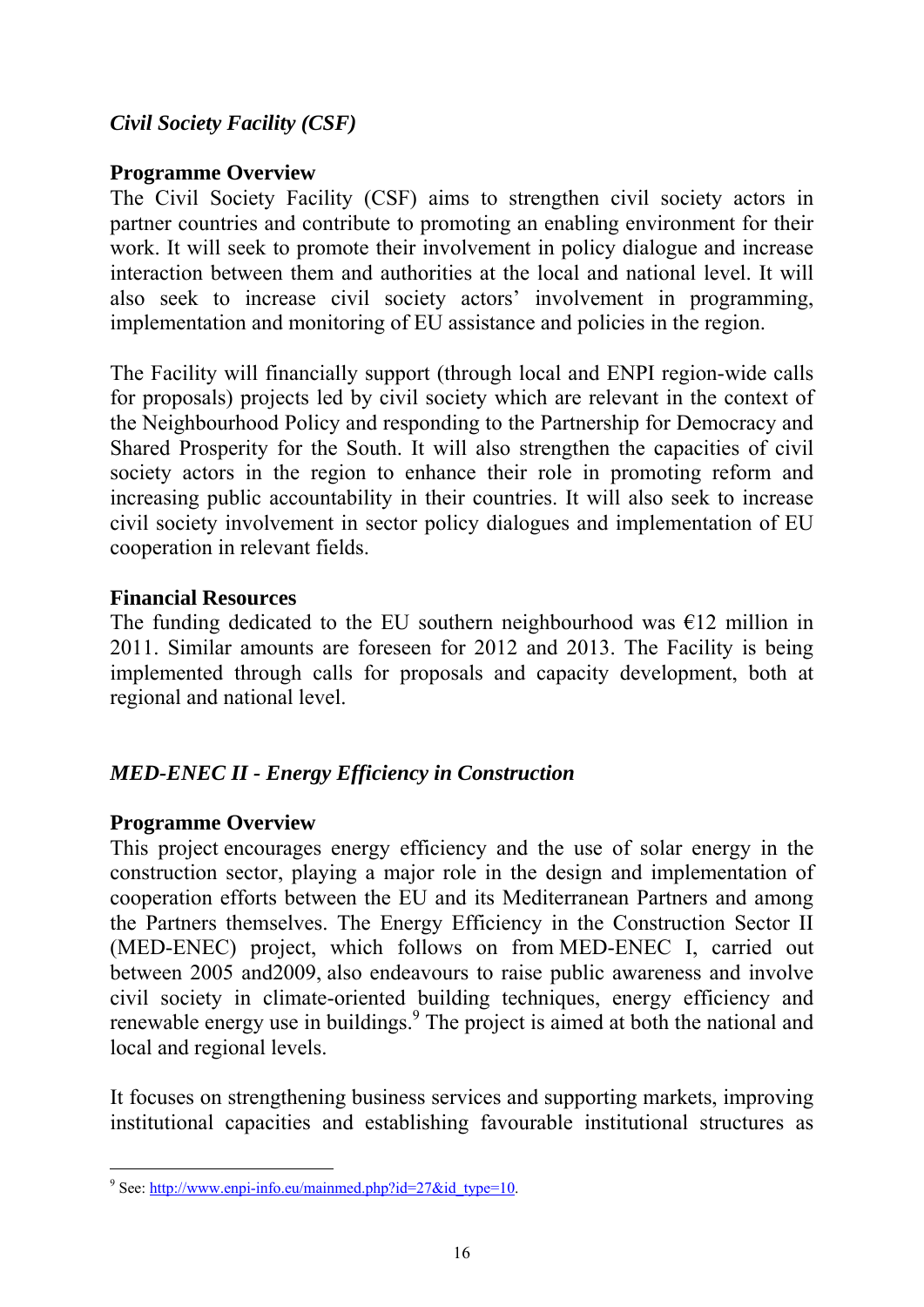### *Civil Society Facility (CSF)*

#### **Programme Overview**

The Civil Society Facility (CSF) aims to strengthen civil society actors in partner countries and contribute to promoting an enabling environment for their work. It will seek to promote their involvement in policy dialogue and increase interaction between them and authorities at the local and national level. It will also seek to increase civil society actors' involvement in programming, implementation and monitoring of EU assistance and policies in the region.

The Facility will financially support (through local and ENPI region-wide calls for proposals) projects led by civil society which are relevant in the context of the Neighbourhood Policy and responding to the Partnership for Democracy and Shared Prosperity for the South. It will also strengthen the capacities of civil society actors in the region to enhance their role in promoting reform and increasing public accountability in their countries. It will also seek to increase civil society involvement in sector policy dialogues and implementation of EU cooperation in relevant fields.

#### **Financial Resources**

The funding dedicated to the EU southern neighbourhood was  $\epsilon$ 12 million in 2011. Similar amounts are foreseen for 2012 and 2013. The Facility is being implemented through calls for proposals and capacity development, both at regional and national level.

#### *MED-ENEC II - Energy Efficiency in Construction*

#### **Programme Overview**

This project encourages energy efficiency and the use of solar energy in the construction sector, playing a major role in the design and implementation of cooperation efforts between the EU and its Mediterranean Partners and among the Partners themselves. The Energy Efficiency in the Construction Sector II (MED-ENEC) project, which follows on from MED-ENEC I, carried out between 2005 and2009, also endeavours to raise public awareness and involve civil society in climate-oriented building techniques, energy efficiency and renewable energy use in buildings.<sup>9</sup> The project is aimed at both the national and local and regional levels.

It focuses on strengthening business services and supporting markets, improving institutional capacities and establishing favourable institutional structures as

<sup>9&</sup>lt;br>9 See: http://www.enpi-info.eu/mainmed.php?id=27&id\_type=10.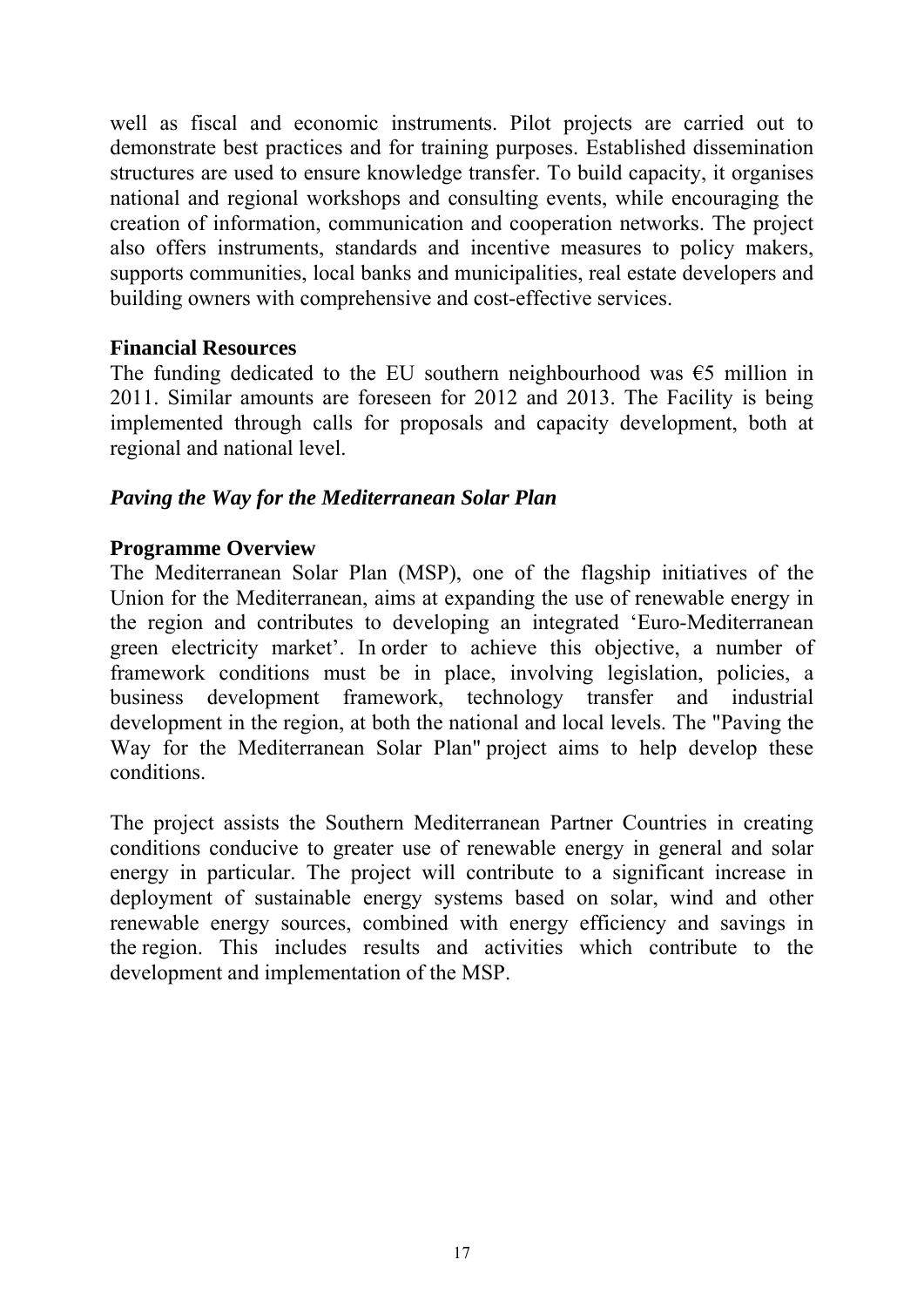well as fiscal and economic instruments. Pilot projects are carried out to demonstrate best practices and for training purposes. Established dissemination structures are used to ensure knowledge transfer. To build capacity, it organises national and regional workshops and consulting events, while encouraging the creation of information, communication and cooperation networks. The project also offers instruments, standards and incentive measures to policy makers, supports communities, local banks and municipalities, real estate developers and building owners with comprehensive and cost-effective services.

#### **Financial Resources**

The funding dedicated to the EU southern neighbourhood was  $\epsilon$ 5 million in 2011. Similar amounts are foreseen for 2012 and 2013. The Facility is being implemented through calls for proposals and capacity development, both at regional and national level.

#### *Paving the Way for the Mediterranean Solar Plan*

#### **Programme Overview**

The Mediterranean Solar Plan (MSP), one of the flagship initiatives of the Union for the Mediterranean, aims at expanding the use of renewable energy in the region and contributes to developing an integrated 'Euro-Mediterranean green electricity market'. In order to achieve this objective, a number of framework conditions must be in place, involving legislation, policies, a business development framework, technology transfer and industrial development in the region, at both the national and local levels. The "Paving the Way for the Mediterranean Solar Plan" project aims to help develop these conditions.

The project assists the Southern Mediterranean Partner Countries in creating conditions conducive to greater use of renewable energy in general and solar energy in particular. The project will contribute to a significant increase in deployment of sustainable energy systems based on solar, wind and other renewable energy sources, combined with energy efficiency and savings in the region. This includes results and activities which contribute to the development and implementation of the MSP.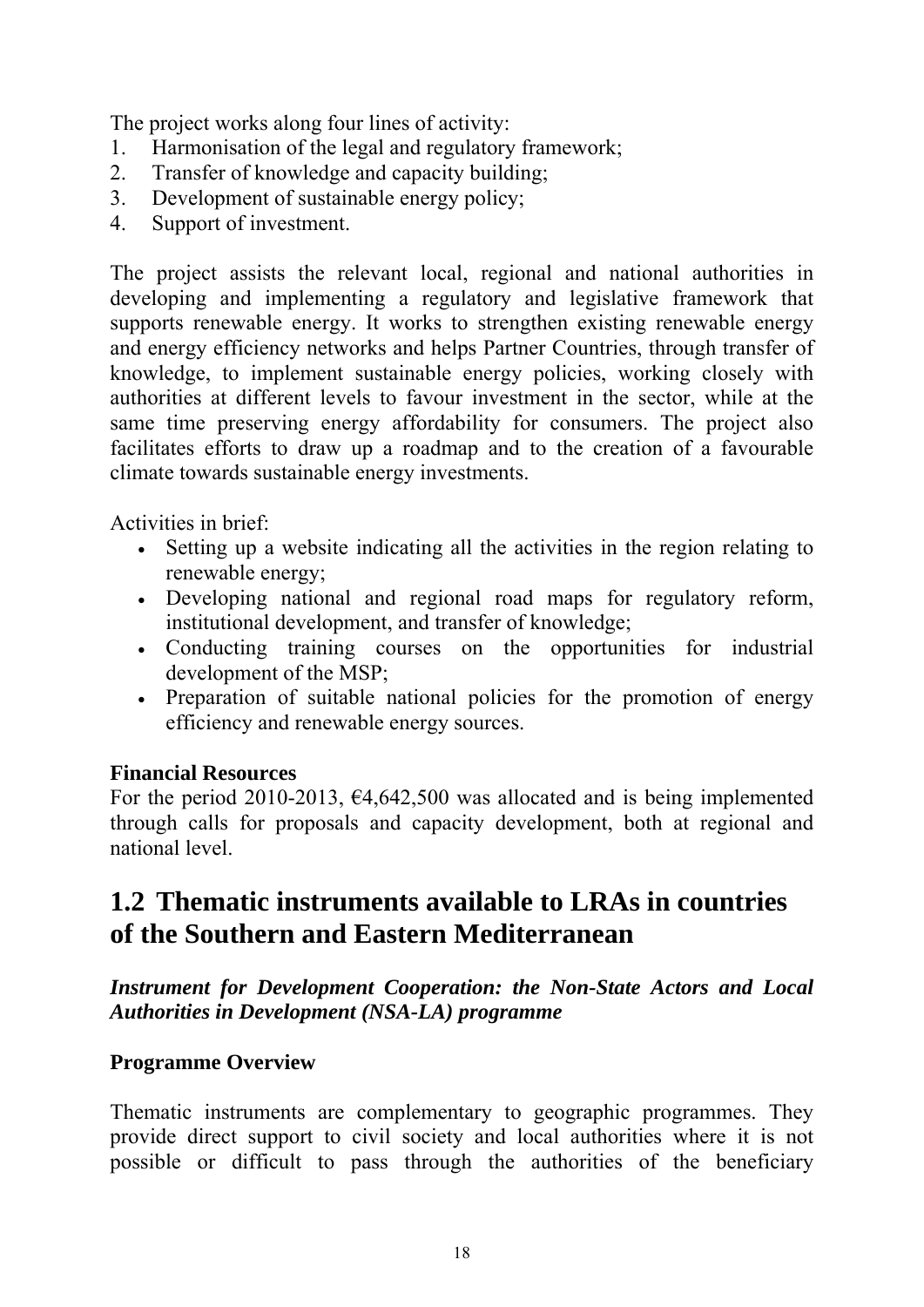The project works along four lines of activity:

- 1. Harmonisation of the legal and regulatory framework;
- 2. Transfer of knowledge and capacity building;
- 3. Development of sustainable energy policy;
- 4. Support of investment.

The project assists the relevant local, regional and national authorities in developing and implementing a regulatory and legislative framework that supports renewable energy. It works to strengthen existing renewable energy and energy efficiency networks and helps Partner Countries, through transfer of knowledge, to implement sustainable energy policies, working closely with authorities at different levels to favour investment in the sector, while at the same time preserving energy affordability for consumers. The project also facilitates efforts to draw up a roadmap and to the creation of a favourable climate towards sustainable energy investments.

Activities in brief:

- Setting up a website indicating all the activities in the region relating to renewable energy;
- Developing national and regional road maps for regulatory reform, institutional development, and transfer of knowledge;
- Conducting training courses on the opportunities for industrial development of the MSP;
- Preparation of suitable national policies for the promotion of energy efficiency and renewable energy sources.

# **Financial Resources**

For the period 2010-2013,  $\epsilon$ 4,642,500 was allocated and is being implemented through calls for proposals and capacity development, both at regional and national level.

# <span id="page-21-0"></span>**1.2 Thematic instruments available to LRAs in countries of the Southern and Eastern Mediterranean**

*Instrument for Development Cooperation: the Non-State Actors and Local Authorities in Development (NSA-LA) programme*

# **Programme Overview**

Thematic instruments are complementary to geographic programmes. They provide direct support to civil society and local authorities where it is not possible or difficult to pass through the authorities of the beneficiary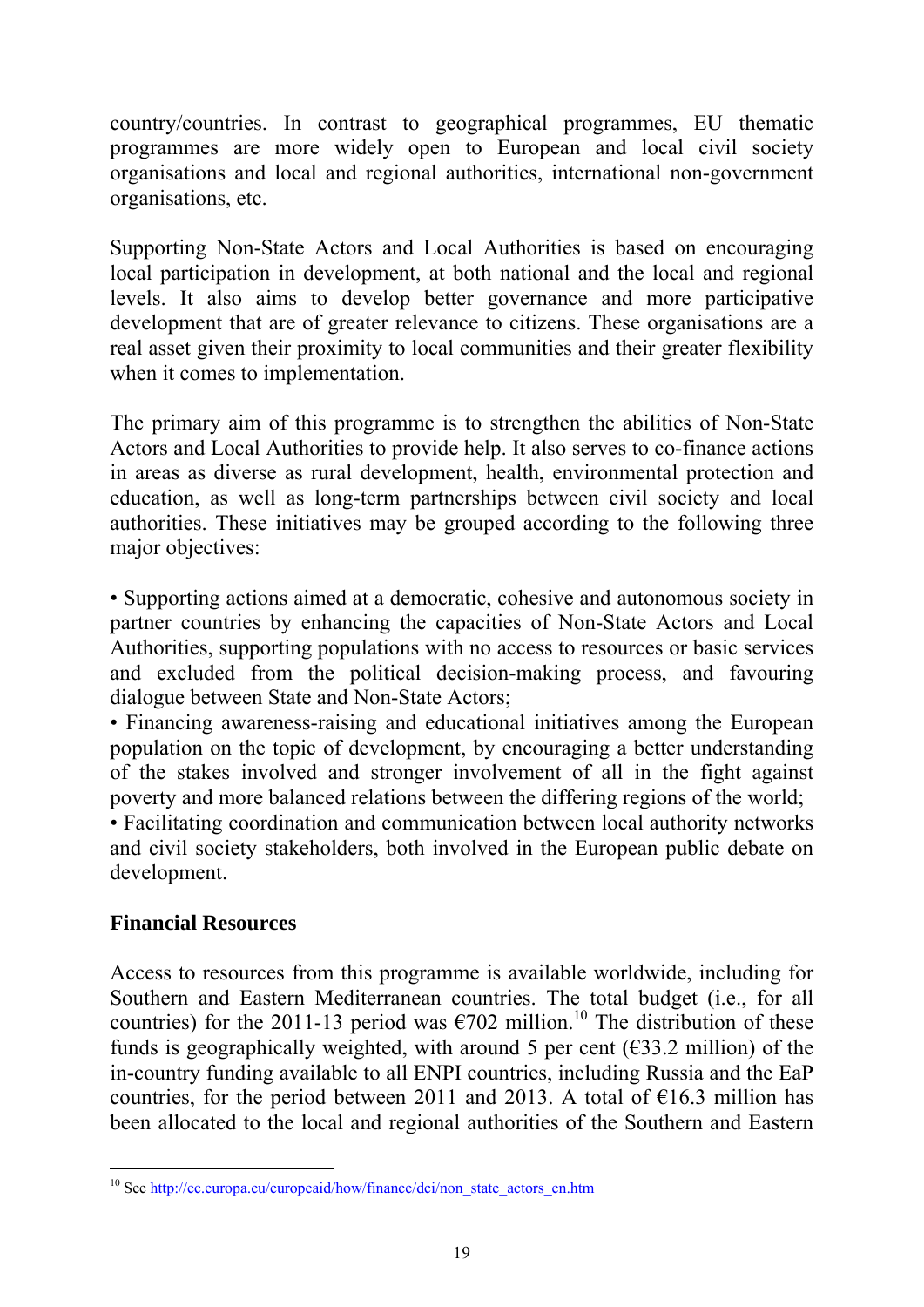country/countries. In contrast to geographical programmes, EU thematic programmes are more widely open to European and local civil society organisations and local and regional authorities, international non-government organisations, etc.

Supporting Non-State Actors and Local Authorities is based on encouraging local participation in development, at both national and the local and regional levels. It also aims to develop better governance and more participative development that are of greater relevance to citizens. These organisations are a real asset given their proximity to local communities and their greater flexibility when it comes to implementation.

The primary aim of this programme is to strengthen the abilities of Non-State Actors and Local Authorities to provide help. It also serves to co-finance actions in areas as diverse as rural development, health, environmental protection and education, as well as long-term partnerships between civil society and local authorities. These initiatives may be grouped according to the following three major objectives:

• Supporting actions aimed at a democratic, cohesive and autonomous society in partner countries by enhancing the capacities of Non-State Actors and Local Authorities, supporting populations with no access to resources or basic services and excluded from the political decision-making process, and favouring dialogue between State and Non-State Actors;

• Financing awareness-raising and educational initiatives among the European population on the topic of development, by encouraging a better understanding of the stakes involved and stronger involvement of all in the fight against poverty and more balanced relations between the differing regions of the world;

• Facilitating coordination and communication between local authority networks and civil society stakeholders, both involved in the European public debate on development.

# **Financial Resources**

Access to resources from this programme is available worldwide, including for Southern and Eastern Mediterranean countries. The total budget (i.e., for all countries) for the 2011-13 period was  $\epsilon$ 702 million.<sup>10</sup> The distribution of these funds is geographically weighted, with around 5 per cent ( $\epsilon$ 33.2 million) of the in-country funding available to all ENPI countries, including Russia and the EaP countries, for the period between 2011 and 2013. A total of  $\epsilon$ 16.3 million has been allocated to the local and regional authorities of the Southern and Eastern

<sup>-</sup><sup>10</sup> See http://ec.europa.eu/europeaid/how/finance/dci/non\_state\_actors\_en.htm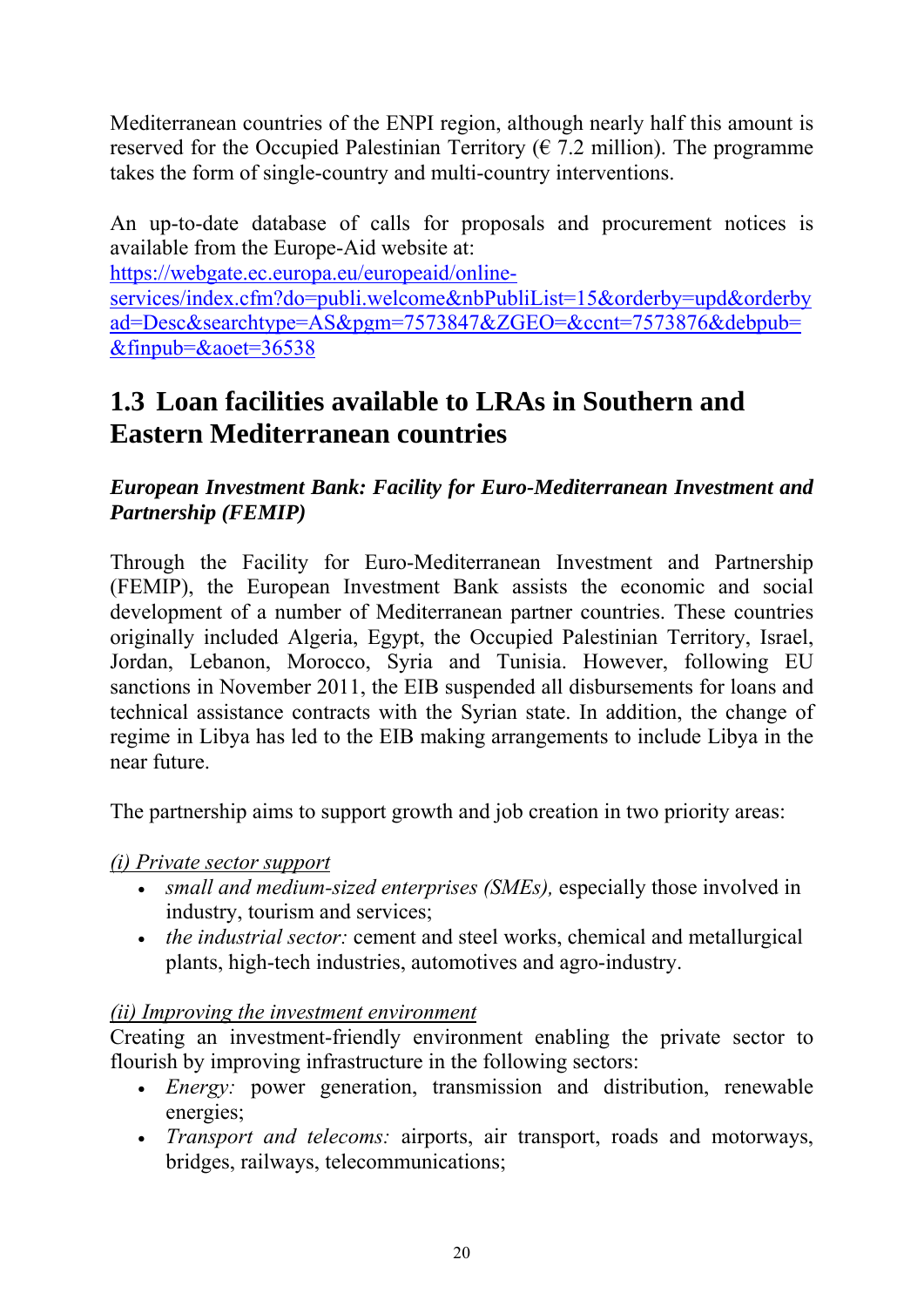Mediterranean countries of the ENPI region, although nearly half this amount is reserved for the Occupied Palestinian Territory ( $\epsilon$  7.2 million). The programme takes the form of single-country and multi-country interventions.

An up-to-date database of calls for proposals and procurement notices is available from the Europe-Aid website at:

[https://webgate.ec.europa.eu/europeaid/online-](https://webgate.ec.europa.eu/europeaid/online-services/index.cfm?do=publi.welcome&nbPubliList=15&orderby=upd&orderbyad=Desc&searchtype=AS&pgm=7573847&ZGEO=&ccnt=7573876&debpub=&finpub=&aoet=36538)

[services/index.cfm?do=publi.welcome&nbPubliList=15&orderby=upd&orderby](https://webgate.ec.europa.eu/europeaid/online-services/index.cfm?do=publi.welcome&nbPubliList=15&orderby=upd&orderbyad=Desc&searchtype=AS&pgm=7573847&ZGEO=&ccnt=7573876&debpub=&finpub=&aoet=36538) [ad=Desc&searchtype=AS&pgm=7573847&ZGEO=&ccnt=7573876&debpub=](https://webgate.ec.europa.eu/europeaid/online-services/index.cfm?do=publi.welcome&nbPubliList=15&orderby=upd&orderbyad=Desc&searchtype=AS&pgm=7573847&ZGEO=&ccnt=7573876&debpub=&finpub=&aoet=36538) [&finpub=&aoet=36538](https://webgate.ec.europa.eu/europeaid/online-services/index.cfm?do=publi.welcome&nbPubliList=15&orderby=upd&orderbyad=Desc&searchtype=AS&pgm=7573847&ZGEO=&ccnt=7573876&debpub=&finpub=&aoet=36538)

# <span id="page-23-0"></span>**1.3 Loan facilities available to LRAs in Southern and Eastern Mediterranean countries**

*European Investment Bank: Facility for Euro-Mediterranean Investment and Partnership (FEMIP)*

Through the Facility for Euro-Mediterranean Investment and Partnership (FEMIP), the European Investment Bank assists the economic and social development of a number of Mediterranean partner countries. These countries originally included Algeria, Egypt, the Occupied Palestinian Territory, Israel, Jordan, Lebanon, Morocco, Syria and Tunisia. However, following EU sanctions in November 2011, the EIB suspended all disbursements for loans and technical assistance contracts with the Syrian state. In addition, the change of regime in Libya has led to the EIB making arrangements to include Libya in the near future.

The partnership aims to support growth and job creation in two priority areas:

# *(i) Private sector support*

- *small and medium-sized enterprises (SMEs),* especially those involved in industry, tourism and services;
- *the industrial sector:* cement and steel works, chemical and metallurgical plants, high-tech industries, automotives and agro-industry.

# *(ii) Improving the investment environment*

Creating an investment-friendly environment enabling the private sector to flourish by improving infrastructure in the following sectors:

- *Energy:* power generation, transmission and distribution, renewable energies;
- *Transport and telecoms:* airports, air transport, roads and motorways, bridges, railways, telecommunications;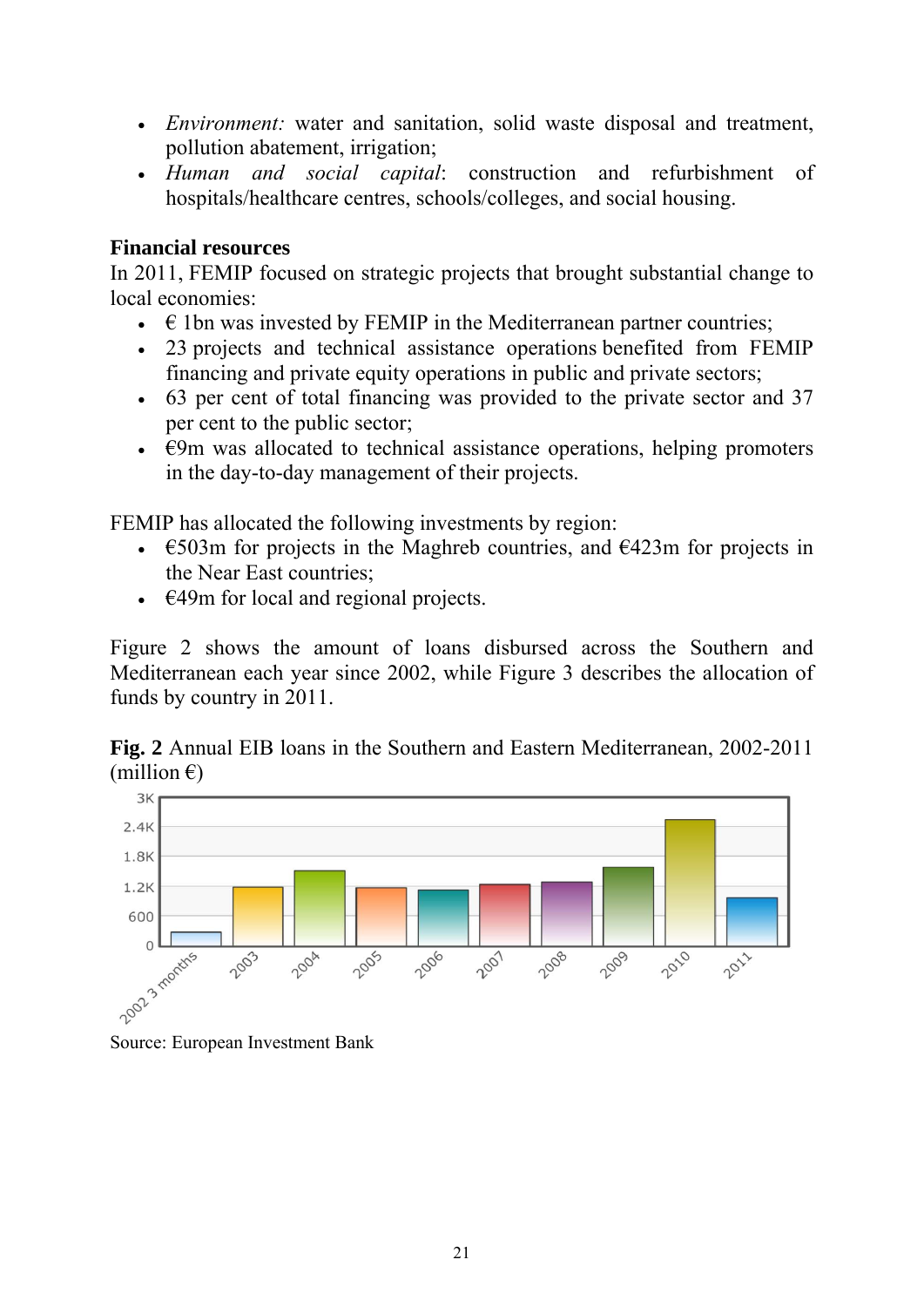- *Environment:* water and sanitation, solid waste disposal and treatment, pollution abatement, irrigation;
- *Human and social capital*: construction and refurbishment of hospitals/healthcare centres, schools/colleges, and social housing.

#### **Financial resources**

In 2011, FEMIP focused on strategic projects that brought substantial change to local economies:

- $\bullet$   $\in$  1bn was invested by FEMIP in the Mediterranean partner countries;
- 23 projects and technical assistance operations benefited from FEMIP financing and private equity operations in public and private sectors;
- 63 per cent of total financing was provided to the private sector and 37 per cent to the public sector;
- $\cdot$   $\in$ 9m was allocated to technical assistance operations, helping promoters in the day-to-day management of their projects.

FEMIP has allocated the following investments by region:

- $\epsilon$ 503m for projects in the Maghreb countries, and  $\epsilon$ 423m for projects in the Near East countries;
- $\cdot$   $\in$  49m for local and regional projects.

Figure 2 shows the amount of loans disbursed across the Southern and Mediterranean each year since 2002, while Figure 3 describes the allocation of funds by country in 2011.

**Fig. 2** Annual EIB loans in the Southern and Eastern Mediterranean, 2002-2011 (million  $\epsilon$ )

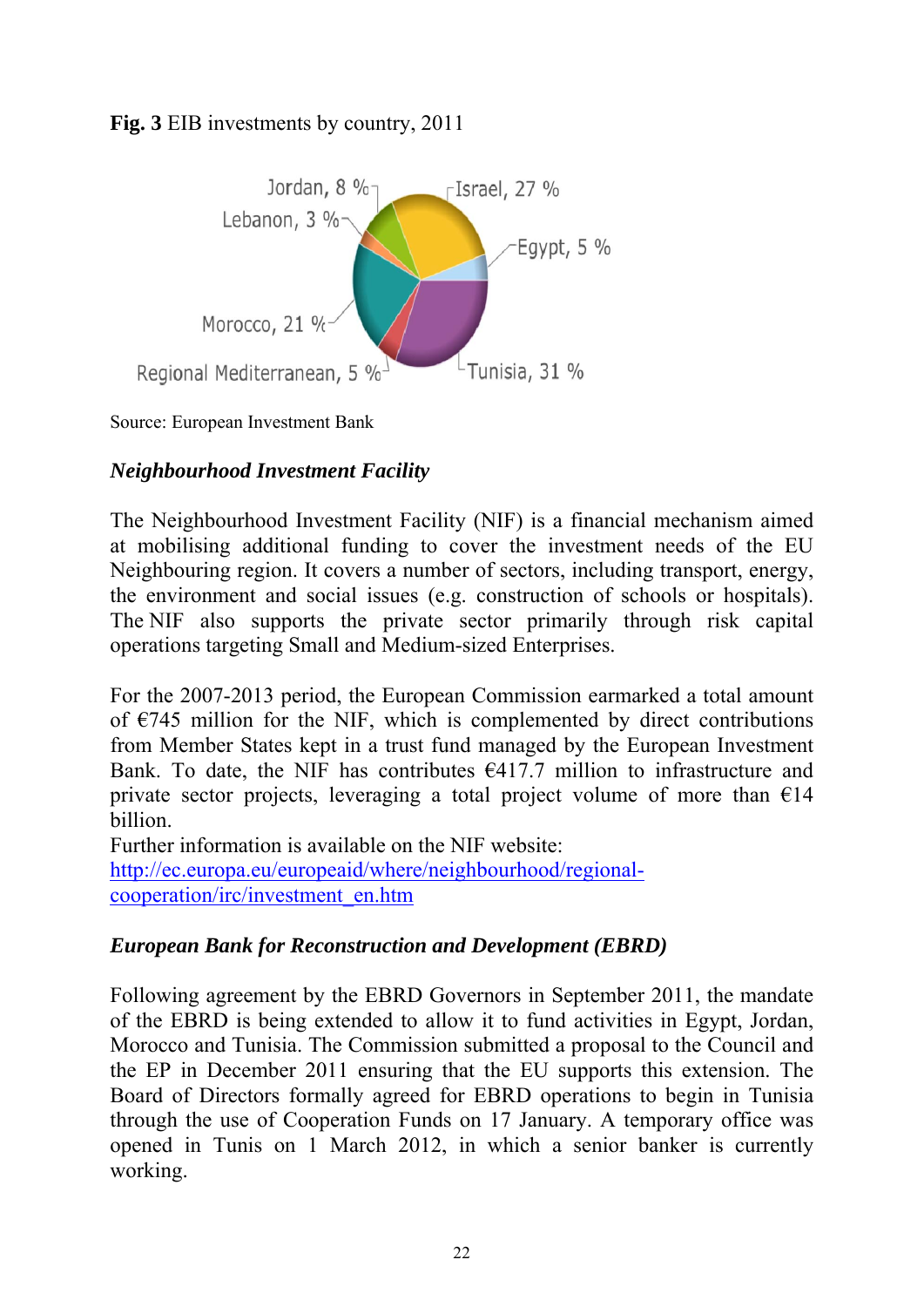# **Fig. 3** EIB investments by country, 2011



Source: European Investment Bank

# *Neighbourhood Investment Facility*

The Neighbourhood Investment Facility (NIF) is a financial mechanism aimed at mobilising additional funding to cover the investment needs of the EU Neighbouring region. It covers a number of sectors, including transport, energy, the environment and social issues (e.g. construction of schools or hospitals). The NIF also supports the private sector primarily through risk capital operations targeting Small and Medium-sized Enterprises.

For the 2007-2013 period, the European Commission earmarked a total amount of  $\epsilon$ 745 million for the NIF, which is complemented by direct contributions from Member States kept in a trust fund managed by the European Investment Bank. To date, the NIF has contributes  $\epsilon$ 417.7 million to infrastructure and private sector projects, leveraging a total project volume of more than  $\epsilon$ 14 billion.

Further information is available on the NIF website: [http://ec.europa.eu/europeaid/where/neighbourhood/regional](http://ec.europa.eu/europeaid/where/neighbourhood/regional-cooperation/irc/investment_en.htm)[cooperation/irc/investment\\_en.htm](http://ec.europa.eu/europeaid/where/neighbourhood/regional-cooperation/irc/investment_en.htm)

# *European Bank for Reconstruction and Development (EBRD)*

Following agreement by the EBRD Governors in September 2011, the mandate of the EBRD is being extended to allow it to fund activities in Egypt, Jordan, Morocco and Tunisia. The Commission submitted a proposal to the Council and the EP in December 2011 ensuring that the EU supports this extension. The Board of Directors formally agreed for EBRD operations to begin in Tunisia through the use of Cooperation Funds on 17 January. A temporary office was opened in Tunis on 1 March 2012, in which a senior banker is currently working.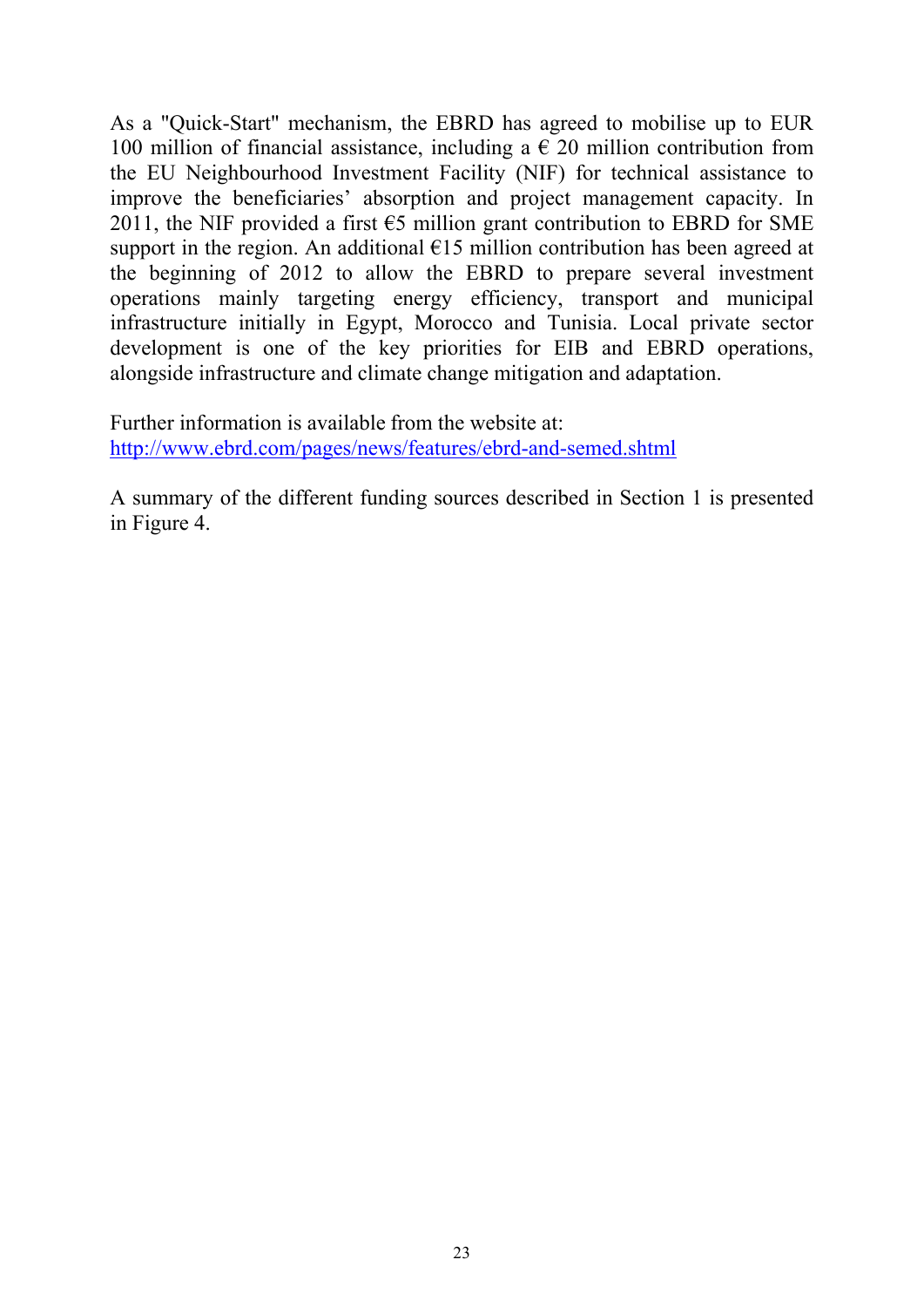As a "Quick-Start" mechanism, the EBRD has agreed to mobilise up to EUR 100 million of financial assistance, including a  $\epsilon$  20 million contribution from the EU Neighbourhood Investment Facility (NIF) for technical assistance to improve the beneficiaries' absorption and project management capacity. In 2011, the NIF provided a first  $\epsilon$ 5 million grant contribution to EBRD for SME support in the region. An additional  $E15$  million contribution has been agreed at the beginning of 2012 to allow the EBRD to prepare several investment operations mainly targeting energy efficiency, transport and municipal infrastructure initially in Egypt, Morocco and Tunisia. Local private sector development is one of the key priorities for EIB and EBRD operations, alongside infrastructure and climate change mitigation and adaptation.

Further information is available from the website at: <http://www.ebrd.com/pages/news/features/ebrd-and-semed.shtml>

A summary of the different funding sources described in Section 1 is presented in Figure 4.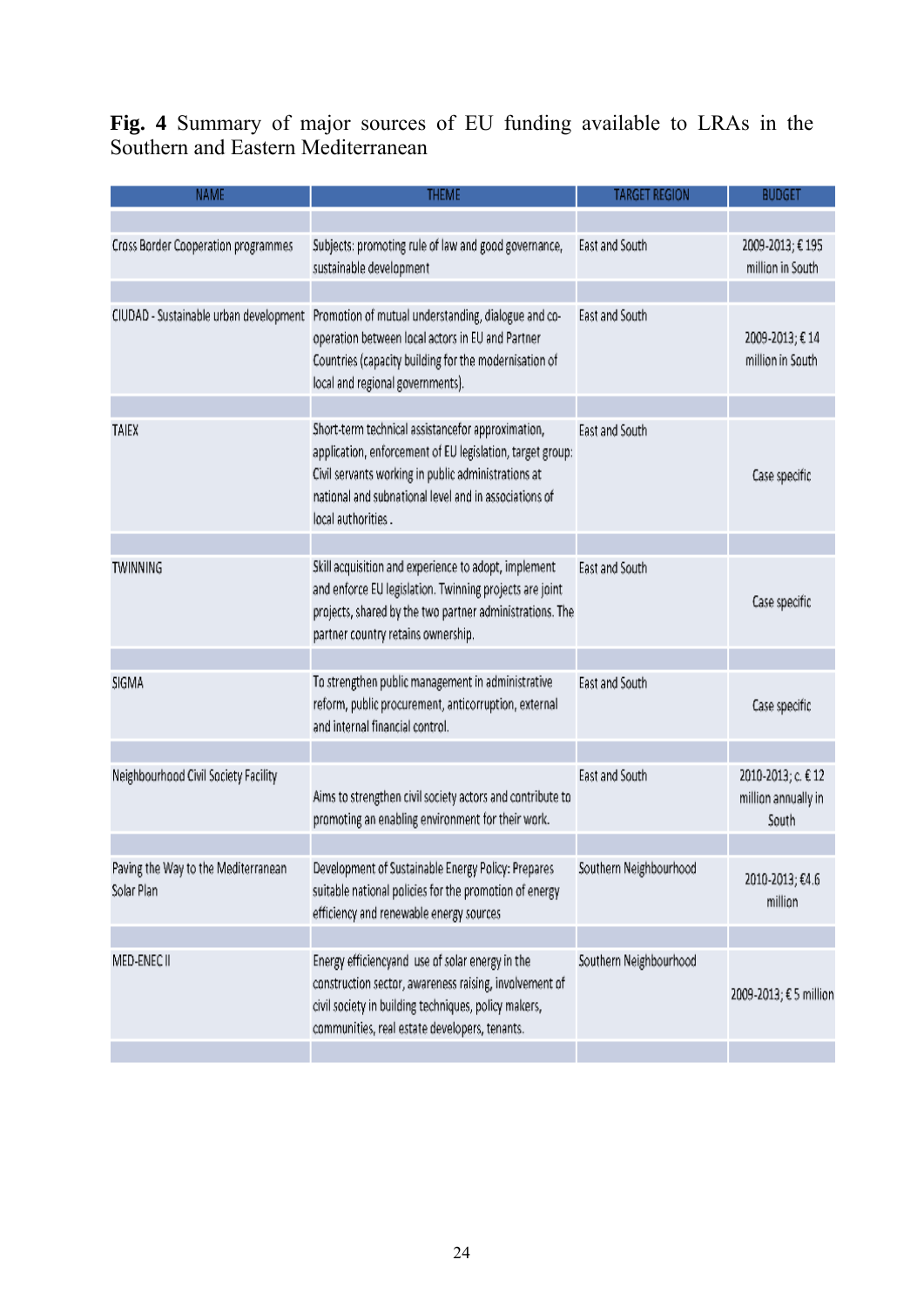**Fig. 4** Summary of major sources of EU funding available to LRAs in the Southern and Eastern Mediterranean

| <b>NAME</b>                                       | <b>THEME</b>                                                                                                                                                                                                                                         | <b>TARGET REGION</b>   | <b>BUDGET</b>                                      |
|---------------------------------------------------|------------------------------------------------------------------------------------------------------------------------------------------------------------------------------------------------------------------------------------------------------|------------------------|----------------------------------------------------|
|                                                   |                                                                                                                                                                                                                                                      |                        |                                                    |
| <b>Cross Border Cooperation programmes</b>        | Subjects: promoting rule of law and good governance,<br>sustainable development                                                                                                                                                                      | East and South         | 2009-2013; €195<br>million in South                |
|                                                   |                                                                                                                                                                                                                                                      |                        |                                                    |
| CIUDAD - Sustainable urban development            | Promotion of mutual understanding, dialogue and co-<br>operation between local actors in EU and Partner<br>Countries (capacity building for the modernisation of<br>local and regional governments).                                                 | East and South         | 2009-2013; €14<br>million in South                 |
|                                                   |                                                                                                                                                                                                                                                      |                        |                                                    |
| TAIEX                                             | Short-term technical assistancefor approximation,<br>application, enforcement of EU legislation, target group:<br>Civil servants working in public administrations at<br>national and subnational level and in associations of<br>local authorities. | East and South         | Case specific                                      |
|                                                   |                                                                                                                                                                                                                                                      |                        |                                                    |
| TWINNING                                          | Skill acquisition and experience to adopt, implement<br>and enforce EU legislation. Twinning projects are joint<br>projects, shared by the two partner administrations. The<br>partner country retains ownership.                                    | East and South         | Case specific                                      |
|                                                   |                                                                                                                                                                                                                                                      |                        |                                                    |
| SIGMA                                             | To strengthen public management in administrative<br>reform, public procurement, anticorruption, external<br>and internal financial control.                                                                                                         | East and South         | Case specific                                      |
|                                                   |                                                                                                                                                                                                                                                      |                        |                                                    |
| Neighbourhood Civil Society Facility              | Aims to strengthen civil society actors and contribute to<br>promoting an enabling environment for their work.                                                                                                                                       | East and South         | 2010-2013; c. € 12<br>million annually in<br>South |
|                                                   |                                                                                                                                                                                                                                                      |                        |                                                    |
| Paving the Way to the Mediterranean<br>Solar Plan | Development of Sustainable Energy Policy: Prepares<br>suitable national policies for the promotion of energy<br>efficiency and renewable energy sources                                                                                              | Southern Neighbourhood | 2010-2013; €4.6<br>million                         |
|                                                   |                                                                                                                                                                                                                                                      |                        |                                                    |
| MED-ENEC II                                       | Energy efficiencyand use of solar energy in the<br>construction sector, awareness raising, involvement of<br>civil society in building techniques, policy makers,<br>communities, real estate developers, tenants.                                   | Southern Neighbourhood | 2009-2013; € 5 million                             |
|                                                   |                                                                                                                                                                                                                                                      |                        |                                                    |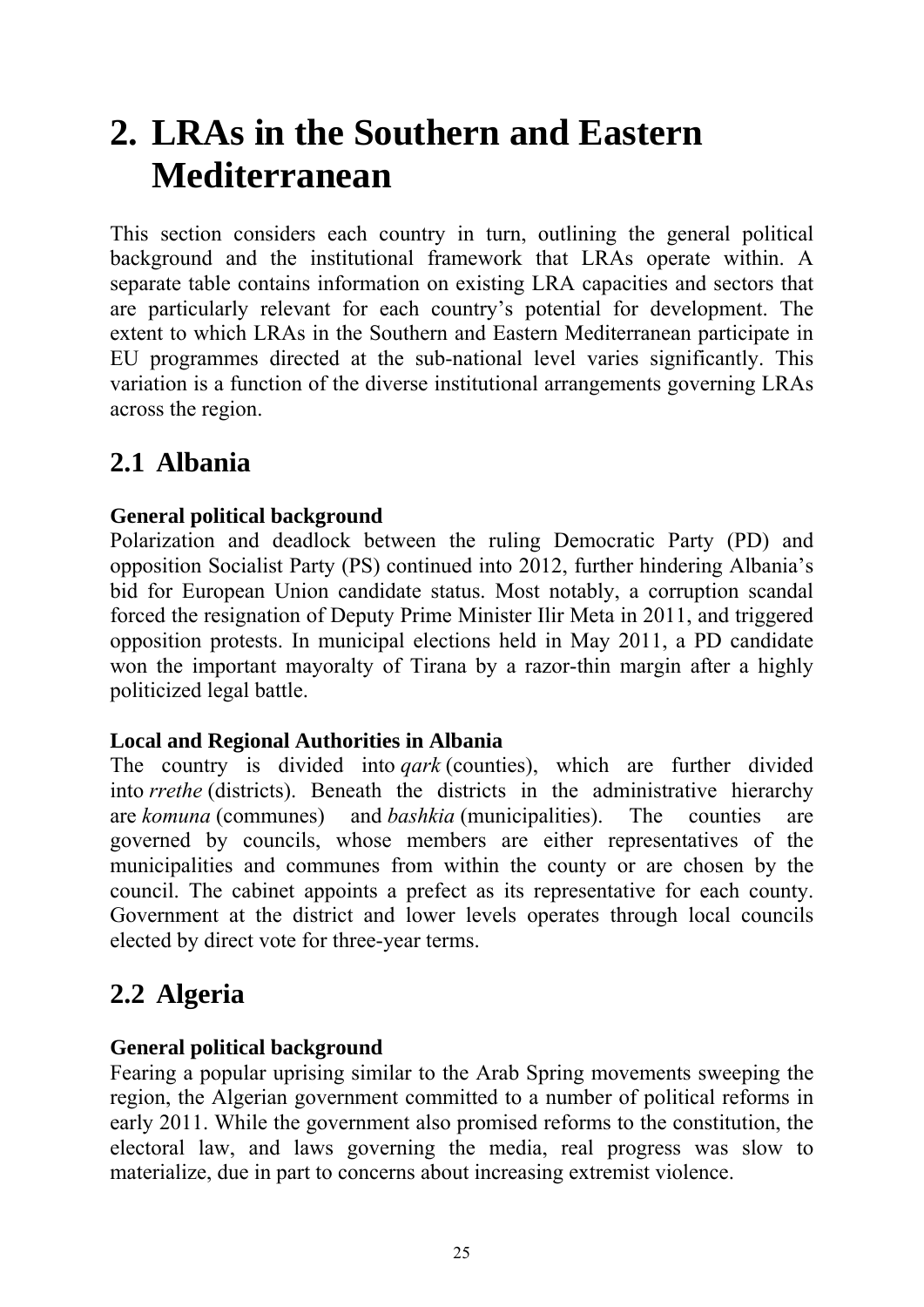# <span id="page-28-0"></span>**2. LRAs in the Southern and Eastern Mediterranean**

This section considers each country in turn, outlining the general political background and the institutional framework that LRAs operate within. A separate table contains information on existing LRA capacities and sectors that are particularly relevant for each country's potential for development. The extent to which LRAs in the Southern and Eastern Mediterranean participate in EU programmes directed at the sub-national level varies significantly. This variation is a function of the diverse institutional arrangements governing LRAs across the region.

# <span id="page-28-1"></span>**2.1 Albania**

# **General political background**

Polarization and deadlock between the ruling Democratic Party (PD) and opposition Socialist Party (PS) continued into 2012, further hindering Albania's bid for European Union candidate status. Most notably, a corruption scandal forced the resignation of Deputy Prime Minister Ilir Meta in 2011, and triggered opposition protests. In municipal elections held in May 2011, a PD candidate won the important mayoralty of Tirana by a razor-thin margin after a highly politicized legal battle.

# **Local and Regional Authorities in Albania**

The country is divided into *qark* (counties), which are further divided into *rrethe* (districts). Beneath the districts in the administrative hierarchy are *komuna* (communes) and *bashkia* (municipalities). The counties are governed by councils, whose members are either representatives of the municipalities and communes from within the county or are chosen by the council. The cabinet appoints a prefect as its representative for each county. Government at the district and lower levels operates through local councils elected by direct vote for three-year terms.

# <span id="page-28-2"></span>**2.2 Algeria**

# **General political background**

Fearing a popular uprising similar to the Arab Spring movements sweeping the region, the Algerian government committed to a number of political reforms in early 2011. While the government also promised reforms to the constitution, the electoral law, and laws governing the media, real progress was slow to materialize, due in part to concerns about increasing extremist violence.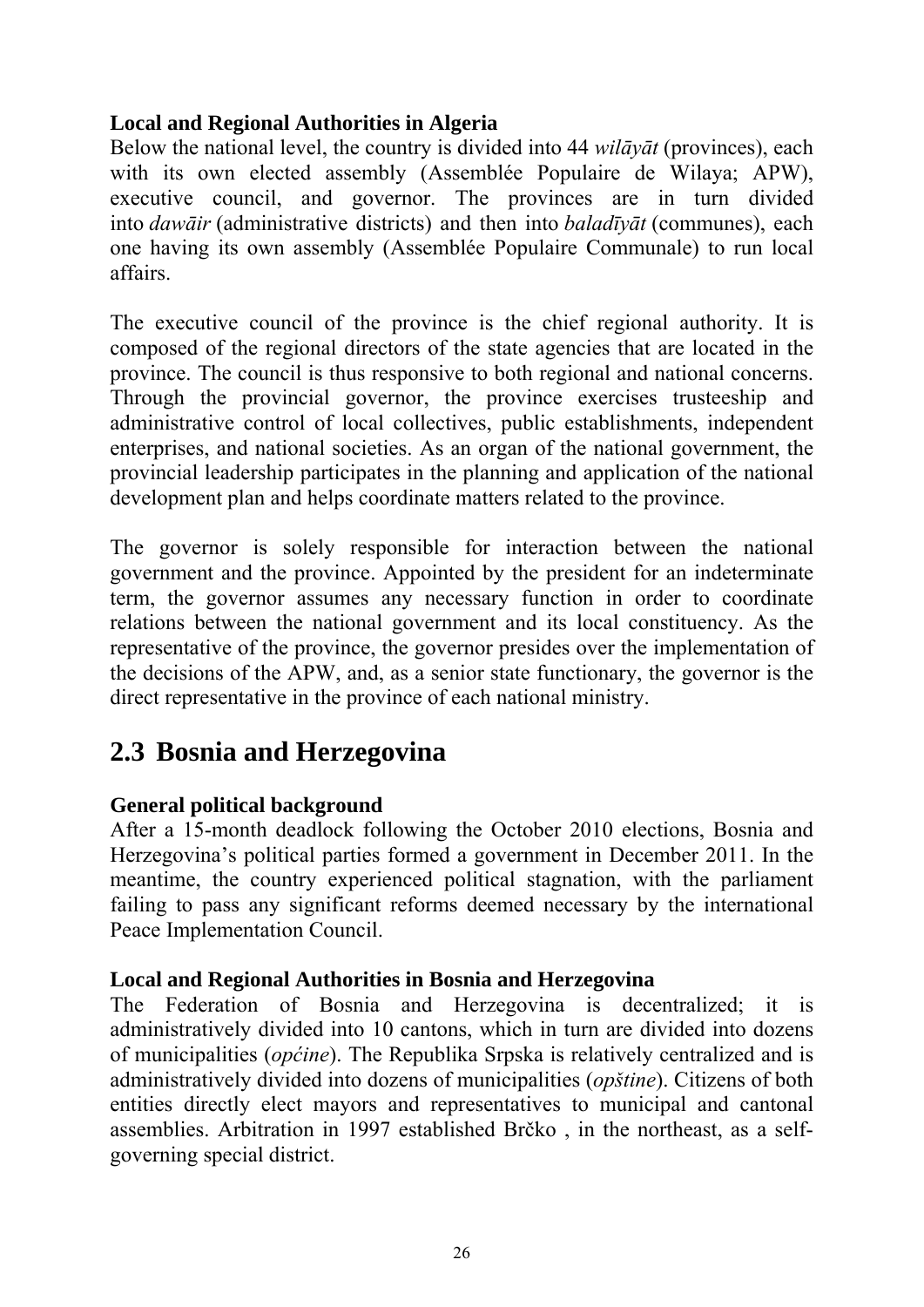# **Local and Regional Authorities in Algeria**

Below the national level, the country is divided into 44 *wilāyāt* (provinces), each with its own elected assembly (Assemblée Populaire de Wilaya; APW), executive council, and governor. The provinces are in turn divided into *dawāir* (administrative districts) and then into *baladīyāt* (communes), each one having its own assembly (Assemblée Populaire Communale) to run local affairs.

The executive council of the province is the chief regional authority. It is composed of the regional directors of the state agencies that are located in the province. The council is thus responsive to both regional and national concerns. Through the provincial governor, the province exercises trusteeship and administrative control of local collectives, public establishments, independent enterprises, and national societies. As an organ of the national government, the provincial leadership participates in the planning and application of the national development plan and helps coordinate matters related to the province.

The governor is solely responsible for interaction between the national government and the province. Appointed by the president for an indeterminate term, the governor assumes any necessary function in order to coordinate relations between the national government and its local constituency. As the representative of the province, the governor presides over the implementation of the decisions of the APW, and, as a senior state functionary, the governor is the direct representative in the province of each national ministry.

# <span id="page-29-0"></span>**2.3 Bosnia and Herzegovina**

# **General political background**

After a 15-month deadlock following the October 2010 elections, Bosnia and Herzegovina's political parties formed a government in December 2011. In the meantime, the country experienced political stagnation, with the parliament failing to pass any significant reforms deemed necessary by the international Peace Implementation Council.

#### **Local and Regional Authorities in Bosnia and Herzegovina**

The Federation of Bosnia and Herzegovina is decentralized; it is administratively divided into 10 cantons, which in turn are divided into dozens of municipalities (*općine*). The Republika Srpska is relatively centralized and is administratively divided into dozens of municipalities (*opštine*). Citizens of both entities directly elect mayors and representatives to municipal and cantonal assemblies. Arbitration in 1997 established Brčko , in the northeast, as a selfgoverning special district.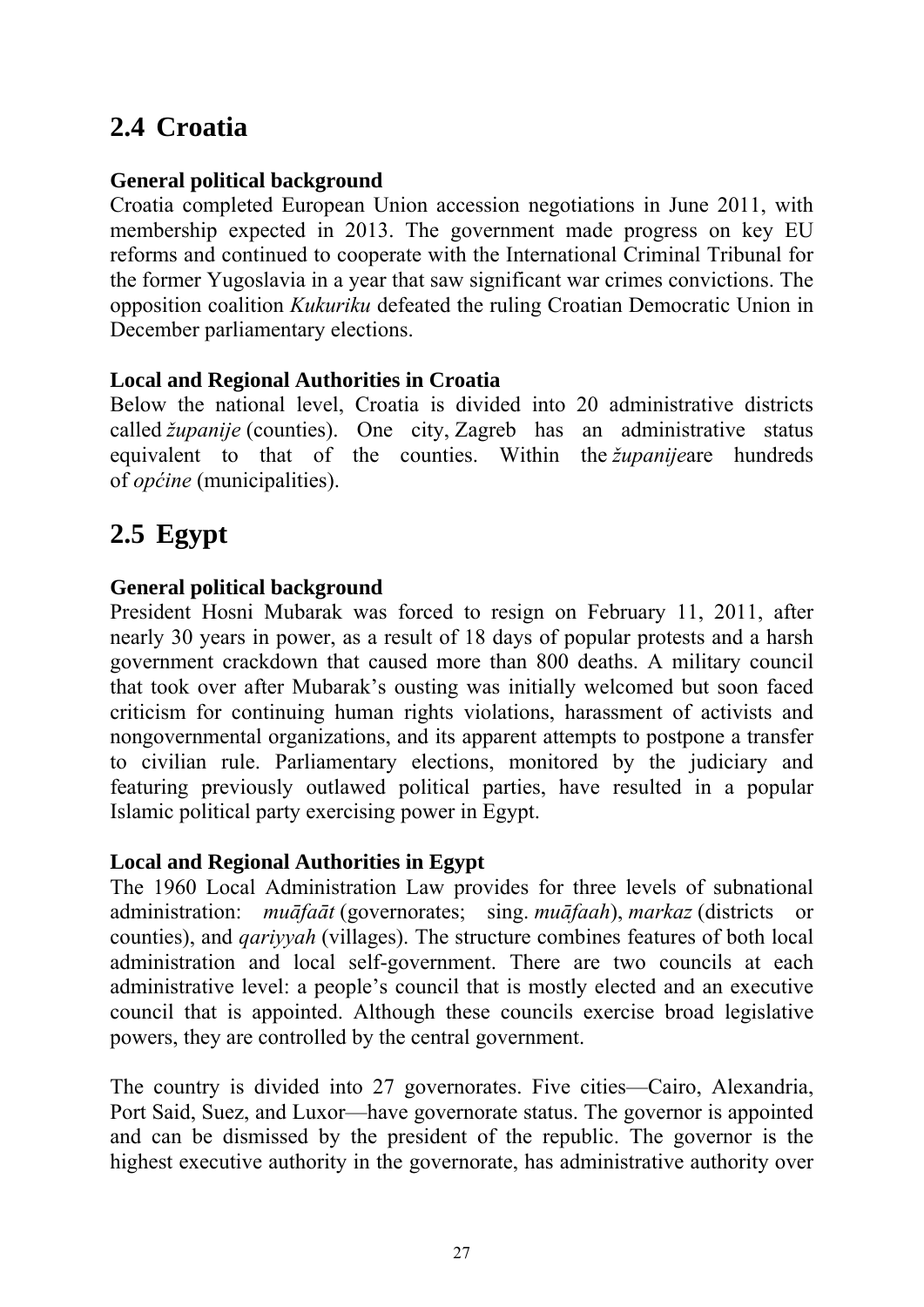# <span id="page-30-0"></span>**2.4 Croatia**

# **General political background**

Croatia completed European Union accession negotiations in June 2011, with membership expected in 2013. The government made progress on key EU reforms and continued to cooperate with the International Criminal Tribunal for the former Yugoslavia in a year that saw significant war crimes convictions. The opposition coalition *Kukuriku* defeated the ruling Croatian Democratic Union in December parliamentary elections.

### **Local and Regional Authorities in Croatia**

Below the national level, Croatia is divided into 20 administrative districts called *županije* (counties). One city, Zagreb has an administrative status equivalent to that of the counties. Within the *županije*are hundreds of *općine* (municipalities).

# <span id="page-30-1"></span>**2.5 Egypt**

# **General political background**

President Hosni Mubarak was forced to resign on February 11, 2011, after nearly 30 years in power, as a result of 18 days of popular protests and a harsh government crackdown that caused more than 800 deaths. A military council that took over after Mubarak's ousting was initially welcomed but soon faced criticism for continuing human rights violations, harassment of activists and nongovernmental organizations, and its apparent attempts to postpone a transfer to civilian rule. Parliamentary elections, monitored by the judiciary and featuring previously outlawed political parties, have resulted in a popular Islamic political party exercising power in Egypt.

#### **Local and Regional Authorities in Egypt**

The 1960 Local Administration Law provides for three levels of subnational administration: *muāfaāt* (governorates; sing. *muāfaah*), *markaz* (districts or counties), and *qariyyah* (villages). The structure combines features of both local administration and local self-government. There are two councils at each administrative level: a people's council that is mostly elected and an executive council that is appointed. Although these councils exercise broad legislative powers, they are controlled by the central government.

The country is divided into 27 governorates. Five cities—Cairo, Alexandria, Port Said, Suez, and Luxor—have governorate status. The governor is appointed and can be dismissed by the president of the republic. The governor is the highest executive authority in the governorate, has administrative authority over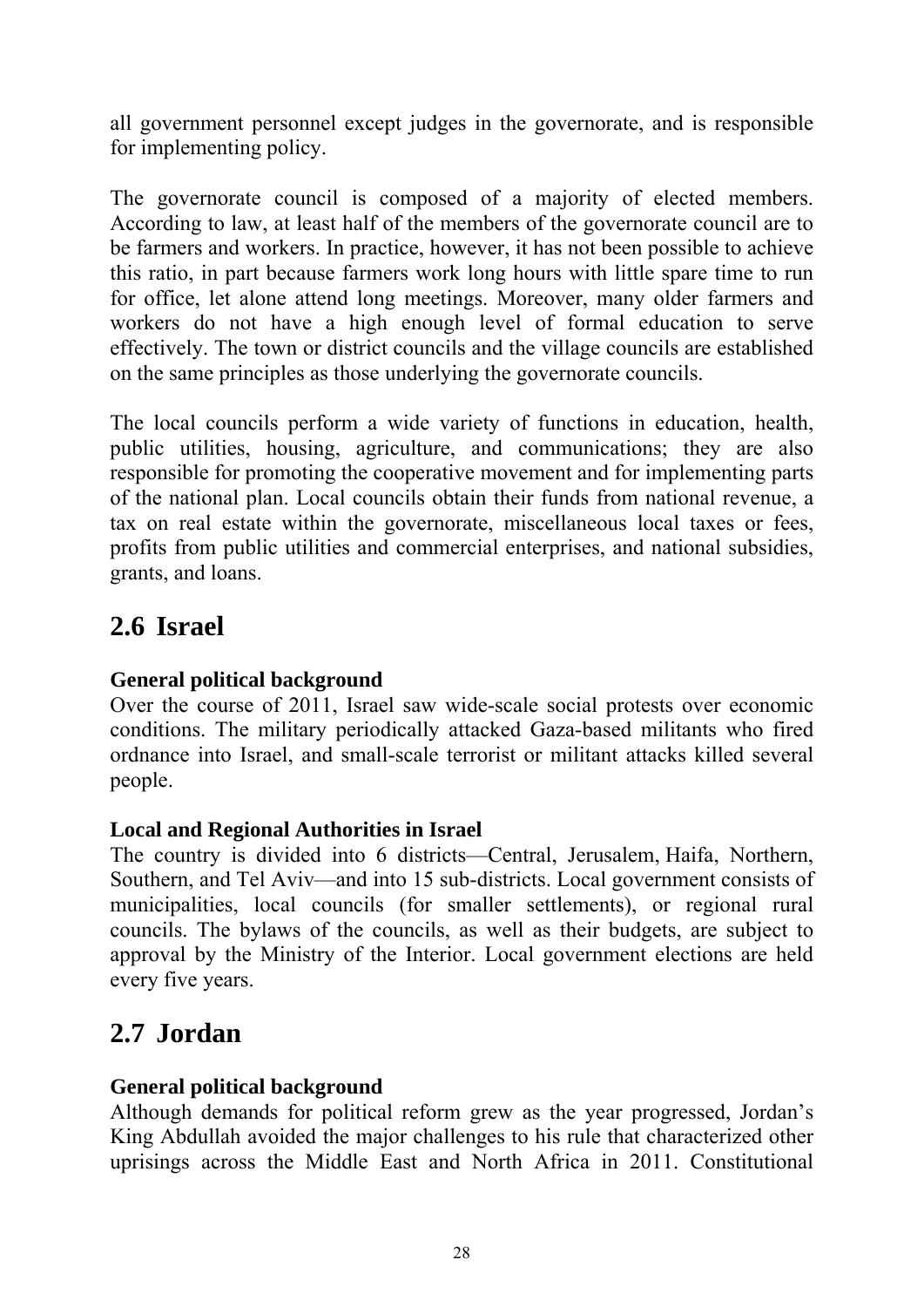all government personnel except judges in the governorate, and is responsible for implementing policy.

The governorate council is composed of a majority of elected members. According to law, at least half of the members of the governorate council are to be farmers and workers. In practice, however, it has not been possible to achieve this ratio, in part because farmers work long hours with little spare time to run for office, let alone attend long meetings. Moreover, many older farmers and workers do not have a high enough level of formal education to serve effectively. The town or district councils and the village councils are established on the same principles as those underlying the governorate councils.

The local councils perform a wide variety of functions in education, health, public utilities, housing, agriculture, and communications; they are also responsible for promoting the cooperative movement and for implementing parts of the national plan. Local councils obtain their funds from national revenue, a tax on real estate within the governorate, miscellaneous local taxes or fees, profits from public utilities and commercial enterprises, and national subsidies, grants, and loans.

# <span id="page-31-0"></span>**2.6 Israel**

# **General political background**

Over the course of 2011, Israel saw wide-scale social protests over economic conditions. The military periodically attacked Gaza-based militants who fired ordnance into Israel, and small-scale terrorist or militant attacks killed several people.

# **Local and Regional Authorities in Israel**

The country is divided into 6 districts—Central, Jerusalem, Haifa, Northern, Southern, and Tel Aviv—and into 15 sub-districts. Local government consists of municipalities, local councils (for smaller settlements), or regional rural councils. The bylaws of the councils, as well as their budgets, are subject to approval by the Ministry of the Interior. Local government elections are held every five years.

# <span id="page-31-1"></span>**2.7 Jordan**

# **General political background**

Although demands for political reform grew as the year progressed, Jordan's King Abdullah avoided the major challenges to his rule that characterized other uprisings across the Middle East and North Africa in 2011. Constitutional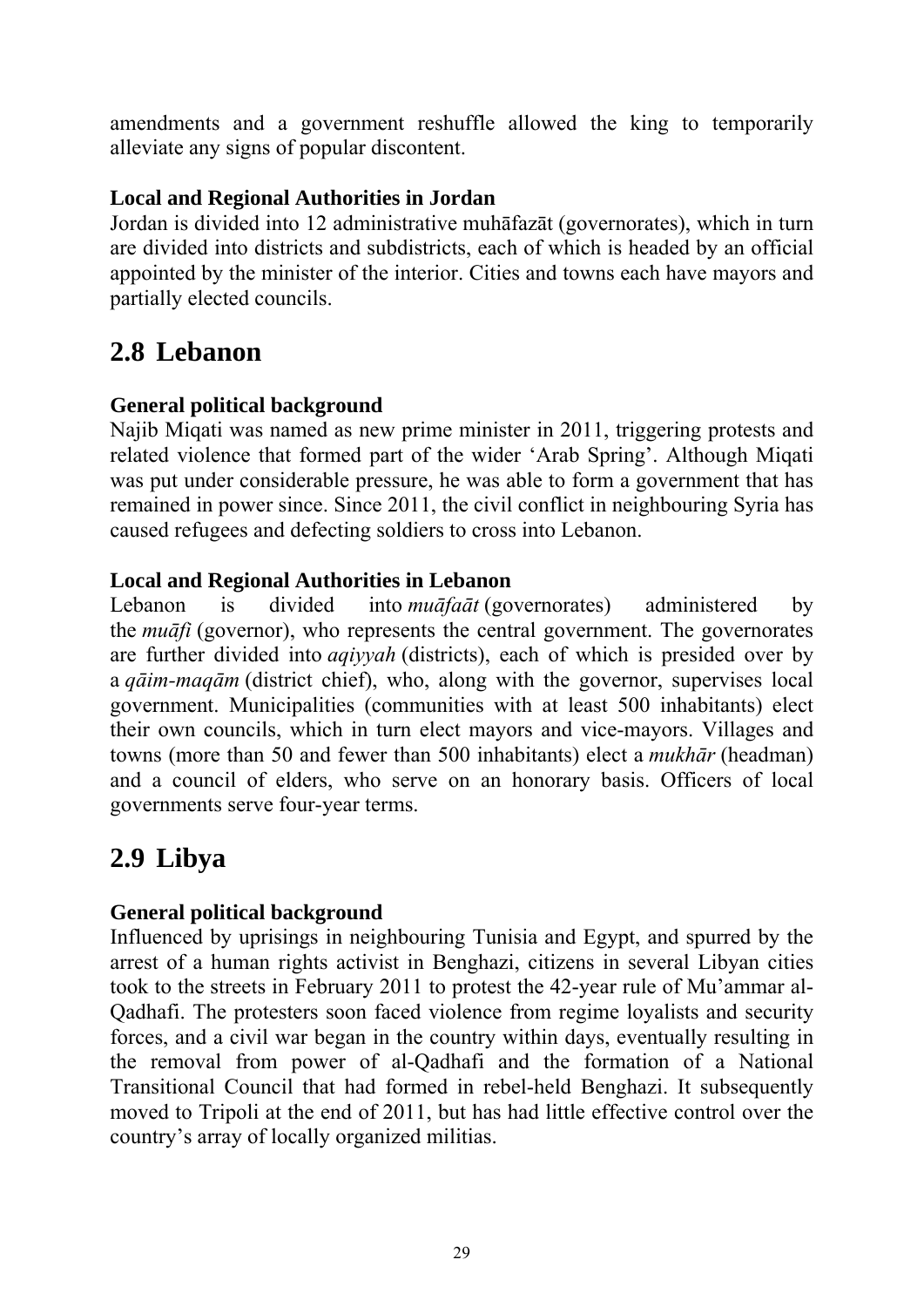amendments and a government reshuffle allowed the king to temporarily alleviate any signs of popular discontent.

# **Local and Regional Authorities in Jordan**

Jordan is divided into 12 administrative muhāfazāt (governorates), which in turn are divided into districts and subdistricts, each of which is headed by an official appointed by the minister of the interior. Cities and towns each have mayors and partially elected councils.

# <span id="page-32-0"></span>**2.8 Lebanon**

# **General political background**

Najib Miqati was named as new prime minister in 2011, triggering protests and related violence that formed part of the wider 'Arab Spring'. Although Miqati was put under considerable pressure, he was able to form a government that has remained in power since. Since 2011, the civil conflict in neighbouring Syria has caused refugees and defecting soldiers to cross into Lebanon.

# **Local and Regional Authorities in Lebanon**

Lebanon is divided into *muāfaāt* (governorates) administered by the *muāfi* (governor), who represents the central government. The governorates are further divided into *aqiyyah* (districts), each of which is presided over by a *qāim-maqām* (district chief), who, along with the governor, supervises local government. Municipalities (communities with at least 500 inhabitants) elect their own councils, which in turn elect mayors and vice-mayors. Villages and towns (more than 50 and fewer than 500 inhabitants) elect a *mukhār* (headman) and a council of elders, who serve on an honorary basis. Officers of local governments serve four-year terms.

# <span id="page-32-1"></span>**2.9 Libya**

# **General political background**

Influenced by uprisings in neighbouring Tunisia and Egypt, and spurred by the arrest of a human rights activist in Benghazi, citizens in several Libyan cities took to the streets in February 2011 to protest the 42-year rule of Mu'ammar al-Qadhafi. The protesters soon faced violence from regime loyalists and security forces, and a civil war began in the country within days, eventually resulting in the removal from power of al-Qadhafi and the formation of a National Transitional Council that had formed in rebel-held Benghazi. It subsequently moved to Tripoli at the end of 2011, but has had little effective control over the country's array of locally organized militias.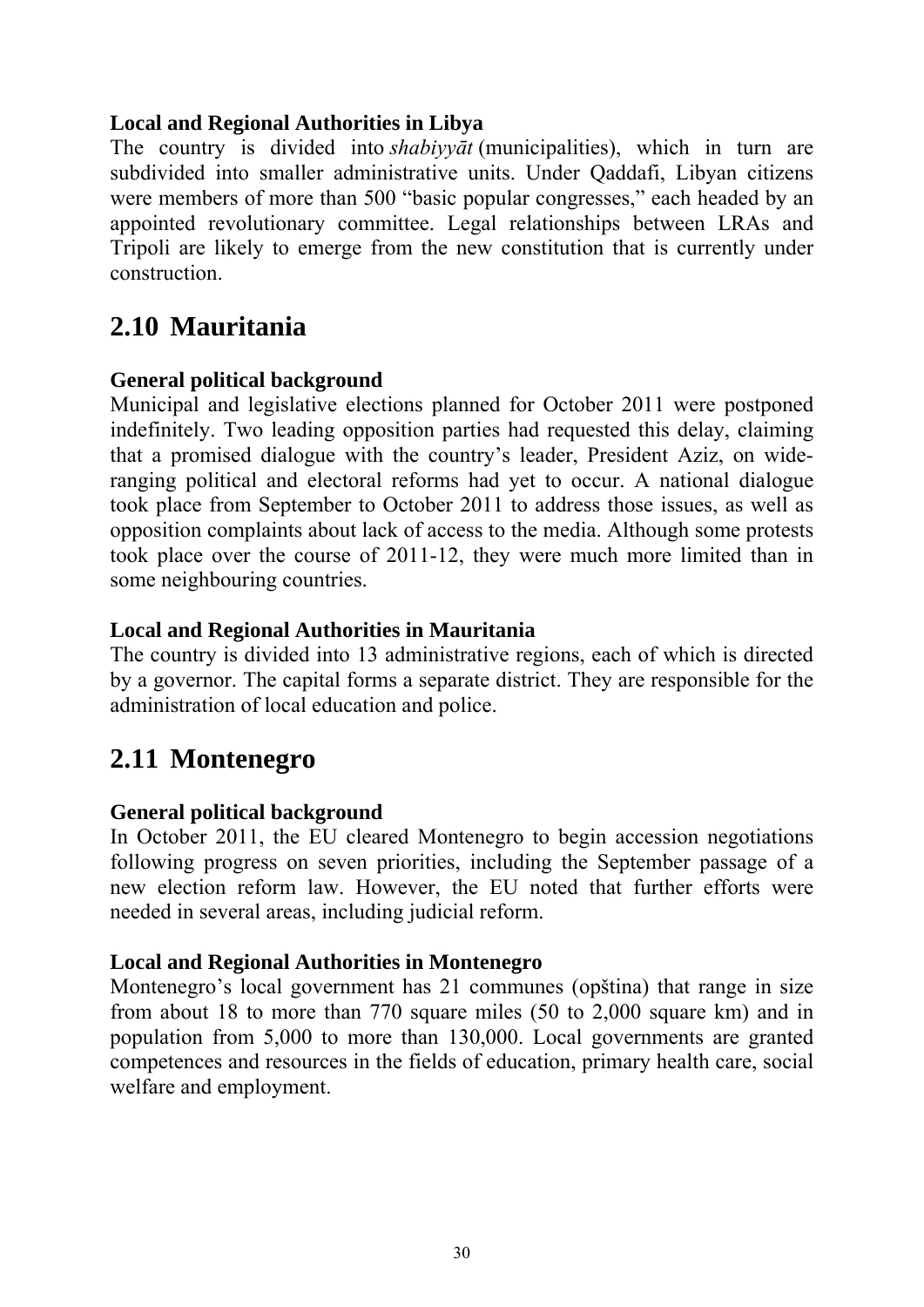### **Local and Regional Authorities in Libya**

The country is divided into *shabiyyāt* (municipalities), which in turn are subdivided into smaller administrative units. Under Qaddafi, Libyan citizens were members of more than 500 "basic popular congresses," each headed by an appointed revolutionary committee. Legal relationships between LRAs and Tripoli are likely to emerge from the new constitution that is currently under construction.

# <span id="page-33-0"></span>**2.10 Mauritania**

### **General political background**

Municipal and legislative elections planned for October 2011 were postponed indefinitely. Two leading opposition parties had requested this delay, claiming that a promised dialogue with the country's leader, President Aziz, on wideranging political and electoral reforms had yet to occur. A national dialogue took place from September to October 2011 to address those issues, as well as opposition complaints about lack of access to the media. Although some protests took place over the course of 2011-12, they were much more limited than in some neighbouring countries.

### **Local and Regional Authorities in Mauritania**

The country is divided into 13 administrative regions, each of which is directed by a governor. The capital forms a separate district. They are responsible for the administration of local education and police.

# <span id="page-33-1"></span>**2.11 Montenegro**

# **General political background**

In October 2011, the EU cleared Montenegro to begin accession negotiations following progress on seven priorities, including the September passage of a new election reform law. However, the EU noted that further efforts were needed in several areas, including judicial reform.

#### **Local and Regional Authorities in Montenegro**

Montenegro's local government has 21 communes (opština) that range in size from about 18 to more than 770 square miles (50 to 2,000 square km) and in population from 5,000 to more than 130,000. Local governments are granted competences and resources in the fields of education, primary health care, social welfare and employment.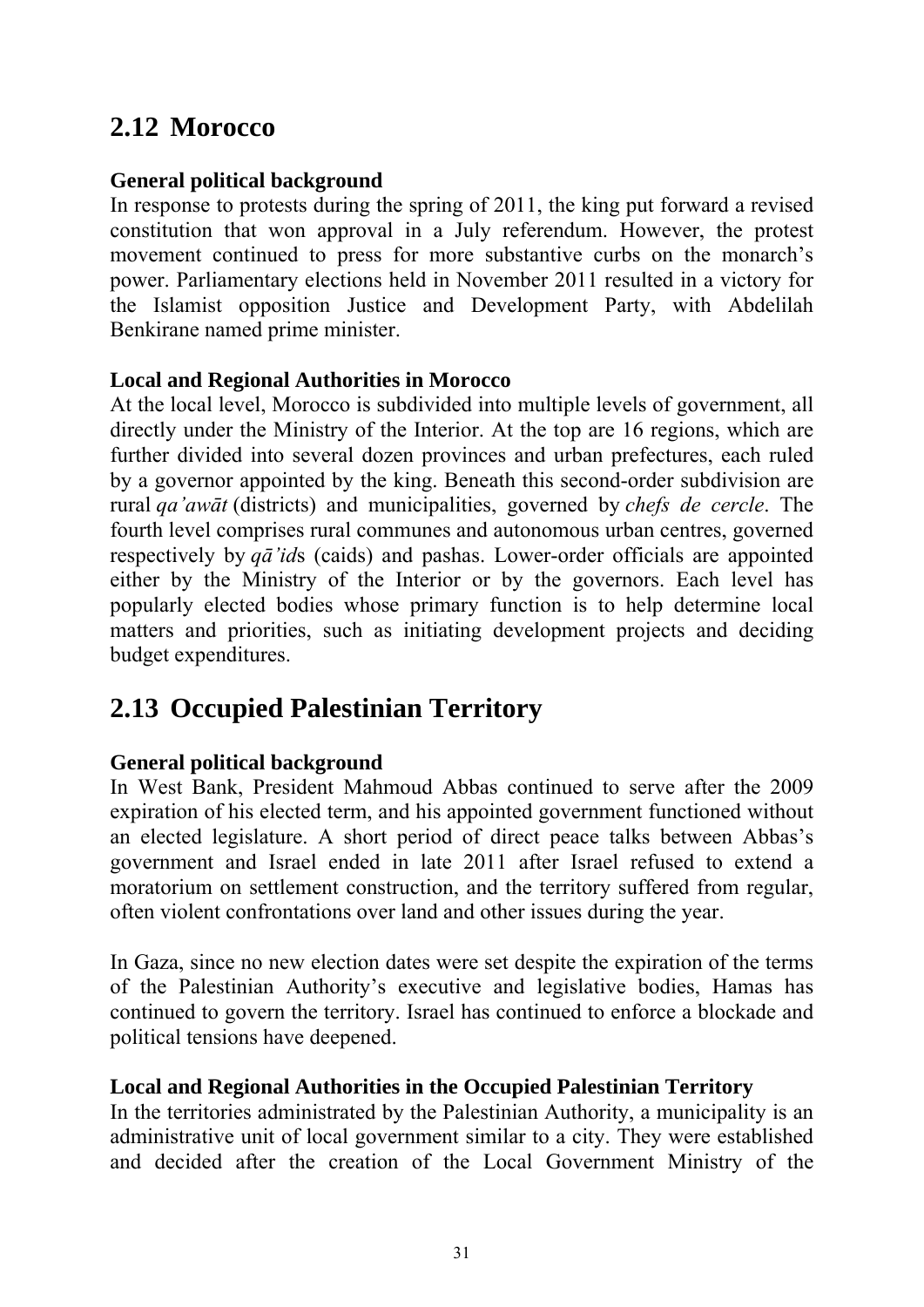# <span id="page-34-0"></span>**2.12 Morocco**

#### **General political background**

In response to protests during the spring of 2011, the king put forward a revised constitution that won approval in a July referendum. However, the protest movement continued to press for more substantive curbs on the monarch's power. Parliamentary elections held in November 2011 resulted in a victory for the Islamist opposition Justice and Development Party, with Abdelilah Benkirane named prime minister.

#### **Local and Regional Authorities in Morocco**

At the local level, Morocco is subdivided into multiple levels of government, all directly under the Ministry of the Interior. At the top are 16 regions, which are further divided into several dozen provinces and urban prefectures, each ruled by a governor appointed by the king. Beneath this second-order subdivision are rural *qa'awāt* (districts) and municipalities, governed by *chefs de cercle*. The fourth level comprises rural communes and autonomous urban centres, governed respectively by *qā'id*s (caids) and pashas. Lower-order officials are appointed either by the Ministry of the Interior or by the governors. Each level has popularly elected bodies whose primary function is to help determine local matters and priorities, such as initiating development projects and deciding budget expenditures.

# <span id="page-34-1"></span>**2.13 Occupied Palestinian Territory**

# **General political background**

In West Bank, President Mahmoud Abbas continued to serve after the 2009 expiration of his elected term, and his appointed government functioned without an elected legislature. A short period of direct peace talks between Abbas's government and Israel ended in late 2011 after Israel refused to extend a moratorium on settlement construction, and the territory suffered from regular, often violent confrontations over land and other issues during the year.

In Gaza, since no new election dates were set despite the expiration of the terms of the Palestinian Authority's executive and legislative bodies, Hamas has continued to govern the territory. Israel has continued to enforce a blockade and political tensions have deepened.

# **Local and Regional Authorities in the Occupied Palestinian Territory**

In the territories administrated by the Palestinian Authority, a municipality is an administrative unit of local government similar to a city. They were established and decided after the creation of the Local Government Ministry of the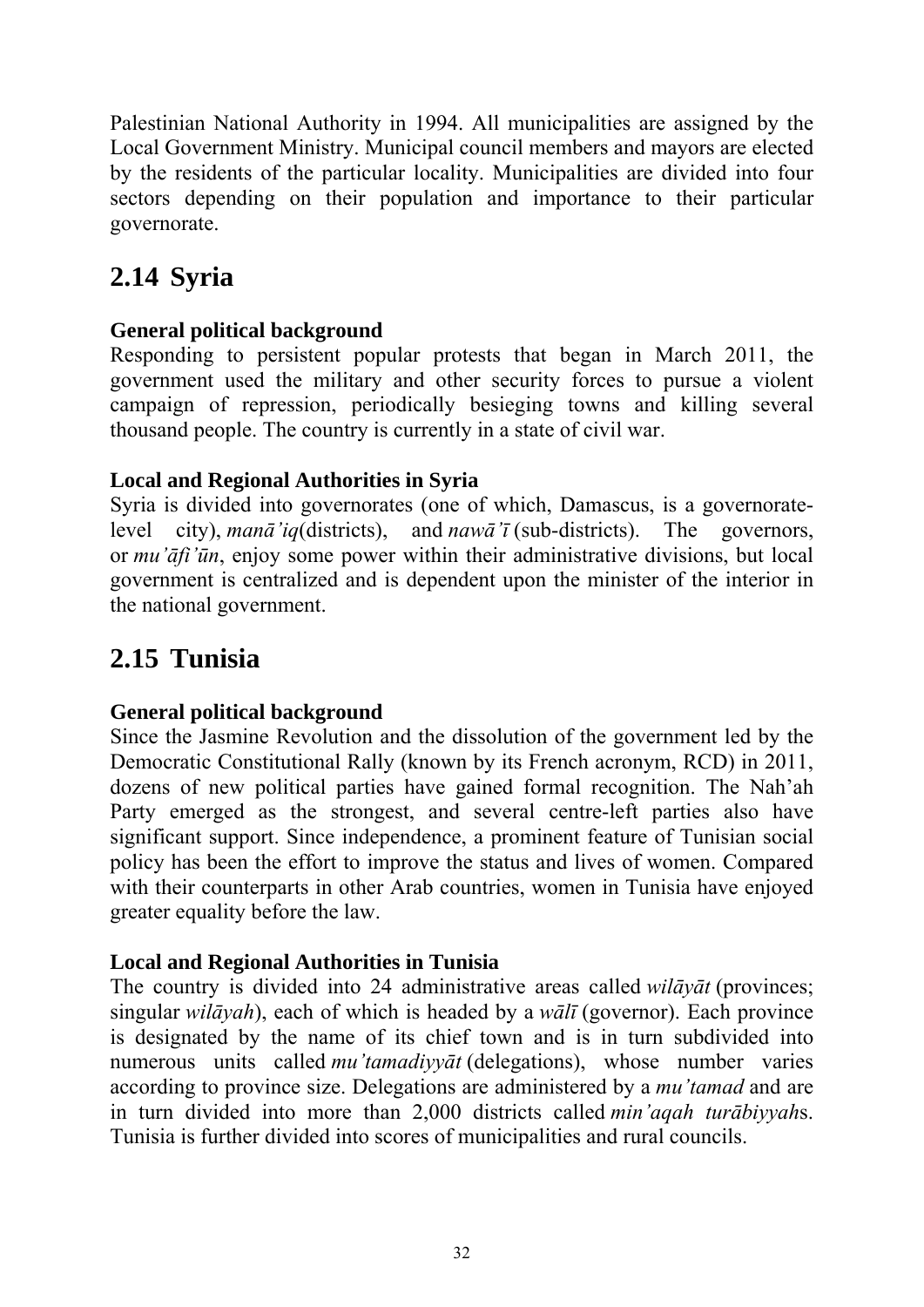Palestinian National Authority in 1994. All municipalities are assigned by the Local Government Ministry. Municipal council members and mayors are elected by the residents of the particular locality. Municipalities are divided into four sectors depending on their population and importance to their particular governorate.

# <span id="page-35-0"></span>**2.14 Syria**

# **General political background**

Responding to persistent popular protests that began in March 2011, the government used the military and other security forces to pursue a violent campaign of repression, periodically besieging towns and killing several thousand people. The country is currently in a state of civil war.

# **Local and Regional Authorities in Syria**

Syria is divided into governorates (one of which, Damascus, is a governoratelevel city), *manā'iq*(districts), and *nawā'ī* (sub-districts). The governors, or *mu'āfi'ūn*, enjoy some power within their administrative divisions, but local government is centralized and is dependent upon the minister of the interior in the national government.

# <span id="page-35-1"></span>**2.15 Tunisia**

# **General political background**

Since the Jasmine Revolution and the dissolution of the government led by the Democratic Constitutional Rally (known by its French acronym, RCD) in 2011, dozens of new political parties have gained formal recognition. The Nah'ah Party emerged as the strongest, and several centre-left parties also have significant support. Since independence, a prominent feature of Tunisian social policy has been the effort to improve the status and lives of women. Compared with their counterparts in other Arab countries, women in Tunisia have enjoyed greater equality before the law.

# **Local and Regional Authorities in Tunisia**

The country is divided into 24 administrative areas called *wilāyāt* (provinces; singular *wilāyah*), each of which is headed by a *wālī* (governor). Each province is designated by the name of its chief town and is in turn subdivided into numerous units called *mu'tamadiyyāt* (delegations), whose number varies according to province size. Delegations are administered by a *mu'tamad* and are in turn divided into more than 2,000 districts called *min'aqah turābiyyah*s. Tunisia is further divided into scores of municipalities and rural councils.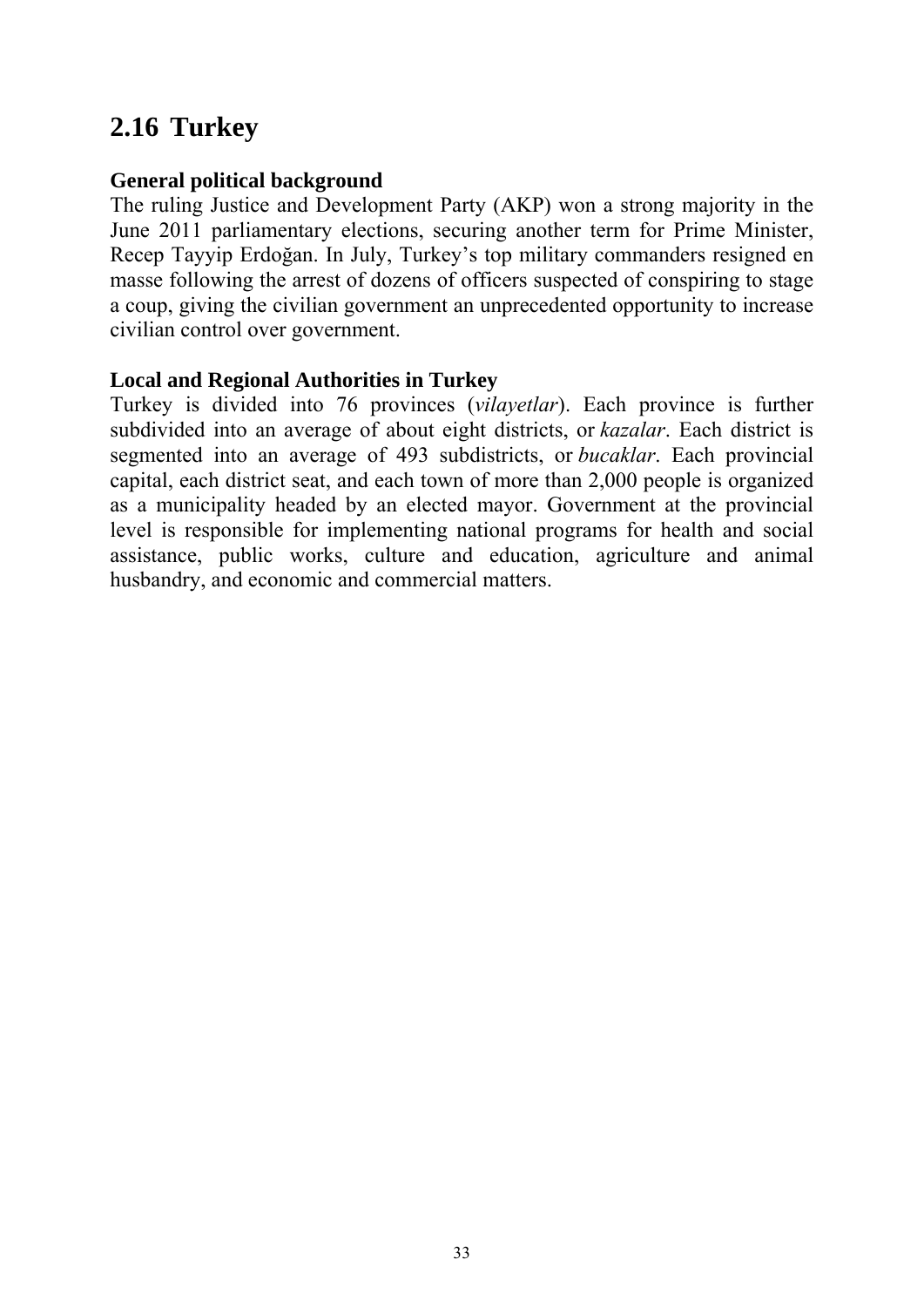# <span id="page-36-0"></span>**2.16 Turkey**

#### **General political background**

The ruling Justice and Development Party (AKP) won a strong majority in the June 2011 parliamentary elections, securing another term for Prime Minister, Recep Tayyip Erdoğan. In July, Turkey's top military commanders resigned en masse following the arrest of dozens of officers suspected of conspiring to stage a coup, giving the civilian government an unprecedented opportunity to increase civilian control over government.

### **Local and Regional Authorities in Turkey**

Turkey is divided into 76 provinces (*vilayetlar*). Each province is further subdivided into an average of about eight districts, or *kazalar*. Each district is segmented into an average of 493 subdistricts, or *bucaklar*. Each provincial capital, each district seat, and each town of more than 2,000 people is organized as a municipality headed by an elected mayor. Government at the provincial level is responsible for implementing national programs for health and social assistance, public works, culture and education, agriculture and animal husbandry, and economic and commercial matters.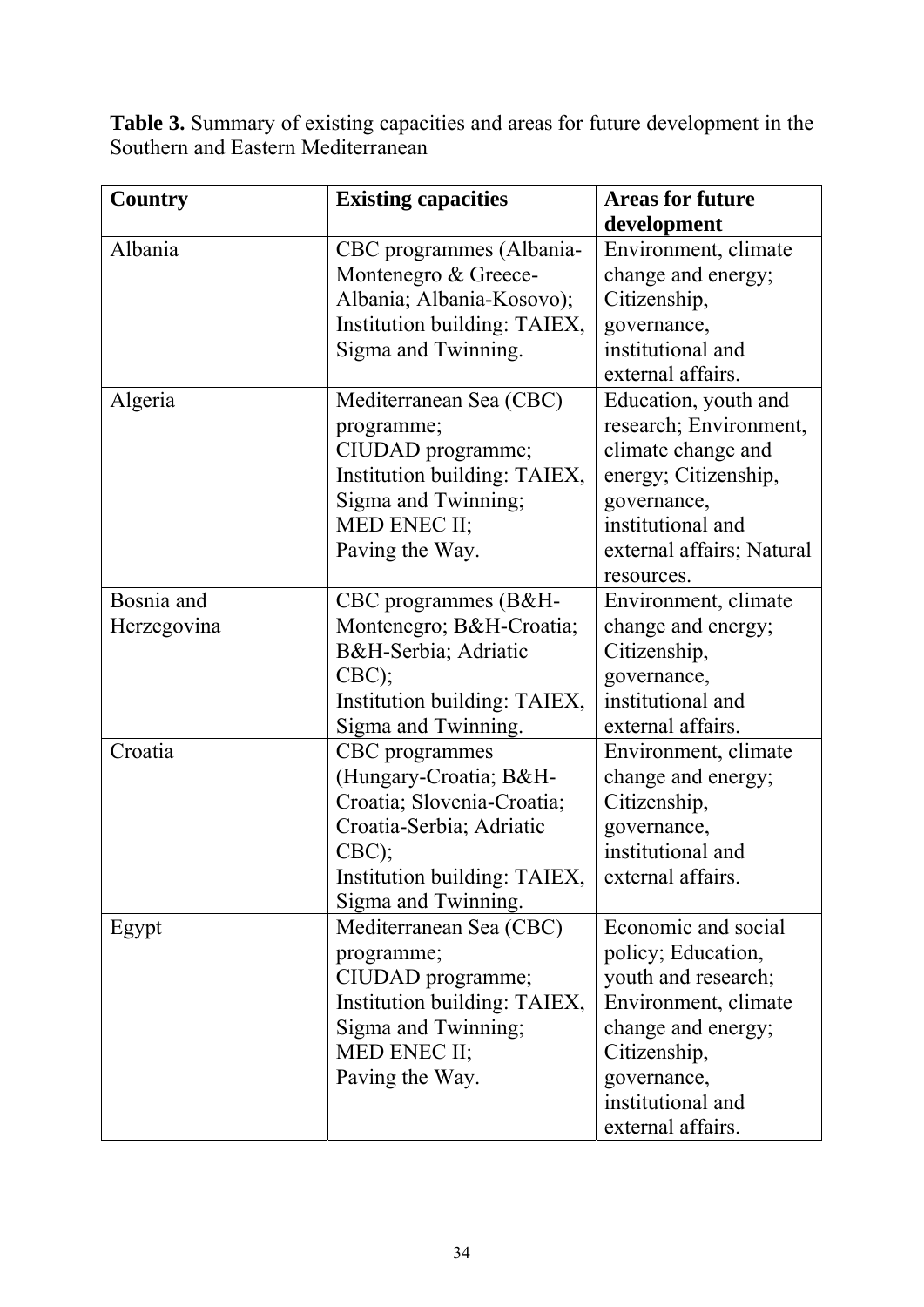**Table 3.** Summary of existing capacities and areas for future development in the Southern and Eastern Mediterranean

| <b>Country</b> | <b>Existing capacities</b>   | <b>Areas for future</b>   |
|----------------|------------------------------|---------------------------|
|                |                              | development               |
| Albania        | CBC programmes (Albania-     | Environment, climate      |
|                | Montenegro & Greece-         | change and energy;        |
|                | Albania; Albania-Kosovo);    | Citizenship,              |
|                | Institution building: TAIEX, | governance,               |
|                | Sigma and Twinning.          | institutional and         |
|                |                              | external affairs.         |
| Algeria        | Mediterranean Sea (CBC)      | Education, youth and      |
|                | programme;                   | research; Environment,    |
|                | CIUDAD programme;            | climate change and        |
|                | Institution building: TAIEX, | energy; Citizenship,      |
|                | Sigma and Twinning;          | governance,               |
|                | MED ENEC II;                 | institutional and         |
|                | Paving the Way.              | external affairs; Natural |
|                |                              | resources.                |
| Bosnia and     | CBC programmes (B&H-         | Environment, climate      |
| Herzegovina    | Montenegro; B&H-Croatia      | change and energy;        |
|                | B&H-Serbia Adriatic          | Citizenship,              |
|                | CBC);                        | governance,               |
|                | Institution building: TAIEX, | institutional and         |
|                | Sigma and Twinning.          | external affairs.         |
| Croatia        | CBC programmes               | Environment, climate      |
|                | (Hungary-Croatia; B&H-       | change and energy;        |
|                | Croatia; Slovenia-Croatia;   | Citizenship,              |
|                | Croatia-Serbia; Adriatic     | governance,               |
|                | CBC);                        | institutional and         |
|                | Institution building: TAIEX, | external affairs.         |
|                | Sigma and Twinning.          |                           |
| Egypt          | Mediterranean Sea (CBC)      | Economic and social       |
|                | programme;                   | policy; Education,        |
|                | CIUDAD programme;            | youth and research;       |
|                | Institution building: TAIEX, | Environment, climate      |
|                | Sigma and Twinning;          | change and energy;        |
|                | MED ENEC II;                 | Citizenship,              |
|                | Paving the Way.              | governance,               |
|                |                              | institutional and         |
|                |                              | external affairs.         |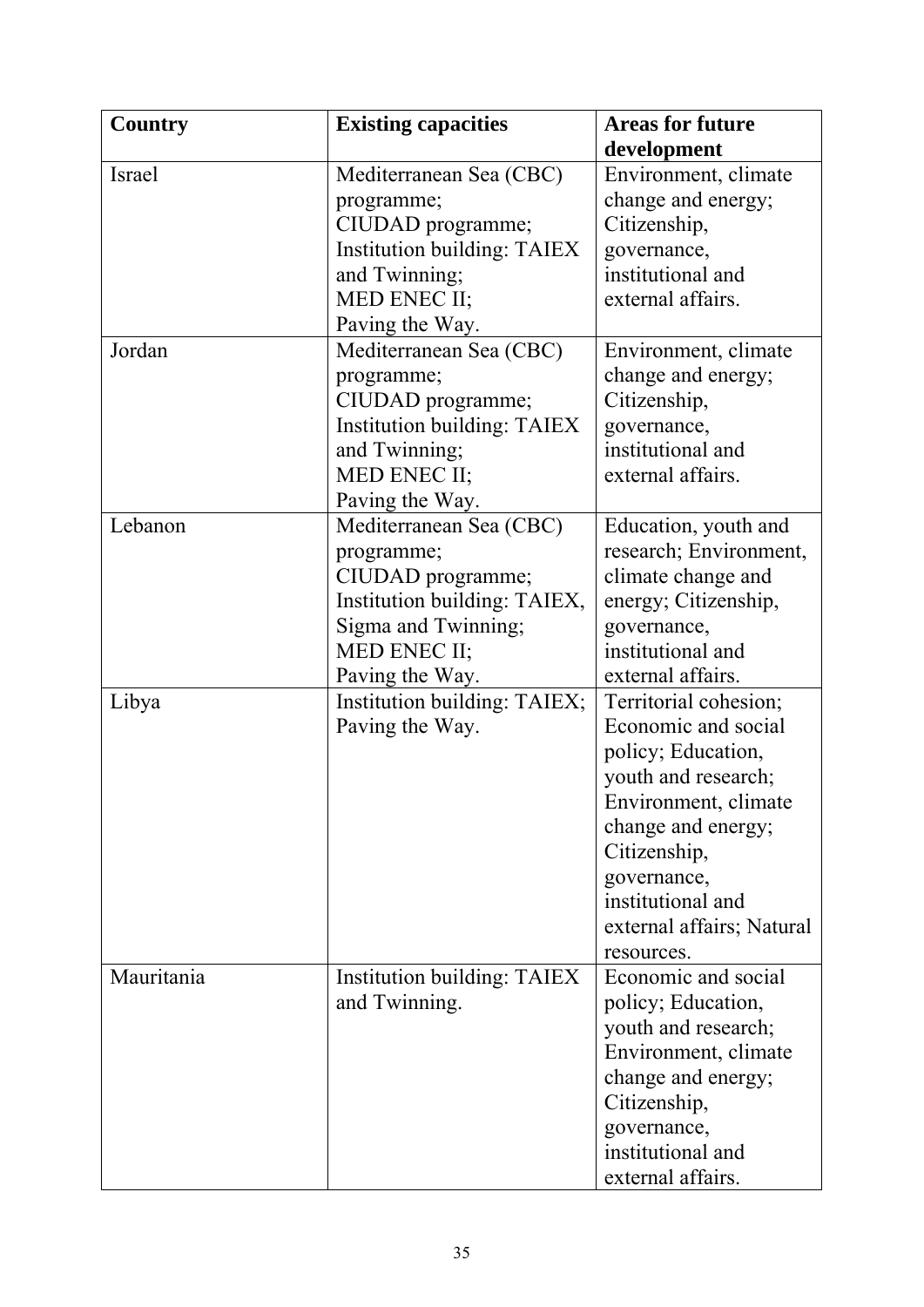| <b>Country</b> | <b>Existing capacities</b>         | <b>Areas for future</b>   |
|----------------|------------------------------------|---------------------------|
|                |                                    | development               |
| Israel         | Mediterranean Sea (CBC)            | Environment, climate      |
|                | programme;                         | change and energy;        |
|                | CIUDAD programme;                  | Citizenship,              |
|                | <b>Institution building: TAIEX</b> | governance,               |
|                | and Twinning;                      | institutional and         |
|                | MED ENEC II;                       | external affairs.         |
|                | Paving the Way.                    |                           |
| Jordan         | Mediterranean Sea (CBC)            | Environment, climate      |
|                | programme;                         | change and energy;        |
|                | CIUDAD programme;                  | Citizenship,              |
|                | <b>Institution building: TAIEX</b> | governance,               |
|                | and Twinning;                      | institutional and         |
|                | MED ENEC II;                       | external affairs.         |
|                | Paving the Way.                    |                           |
| Lebanon        | Mediterranean Sea (CBC)            | Education, youth and      |
|                | programme;                         | research; Environment,    |
|                | CIUDAD programme;                  | climate change and        |
|                | Institution building: TAIEX,       | energy; Citizenship,      |
|                | Sigma and Twinning;                | governance,               |
|                | MED ENEC II;                       | institutional and         |
|                | Paving the Way.                    | external affairs.         |
| Libya          | Institution building: TAIEX;       | Territorial cohesion;     |
|                | Paving the Way.                    | Economic and social       |
|                |                                    | policy; Education,        |
|                |                                    | youth and research;       |
|                |                                    | Environment, climate      |
|                |                                    | change and energy;        |
|                |                                    | Citizenship,              |
|                |                                    | governance,               |
|                |                                    | institutional and         |
|                |                                    | external affairs; Natural |
|                |                                    | resources.                |
| Mauritania     | <b>Institution building: TAIEX</b> | Economic and social       |
|                | and Twinning.                      | policy; Education,        |
|                |                                    | youth and research;       |
|                |                                    | Environment, climate      |
|                |                                    | change and energy;        |
|                |                                    | Citizenship,              |
|                |                                    | governance,               |
|                |                                    | institutional and         |
|                |                                    | external affairs.         |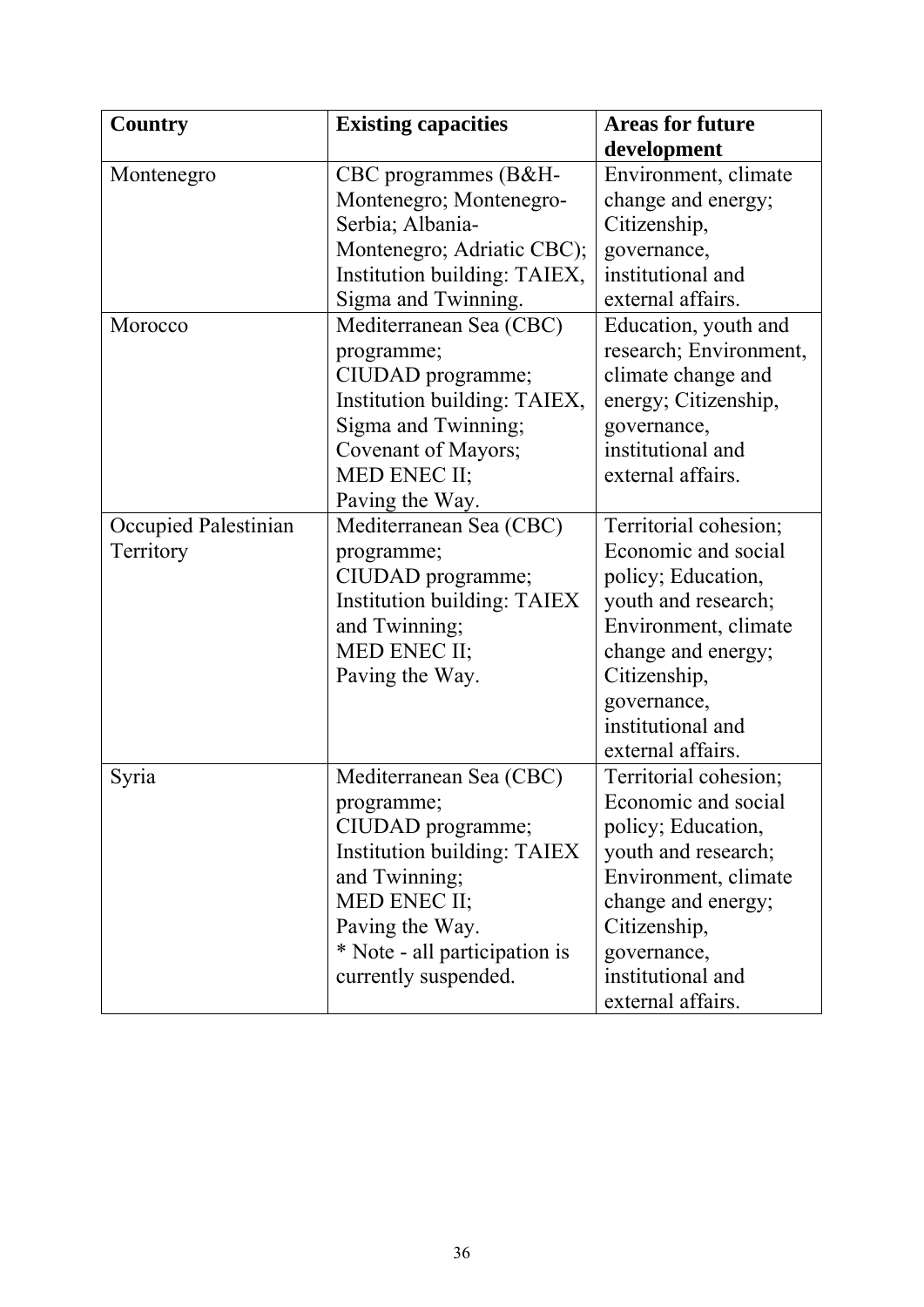| Country              | <b>Existing capacities</b>         | <b>Areas for future</b> |
|----------------------|------------------------------------|-------------------------|
|                      |                                    | development             |
| Montenegro           | CBC programmes (B&H-               | Environment, climate    |
|                      | Montenegro; Montenegro-            | change and energy;      |
|                      | Serbia; Albania-                   | Citizenship,            |
|                      | Montenegro; Adriatic CBC);         | governance,             |
|                      | Institution building: TAIEX,       | institutional and       |
|                      | Sigma and Twinning.                | external affairs.       |
| Morocco              | Mediterranean Sea (CBC)            | Education, youth and    |
|                      | programme;                         | research; Environment,  |
|                      | CIUDAD programme;                  | climate change and      |
|                      | Institution building: TAIEX,       | energy; Citizenship,    |
|                      | Sigma and Twinning;                | governance,             |
|                      | Covenant of Mayors;                | institutional and       |
|                      | MED ENEC II;                       | external affairs.       |
|                      | Paving the Way.                    |                         |
| Occupied Palestinian | Mediterranean Sea (CBC)            | Territorial cohesion;   |
| Territory            | programme;                         | Economic and social     |
|                      | CIUDAD programme;                  | policy; Education,      |
|                      | <b>Institution building: TAIEX</b> | youth and research;     |
|                      | and Twinning;                      | Environment, climate    |
|                      | MED ENEC II;                       | change and energy;      |
|                      | Paving the Way.                    | Citizenship,            |
|                      |                                    | governance,             |
|                      |                                    | institutional and       |
|                      |                                    | external affairs.       |
| Syria                | Mediterranean Sea (CBC)            | Territorial cohesion;   |
|                      | programme;                         | Economic and social     |
|                      | CIUDAD programme;                  | policy; Education,      |
|                      | Institution building: TAIEX        | youth and research;     |
|                      | and Twinning;                      | Environment, climate    |
|                      | MED ENEC II;                       | change and energy;      |
|                      | Paving the Way.                    | Citizenship,            |
|                      | * Note - all participation is      | governance,             |
|                      | currently suspended.               | institutional and       |
|                      |                                    | external affairs.       |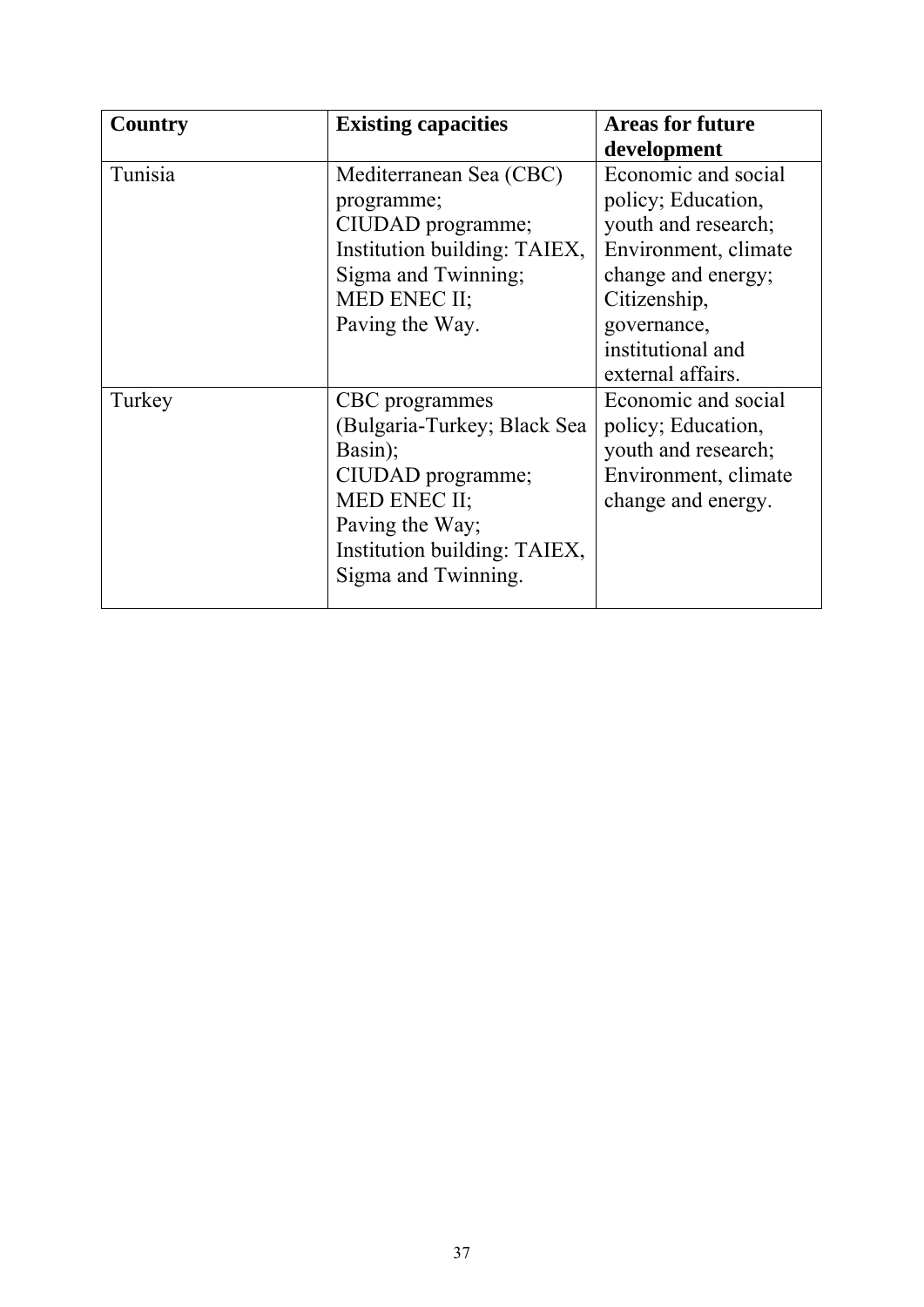| Country | <b>Existing capacities</b>                                                                                                                                              | <b>Areas for future</b><br>development                                                                                                                                                  |
|---------|-------------------------------------------------------------------------------------------------------------------------------------------------------------------------|-----------------------------------------------------------------------------------------------------------------------------------------------------------------------------------------|
| Tunisia | Mediterranean Sea (CBC)<br>programme;<br>CIUDAD programme;<br>Institution building: TAIEX,<br>Sigma and Twinning;<br>MED ENEC II;<br>Paving the Way.                    | Economic and social<br>policy; Education,<br>youth and research;<br>Environment, climate<br>change and energy;<br>Citizenship,<br>governance,<br>institutional and<br>external affairs. |
| Turkey  | CBC programmes<br>(Bulgaria-Turkey; Black Sea<br>Basin);<br>CIUDAD programme;<br>MED ENEC II;<br>Paving the Way;<br>Institution building: TAIEX,<br>Sigma and Twinning. | Economic and social<br>policy; Education,<br>youth and research;<br>Environment, climate<br>change and energy.                                                                          |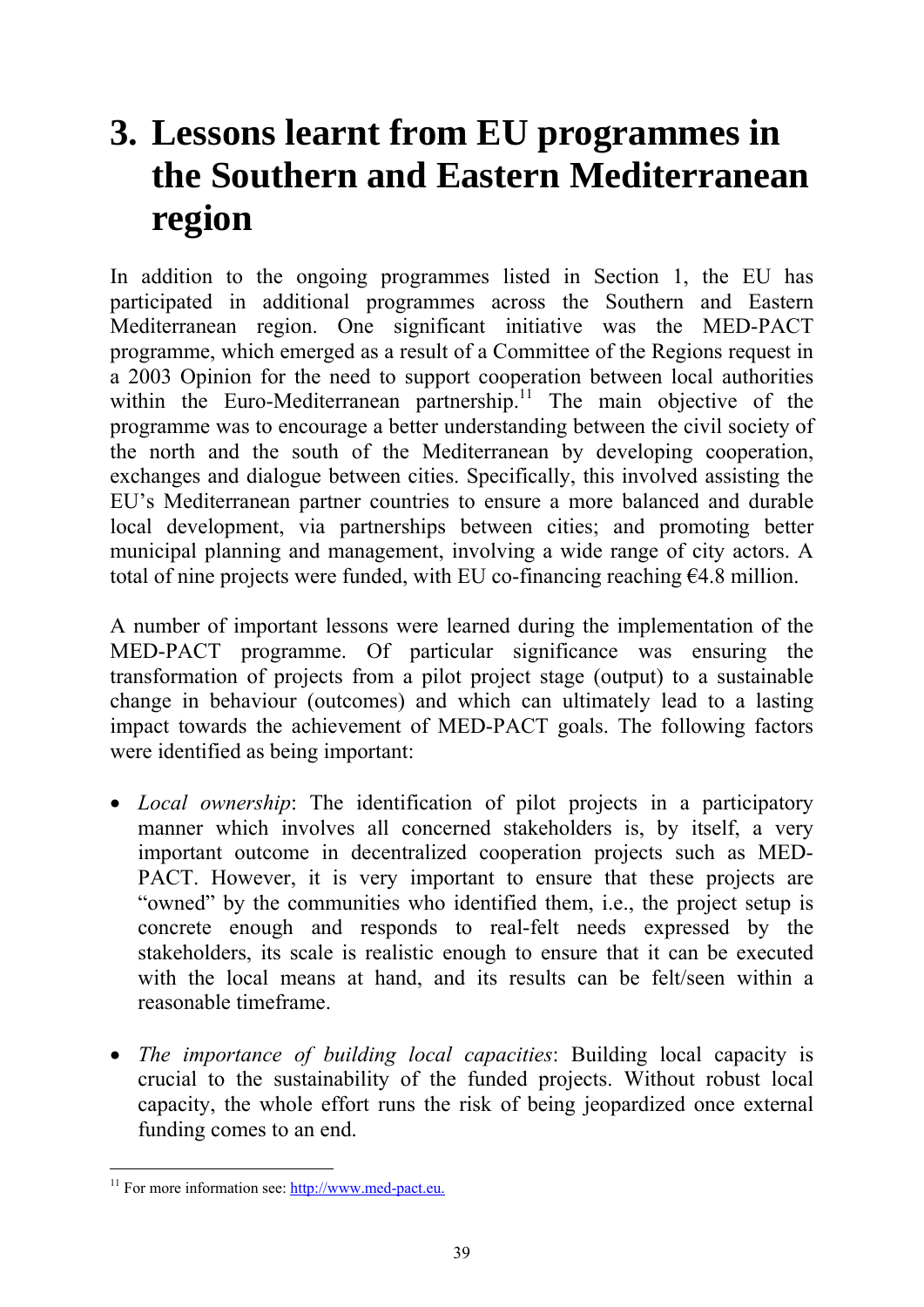# <span id="page-42-0"></span>**3. Lessons learnt from EU programmes in the Southern and Eastern Mediterranean region**

In addition to the ongoing programmes listed in Section 1, the EU has participated in additional programmes across the Southern and Eastern Mediterranean region. One significant initiative was the MED-PACT programme, which emerged as a result of a Committee of the Regions request in a 2003 Opinion for the need to support cooperation between local authorities within the Euro-Mediterranean partnership.<sup>11</sup> The main objective of the programme was to encourage a better understanding between the civil society of the north and the south of the Mediterranean by developing cooperation, exchanges and dialogue between cities. Specifically, this involved assisting the EU's Mediterranean partner countries to ensure a more balanced and durable local development, via partnerships between cities; and promoting better municipal planning and management, involving a wide range of city actors. A total of nine projects were funded, with EU co-financing reaching  $64.8$  million.

A number of important lessons were learned during the implementation of the MED-PACT programme. Of particular significance was ensuring the transformation of projects from a pilot project stage (output) to a sustainable change in behaviour (outcomes) and which can ultimately lead to a lasting impact towards the achievement of MED-PACT goals. The following factors were identified as being important:

- *Local ownership*: The identification of pilot projects in a participatory manner which involves all concerned stakeholders is, by itself, a very important outcome in decentralized cooperation projects such as MED-PACT. However, it is very important to ensure that these projects are "owned" by the communities who identified them, i.e., the project setup is concrete enough and responds to real-felt needs expressed by the stakeholders, its scale is realistic enough to ensure that it can be executed with the local means at hand, and its results can be felt/seen within a reasonable timeframe.
- *The importance of building local capacities*: Building local capacity is crucial to the sustainability of the funded projects. Without robust local capacity, the whole effort runs the risk of being jeopardized once external funding comes to an end.

<sup>-</sup> $11$  For more information see:  $\frac{http://www.med-pact.eu.}$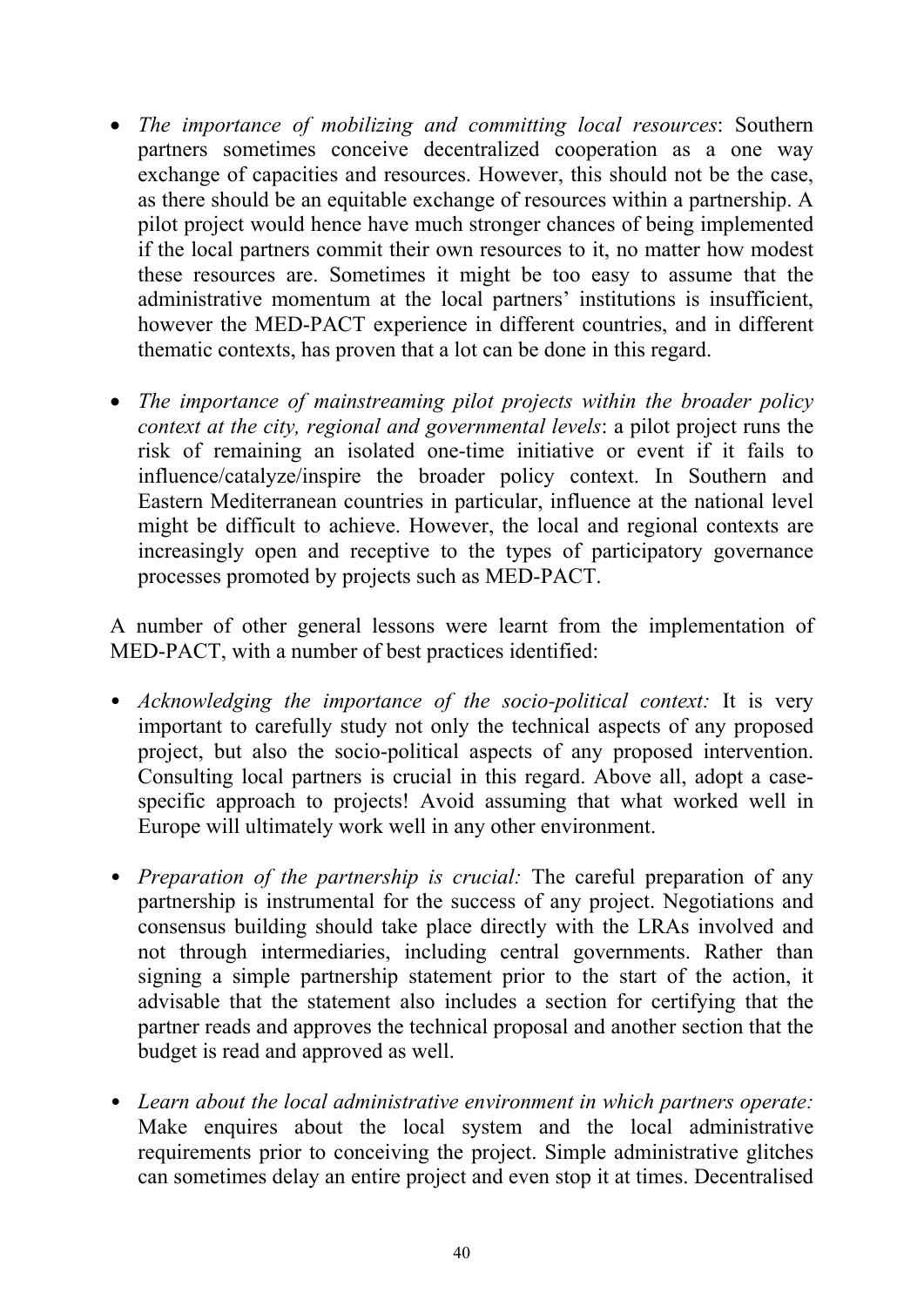- *The importance of mobilizing and committing local resources*: Southern partners sometimes conceive decentralized cooperation as a one way exchange of capacities and resources. However, this should not be the case, as there should be an equitable exchange of resources within a partnership. A pilot project would hence have much stronger chances of being implemented if the local partners commit their own resources to it, no matter how modest these resources are. Sometimes it might be too easy to assume that the administrative momentum at the local partners' institutions is insufficient, however the MED-PACT experience in different countries, and in different thematic contexts, has proven that a lot can be done in this regard.
- *The importance of mainstreaming pilot projects within the broader policy context at the city, regional and governmental levels*: a pilot project runs the risk of remaining an isolated one-time initiative or event if it fails to influence/catalyze/inspire the broader policy context. In Southern and Eastern Mediterranean countries in particular, influence at the national level might be difficult to achieve. However, the local and regional contexts are increasingly open and receptive to the types of participatory governance processes promoted by projects such as MED-PACT.

A number of other general lessons were learnt from the implementation of MED-PACT, with a number of best practices identified:

- *Acknowledging the importance of the socio-political context:* It is very important to carefully study not only the technical aspects of any proposed project, but also the socio-political aspects of any proposed intervention. Consulting local partners is crucial in this regard. Above all, adopt a casespecific approach to projects! Avoid assuming that what worked well in Europe will ultimately work well in any other environment.
- *Preparation of the partnership is crucial:* The careful preparation of any partnership is instrumental for the success of any project. Negotiations and consensus building should take place directly with the LRAs involved and not through intermediaries, including central governments. Rather than signing a simple partnership statement prior to the start of the action, it advisable that the statement also includes a section for certifying that the partner reads and approves the technical proposal and another section that the budget is read and approved as well.
- *Learn about the local administrative environment in which partners operate:*  Make enquires about the local system and the local administrative requirements prior to conceiving the project. Simple administrative glitches can sometimes delay an entire project and even stop it at times. Decentralised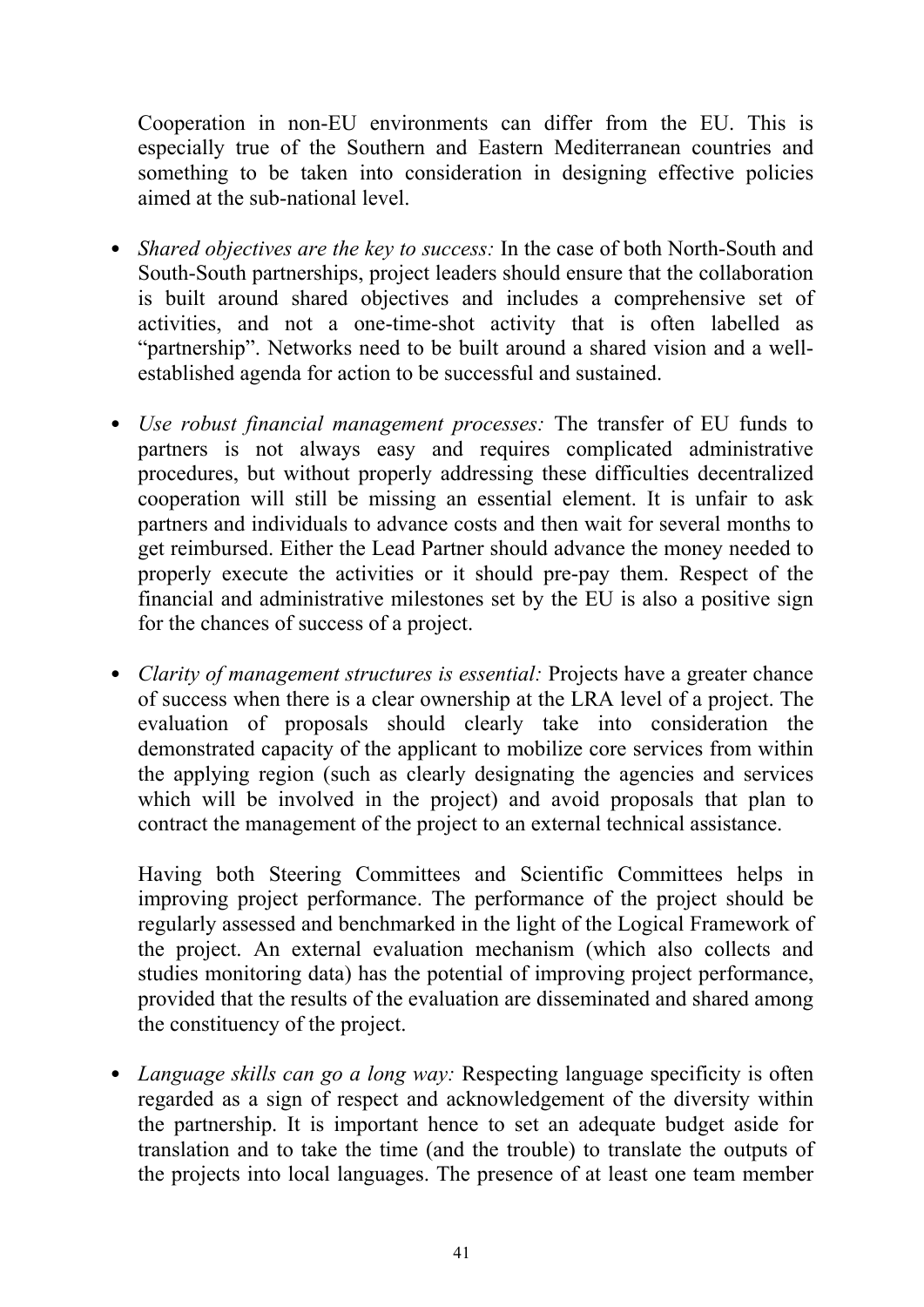Cooperation in non-EU environments can differ from the EU. This is especially true of the Southern and Eastern Mediterranean countries and something to be taken into consideration in designing effective policies aimed at the sub-national level.

- *Shared objectives are the key to success:* In the case of both North-South and South-South partnerships, project leaders should ensure that the collaboration is built around shared objectives and includes a comprehensive set of activities, and not a one-time-shot activity that is often labelled as "partnership". Networks need to be built around a shared vision and a wellestablished agenda for action to be successful and sustained.
- *Use robust financial management processes:* The transfer of EU funds to partners is not always easy and requires complicated administrative procedures, but without properly addressing these difficulties decentralized cooperation will still be missing an essential element. It is unfair to ask partners and individuals to advance costs and then wait for several months to get reimbursed. Either the Lead Partner should advance the money needed to properly execute the activities or it should pre-pay them. Respect of the financial and administrative milestones set by the EU is also a positive sign for the chances of success of a project.
- *Clarity of management structures is essential:* Projects have a greater chance of success when there is a clear ownership at the LRA level of a project. The evaluation of proposals should clearly take into consideration the demonstrated capacity of the applicant to mobilize core services from within the applying region (such as clearly designating the agencies and services which will be involved in the project) and avoid proposals that plan to contract the management of the project to an external technical assistance.

Having both Steering Committees and Scientific Committees helps in improving project performance. The performance of the project should be regularly assessed and benchmarked in the light of the Logical Framework of the project. An external evaluation mechanism (which also collects and studies monitoring data) has the potential of improving project performance, provided that the results of the evaluation are disseminated and shared among the constituency of the project.

• *Language skills can go a long way:* Respecting language specificity is often regarded as a sign of respect and acknowledgement of the diversity within the partnership. It is important hence to set an adequate budget aside for translation and to take the time (and the trouble) to translate the outputs of the projects into local languages. The presence of at least one team member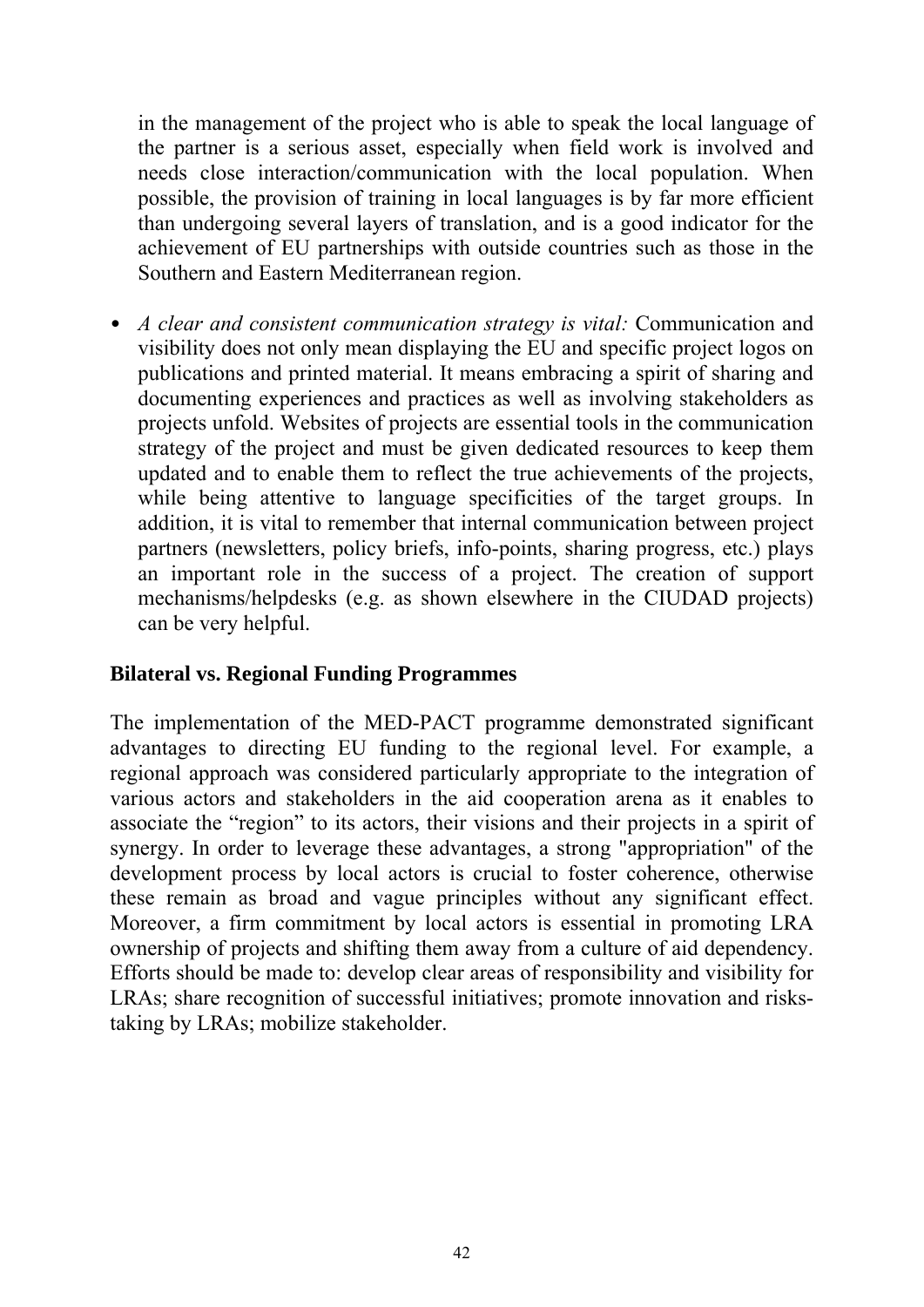in the management of the project who is able to speak the local language of the partner is a serious asset, especially when field work is involved and needs close interaction/communication with the local population. When possible, the provision of training in local languages is by far more efficient than undergoing several layers of translation, and is a good indicator for the achievement of EU partnerships with outside countries such as those in the Southern and Eastern Mediterranean region.

• *A clear and consistent communication strategy is vital:* Communication and visibility does not only mean displaying the EU and specific project logos on publications and printed material. It means embracing a spirit of sharing and documenting experiences and practices as well as involving stakeholders as projects unfold. Websites of projects are essential tools in the communication strategy of the project and must be given dedicated resources to keep them updated and to enable them to reflect the true achievements of the projects, while being attentive to language specificities of the target groups. In addition, it is vital to remember that internal communication between project partners (newsletters, policy briefs, info-points, sharing progress, etc.) plays an important role in the success of a project. The creation of support mechanisms/helpdesks (e.g. as shown elsewhere in the CIUDAD projects) can be very helpful.

#### **Bilateral vs. Regional Funding Programmes**

The implementation of the MED-PACT programme demonstrated significant advantages to directing EU funding to the regional level. For example, a regional approach was considered particularly appropriate to the integration of various actors and stakeholders in the aid cooperation arena as it enables to associate the "region" to its actors, their visions and their projects in a spirit of synergy. In order to leverage these advantages, a strong "appropriation" of the development process by local actors is crucial to foster coherence, otherwise these remain as broad and vague principles without any significant effect. Moreover, a firm commitment by local actors is essential in promoting LRA ownership of projects and shifting them away from a culture of aid dependency. Efforts should be made to: develop clear areas of responsibility and visibility for LRAs; share recognition of successful initiatives; promote innovation and riskstaking by LRAs; mobilize stakeholder.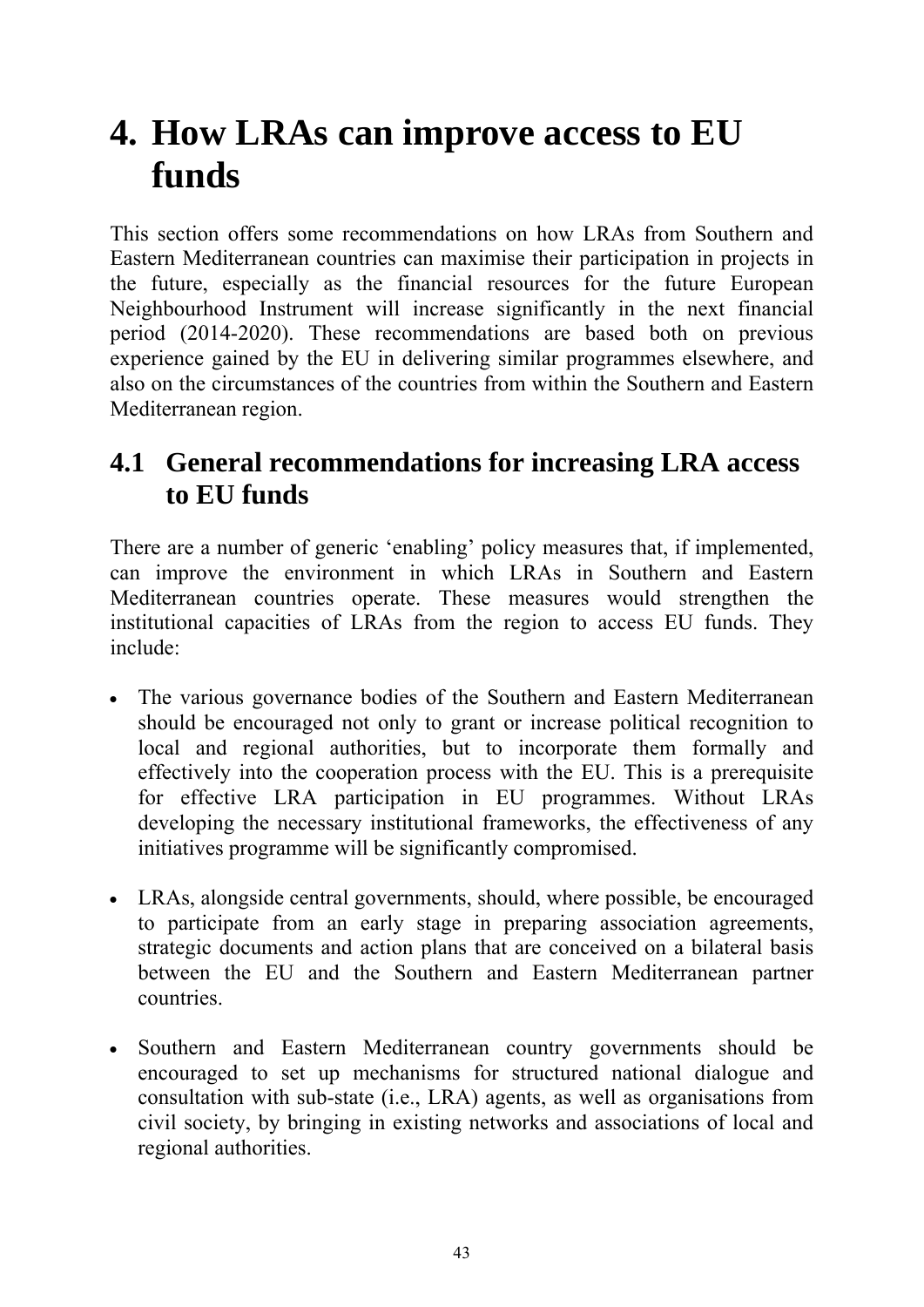# <span id="page-46-0"></span>**4. How LRAs can improve access to EU funds**

This section offers some recommendations on how LRAs from Southern and Eastern Mediterranean countries can maximise their participation in projects in the future, especially as the financial resources for the future European Neighbourhood Instrument will increase significantly in the next financial period (2014-2020). These recommendations are based both on previous experience gained by the EU in delivering similar programmes elsewhere, and also on the circumstances of the countries from within the Southern and Eastern Mediterranean region.

# <span id="page-46-1"></span>**4.1 General recommendations for increasing LRA access to EU funds**

There are a number of generic 'enabling' policy measures that, if implemented, can improve the environment in which LRAs in Southern and Eastern Mediterranean countries operate. These measures would strengthen the institutional capacities of LRAs from the region to access EU funds. They include:

- The various governance bodies of the Southern and Eastern Mediterranean should be encouraged not only to grant or increase political recognition to local and regional authorities, but to incorporate them formally and effectively into the cooperation process with the EU. This is a prerequisite for effective LRA participation in EU programmes. Without LRAs developing the necessary institutional frameworks, the effectiveness of any initiatives programme will be significantly compromised.
- LRAs, alongside central governments, should, where possible, be encouraged to participate from an early stage in preparing association agreements, strategic documents and action plans that are conceived on a bilateral basis between the EU and the Southern and Eastern Mediterranean partner countries.
- Southern and Eastern Mediterranean country governments should be encouraged to set up mechanisms for structured national dialogue and consultation with sub-state (i.e., LRA) agents, as well as organisations from civil society, by bringing in existing networks and associations of local and regional authorities.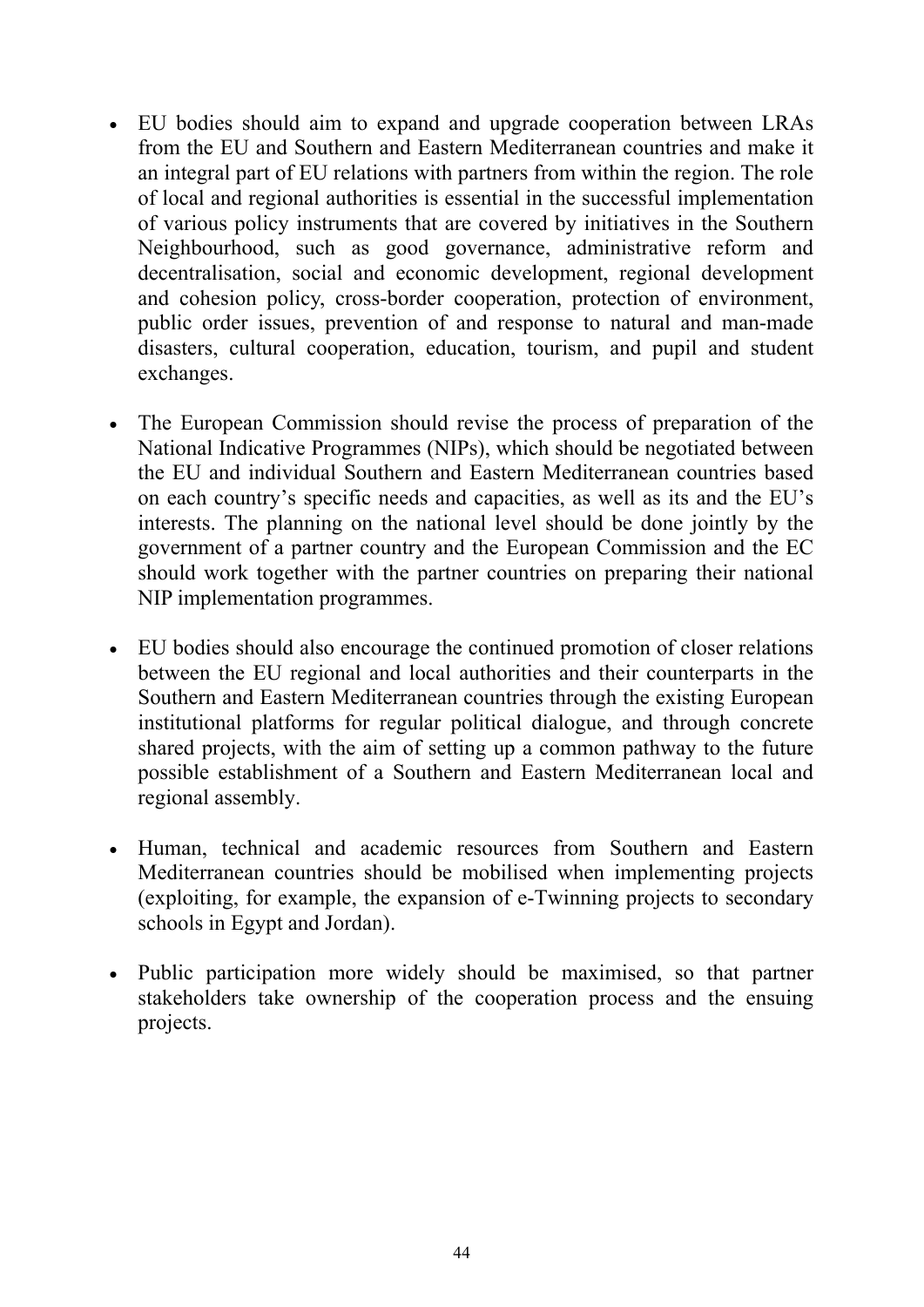- EU bodies should aim to expand and upgrade cooperation between LRAs from the EU and Southern and Eastern Mediterranean countries and make it an integral part of EU relations with partners from within the region. The role of local and regional authorities is essential in the successful implementation of various policy instruments that are covered by initiatives in the Southern Neighbourhood, such as good governance, administrative reform and decentralisation, social and economic development, regional development and cohesion policy, cross-border cooperation, protection of environment, public order issues, prevention of and response to natural and man-made disasters, cultural cooperation, education, tourism, and pupil and student exchanges.
- The European Commission should revise the process of preparation of the National Indicative Programmes (NIPs), which should be negotiated between the EU and individual Southern and Eastern Mediterranean countries based on each country's specific needs and capacities, as well as its and the EU's interests. The planning on the national level should be done jointly by the government of a partner country and the European Commission and the EC should work together with the partner countries on preparing their national NIP implementation programmes.
- EU bodies should also encourage the continued promotion of closer relations between the EU regional and local authorities and their counterparts in the Southern and Eastern Mediterranean countries through the existing European institutional platforms for regular political dialogue, and through concrete shared projects, with the aim of setting up a common pathway to the future possible establishment of a Southern and Eastern Mediterranean local and regional assembly.
- Human, technical and academic resources from Southern and Eastern Mediterranean countries should be mobilised when implementing projects (exploiting, for example, the expansion of e-Twinning projects to secondary schools in Egypt and Jordan).
- Public participation more widely should be maximised, so that partner stakeholders take ownership of the cooperation process and the ensuing projects.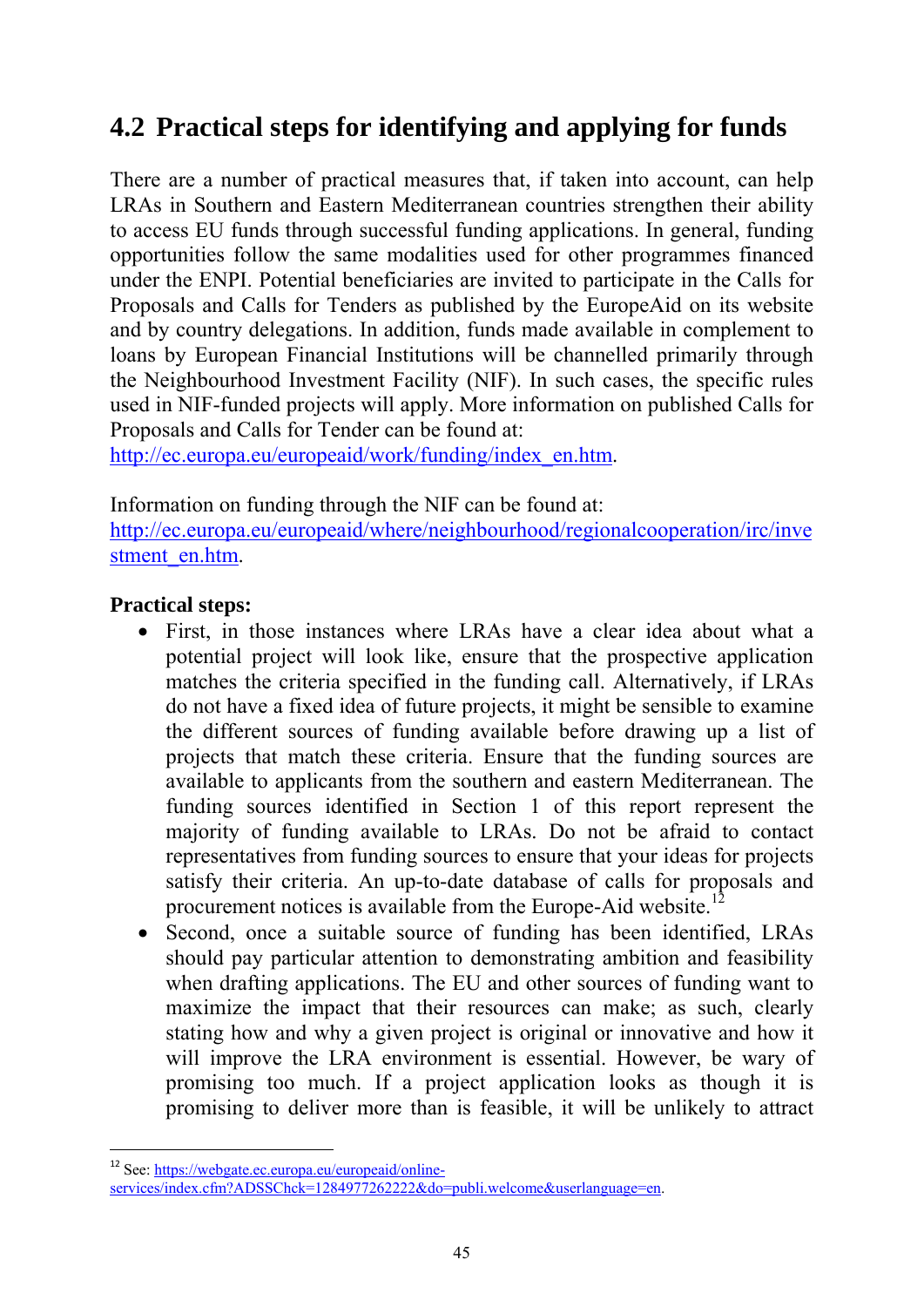# <span id="page-48-0"></span>**4.2 Practical steps for identifying and applying for funds**

There are a number of practical measures that, if taken into account, can help LRAs in Southern and Eastern Mediterranean countries strengthen their ability to access EU funds through successful funding applications. In general, funding opportunities follow the same modalities used for other programmes financed under the ENPI. Potential beneficiaries are invited to participate in the Calls for Proposals and Calls for Tenders as published by the EuropeAid on its website and by country delegations. In addition, funds made available in complement to loans by European Financial Institutions will be channelled primarily through the Neighbourhood Investment Facility (NIF). In such cases, the specific rules used in NIF-funded projects will apply. More information on published Calls for Proposals and Calls for Tender can be found at:

[http://ec.europa.eu/europeaid/work/funding/index\\_en.htm.](http://ec.europa.eu/europeaid/work/funding/index_en.htm)

Information on funding through the NIF can be found at:

[http://ec.europa.eu/europeaid/where/neighbourhood/regionalcooperation/irc/inve](http://ec.europa.eu/europeaid/where/neighbourhood/regionalcooperation/irc/investment_en.htm) [stment\\_en.htm.](http://ec.europa.eu/europeaid/where/neighbourhood/regionalcooperation/irc/investment_en.htm)

# **Practical steps:**

- First, in those instances where LRAs have a clear idea about what a potential project will look like, ensure that the prospective application matches the criteria specified in the funding call. Alternatively, if LRAs do not have a fixed idea of future projects, it might be sensible to examine the different sources of funding available before drawing up a list of projects that match these criteria. Ensure that the funding sources are available to applicants from the southern and eastern Mediterranean. The funding sources identified in Section 1 of this report represent the majority of funding available to LRAs. Do not be afraid to contact representatives from funding sources to ensure that your ideas for projects satisfy their criteria. An up-to-date database of calls for proposals and procurement notices is available from the Europe-Aid website.<sup>12</sup>
- Second, once a suitable source of funding has been identified, LRAs should pay particular attention to demonstrating ambition and feasibility when drafting applications. The EU and other sources of funding want to maximize the impact that their resources can make; as such, clearly stating how and why a given project is original or innovative and how it will improve the LRA environment is essential. However, be wary of promising too much. If a project application looks as though it is promising to deliver more than is feasible, it will be unlikely to attract

 $\overline{a}$ 

<sup>&</sup>lt;sup>12</sup> See: [https://webgate.ec.europa.eu/europeaid/online-](https://webgate.ec.europa.eu/europeaid/online-services/index.cfm?ADSSChck=1284977262222&do=publi.welcome&userlanguage=en)

[services/index.cfm?ADSSChck=1284977262222&do=publi.welcome&userlanguage=en.](https://webgate.ec.europa.eu/europeaid/online-services/index.cfm?ADSSChck=1284977262222&do=publi.welcome&userlanguage=en)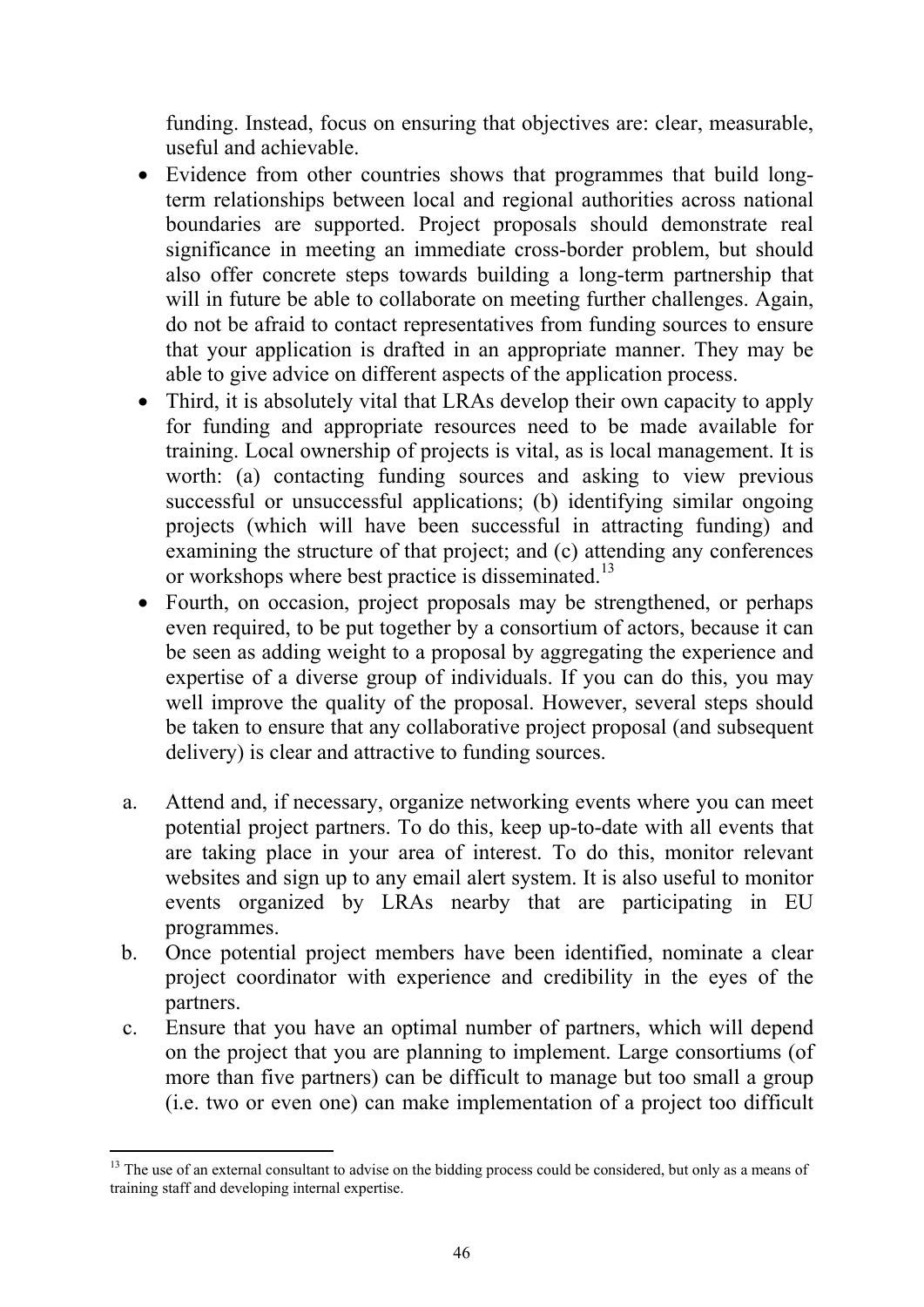funding. Instead, focus on ensuring that objectives are: clear, measurable, useful and achievable.

- Evidence from other countries shows that programmes that build longterm relationships between local and regional authorities across national boundaries are supported. Project proposals should demonstrate real significance in meeting an immediate cross-border problem, but should also offer concrete steps towards building a long-term partnership that will in future be able to collaborate on meeting further challenges. Again, do not be afraid to contact representatives from funding sources to ensure that your application is drafted in an appropriate manner. They may be able to give advice on different aspects of the application process.
- Third, it is absolutely vital that LRAs develop their own capacity to apply for funding and appropriate resources need to be made available for training. Local ownership of projects is vital, as is local management. It is worth: (a) contacting funding sources and asking to view previous successful or unsuccessful applications; (b) identifying similar ongoing projects (which will have been successful in attracting funding) and examining the structure of that project; and (c) attending any conferences or workshops where best practice is disseminated.<sup>13</sup>
- Fourth, on occasion, project proposals may be strengthened, or perhaps even required, to be put together by a consortium of actors, because it can be seen as adding weight to a proposal by aggregating the experience and expertise of a diverse group of individuals. If you can do this, you may well improve the quality of the proposal. However, several steps should be taken to ensure that any collaborative project proposal (and subsequent delivery) is clear and attractive to funding sources.
- a. Attend and, if necessary, organize networking events where you can meet potential project partners. To do this, keep up-to-date with all events that are taking place in your area of interest. To do this, monitor relevant websites and sign up to any email alert system. It is also useful to monitor events organized by LRAs nearby that are participating in EU programmes.
- b. Once potential project members have been identified, nominate a clear project coordinator with experience and credibility in the eyes of the partners.
- c. Ensure that you have an optimal number of partners, which will depend on the project that you are planning to implement. Large consortiums (of more than five partners) can be difficult to manage but too small a group (i.e. two or even one) can make implementation of a project too difficult

-

<sup>&</sup>lt;sup>13</sup> The use of an external consultant to advise on the bidding process could be considered, but only as a means of training staff and developing internal expertise.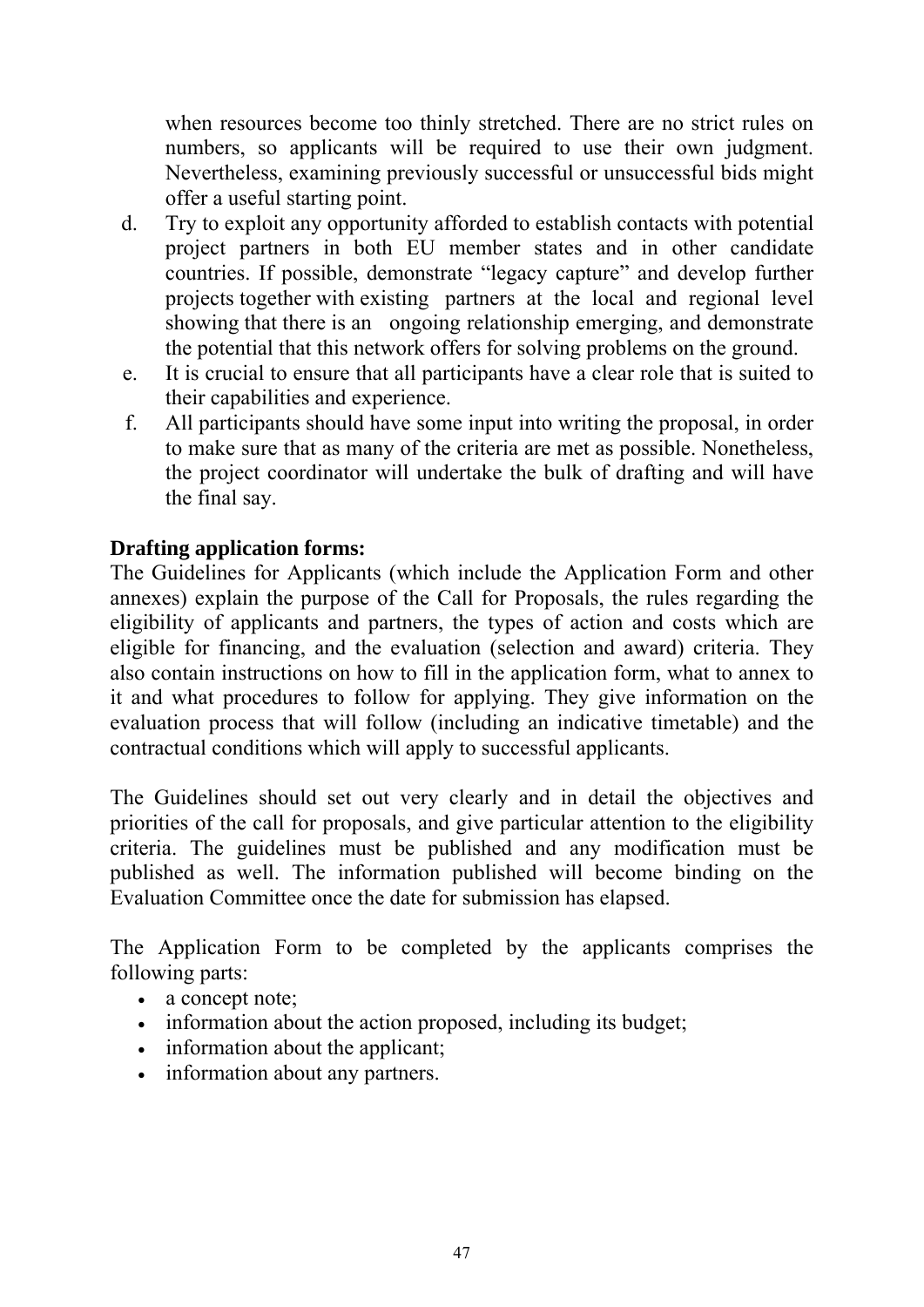when resources become too thinly stretched. There are no strict rules on numbers, so applicants will be required to use their own judgment. Nevertheless, examining previously successful or unsuccessful bids might offer a useful starting point.

- d. Try to exploit any opportunity afforded to establish contacts with potential project partners in both EU member states and in other candidate countries. If possible, demonstrate "legacy capture" and develop further projects together with existing partners at the local and regional level showing that there is an ongoing relationship emerging, and demonstrate the potential that this network offers for solving problems on the ground.
- e. It is crucial to ensure that all participants have a clear role that is suited to their capabilities and experience.
- f. All participants should have some input into writing the proposal, in order to make sure that as many of the criteria are met as possible. Nonetheless, the project coordinator will undertake the bulk of drafting and will have the final say.

### **Drafting application forms:**

The Guidelines for Applicants (which include the Application Form and other annexes) explain the purpose of the Call for Proposals, the rules regarding the eligibility of applicants and partners, the types of action and costs which are eligible for financing, and the evaluation (selection and award) criteria. They also contain instructions on how to fill in the application form, what to annex to it and what procedures to follow for applying. They give information on the evaluation process that will follow (including an indicative timetable) and the contractual conditions which will apply to successful applicants.

The Guidelines should set out very clearly and in detail the objectives and priorities of the call for proposals, and give particular attention to the eligibility criteria. The guidelines must be published and any modification must be published as well. The information published will become binding on the Evaluation Committee once the date for submission has elapsed.

The Application Form to be completed by the applicants comprises the following parts:

- a concept note:
- information about the action proposed, including its budget;
- information about the applicant;
- information about any partners.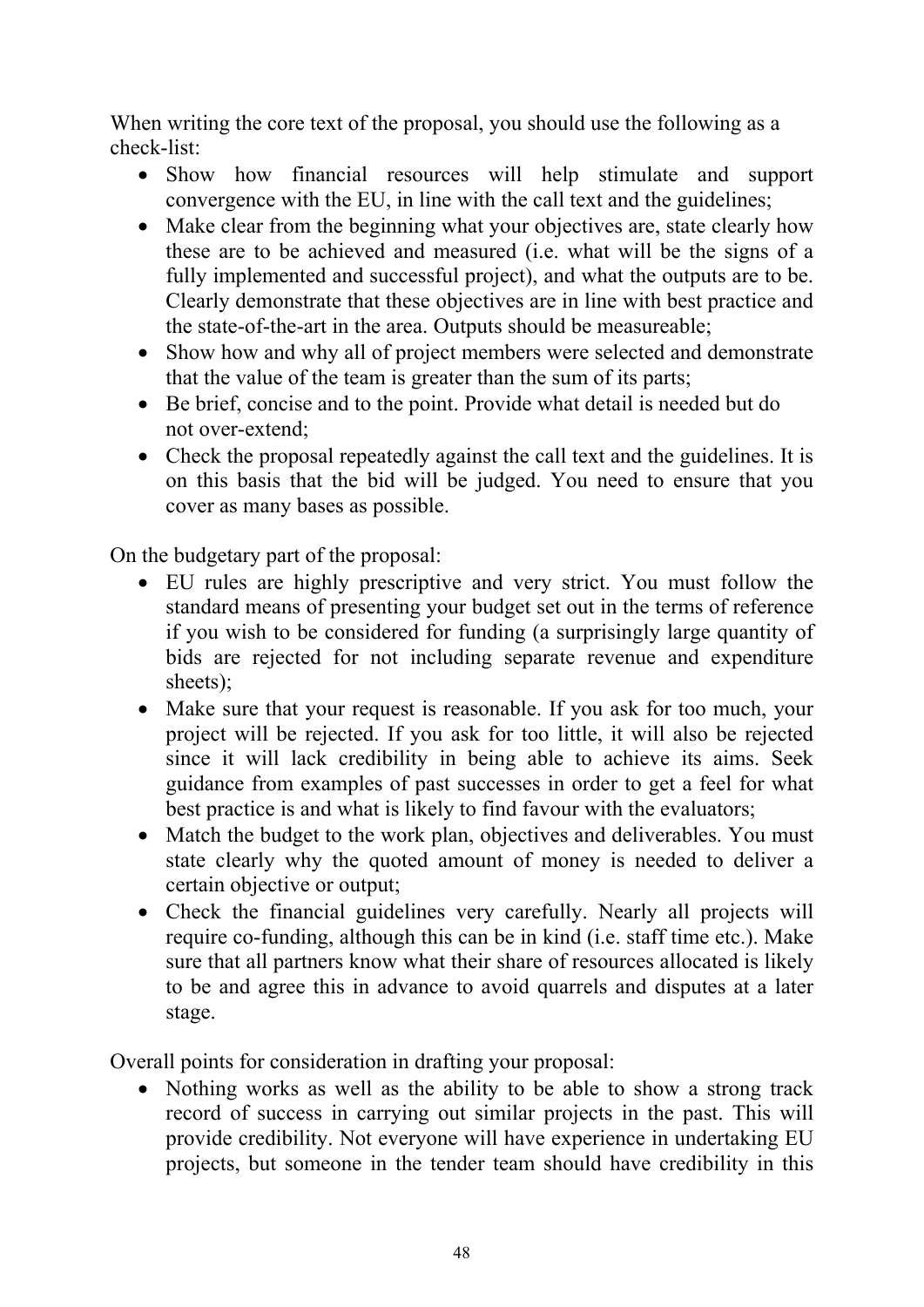When writing the core text of the proposal, you should use the following as a check-list:

- Show how financial resources will help stimulate and support convergence with the EU, in line with the call text and the guidelines;
- Make clear from the beginning what your objectives are, state clearly how these are to be achieved and measured (i.e. what will be the signs of a fully implemented and successful project), and what the outputs are to be. Clearly demonstrate that these objectives are in line with best practice and the state-of-the-art in the area. Outputs should be measureable;
- Show how and why all of project members were selected and demonstrate that the value of the team is greater than the sum of its parts;
- Be brief, concise and to the point. Provide what detail is needed but do not over-extend;
- Check the proposal repeatedly against the call text and the guidelines. It is on this basis that the bid will be judged. You need to ensure that you cover as many bases as possible.

On the budgetary part of the proposal:

- EU rules are highly prescriptive and very strict. You must follow the standard means of presenting your budget set out in the terms of reference if you wish to be considered for funding (a surprisingly large quantity of bids are rejected for not including separate revenue and expenditure sheets);
- Make sure that your request is reasonable. If you ask for too much, your project will be rejected. If you ask for too little, it will also be rejected since it will lack credibility in being able to achieve its aims. Seek guidance from examples of past successes in order to get a feel for what best practice is and what is likely to find favour with the evaluators;
- Match the budget to the work plan, objectives and deliverables. You must state clearly why the quoted amount of money is needed to deliver a certain objective or output;
- Check the financial guidelines very carefully. Nearly all projects will require co-funding, although this can be in kind (i.e. staff time etc.). Make sure that all partners know what their share of resources allocated is likely to be and agree this in advance to avoid quarrels and disputes at a later stage.

Overall points for consideration in drafting your proposal:

• Nothing works as well as the ability to be able to show a strong track record of success in carrying out similar projects in the past. This will provide credibility. Not everyone will have experience in undertaking EU projects, but someone in the tender team should have credibility in this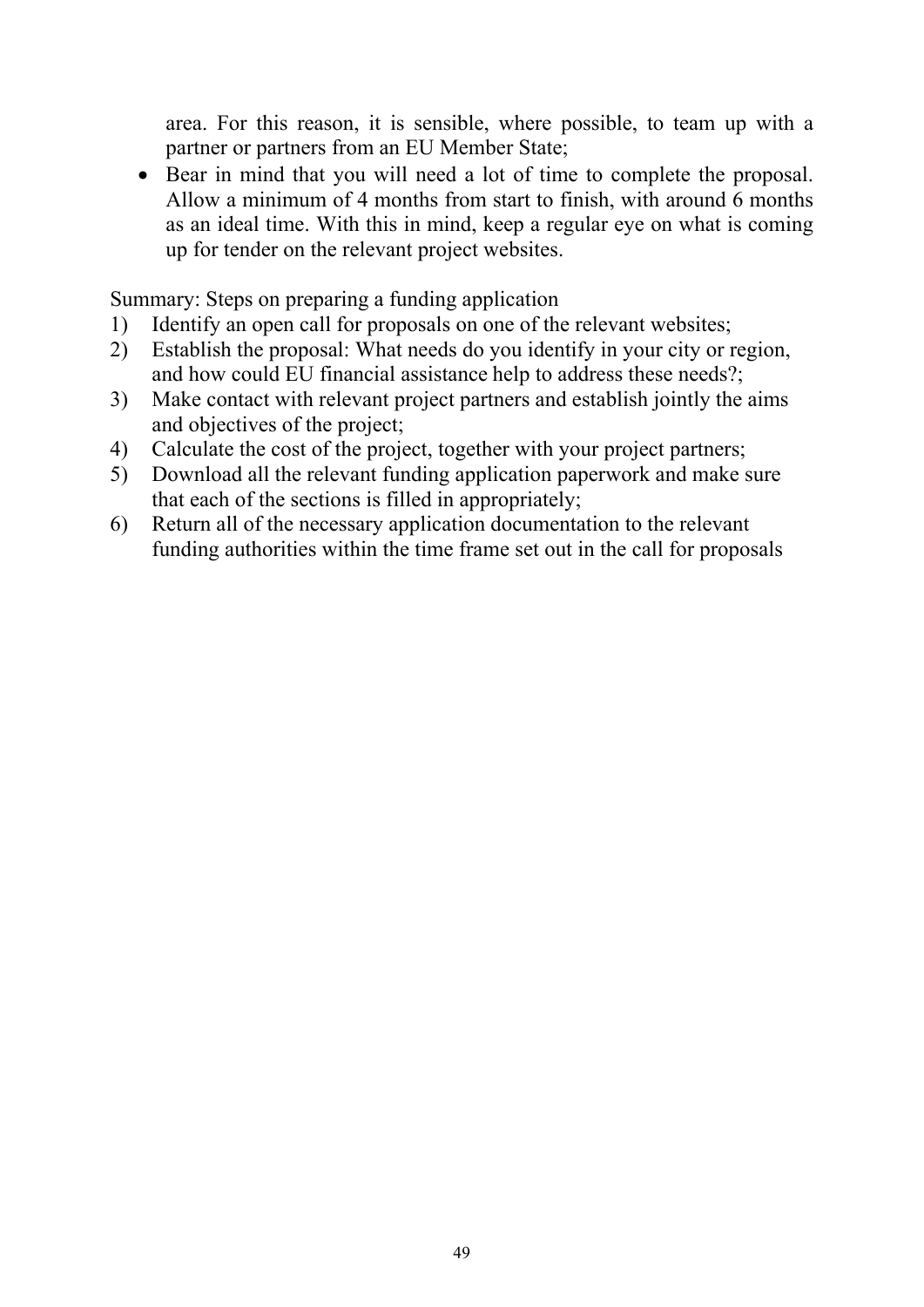area. For this reason, it is sensible, where possible, to team up with a partner or partners from an EU Member State;

• Bear in mind that you will need a lot of time to complete the proposal. Allow a minimum of 4 months from start to finish, with around 6 months as an ideal time. With this in mind, keep a regular eye on what is coming up for tender on the relevant project websites.

Summary: Steps on preparing a funding application

- 1) Identify an open call for proposals on one of the relevant websites;
- 2) Establish the proposal: What needs do you identify in your city or region, and how could EU financial assistance help to address these needs?;
- 3) Make contact with relevant project partners and establish jointly the aims and objectives of the project;
- 4) Calculate the cost of the project, together with your project partners;
- 5) Download all the relevant funding application paperwork and make sure that each of the sections is filled in appropriately;
- 6) Return all of the necessary application documentation to the relevant funding authorities within the time frame set out in the call for proposals